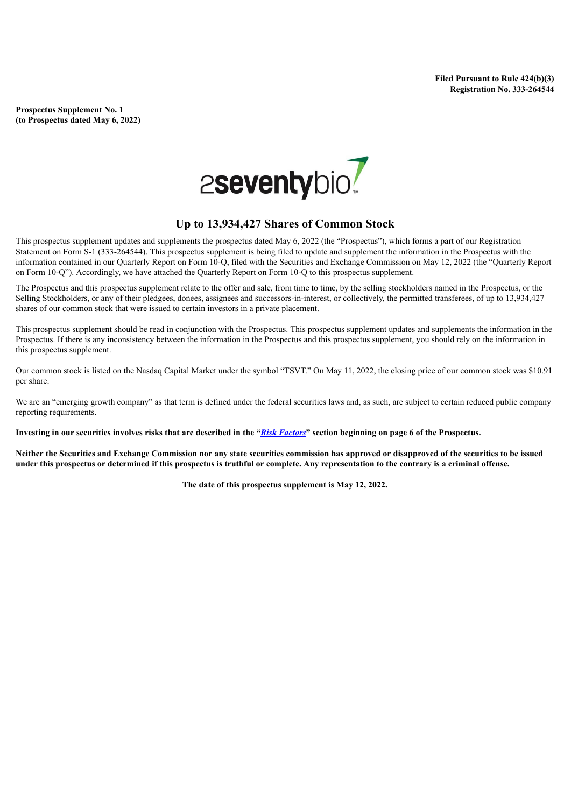**Prospectus Supplement No. 1 (to Prospectus dated May 6, 2022)**



## **Up to 13,934,427 Shares of Common Stock**

This prospectus supplement updates and supplements the prospectus dated May 6, 2022 (the "Prospectus"), which forms a part of our Registration Statement on Form S-1 (333-264544). This prospectus supplement is being filed to update and supplement the information in the Prospectus with the information contained in our Quarterly Report on Form 10-Q, filed with the Securities and Exchange Commission on May 12, 2022 (the "Quarterly Report on Form 10-Q"). Accordingly, we have attached the Quarterly Report on Form 10-Q to this prospectus supplement.

The Prospectus and this prospectus supplement relate to the offer and sale, from time to time, by the selling stockholders named in the Prospectus, or the Selling Stockholders, or any of their pledgees, donees, assignees and successors-in-interest, or collectively, the permitted transferees, of up to 13,934,427 shares of our common stock that were issued to certain investors in a private placement.

This prospectus supplement should be read in conjunction with the Prospectus. This prospectus supplement updates and supplements the information in the Prospectus. If there is any inconsistency between the information in the Prospectus and this prospectus supplement, you should rely on the information in this prospectus supplement.

Our common stock is listed on the Nasdaq Capital Market under the symbol "TSVT." On May 11, 2022, the closing price of our common stock was \$10.91 per share.

We are an "emerging growth company" as that term is defined under the federal securities laws and, as such, are subject to certain reduced public company reporting requirements.

Investing in our securities involves risks that are described in the "Risk [Factors](https://www.sec.gov/Archives/edgar/data/0001860782/000162828022013046/tsvt424b3.htm#ib565b167227e4781a4b9c67168ff9406_97)" section beginning on page 6 of the Prospectus.

Neither the Securities and Exchange Commission nor any state securities commission has approved or disapproved of the securities to be issued under this prospectus or determined if this prospectus is truthful or complete. Any representation to the contrary is a criminal offense.

**The date of this prospectus supplement is May 12, 2022.**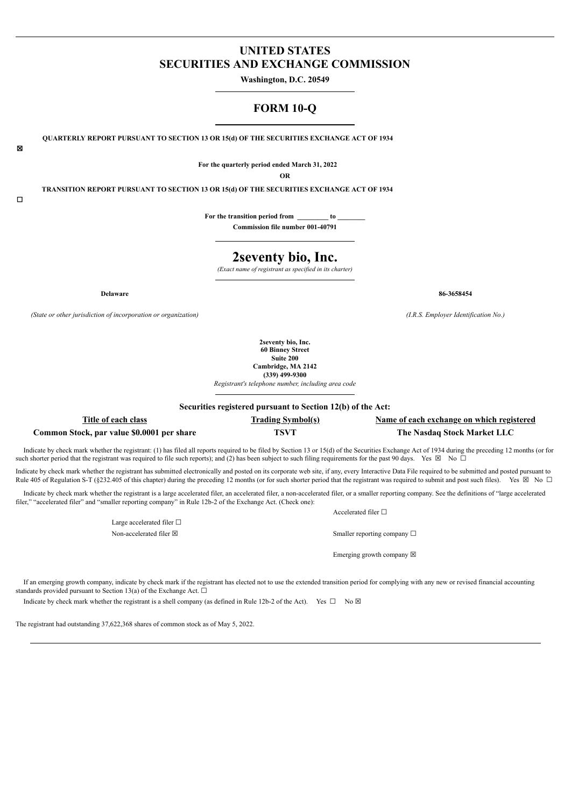## **UNITED STATES SECURITIES AND EXCHANGE COMMISSION**

**Washington, D.C. 20549**

## **FORM 10-Q**

**QUARTERLY REPORT PURSUANT TO SECTION 13 OR 15(d) OF THE SECURITIES EXCHANGE ACT OF 1934**

**For the quarterly period ended March 31, 2022**

**OR**

**TRANSITION REPORT PURSUANT TO SECTION 13 OR 15(d) OF THE SECURITIES EXCHANGE ACT OF 1934**

 $\Box$ 

☒

**For the transition period from \_\_\_\_\_\_\_\_\_ to \_\_\_\_\_\_\_\_ Commission file number 001-40791**

# **2seventy bio, Inc.**

*(Exact name of registrant as specified in its charter)*

*(State or other jurisdiction of incorporation or organization) (I.R.S. Employer Identification No.)*

**2seventy bio, Inc. 60 Binney Street Suite 200 Cambridge, MA 2142 (339) 499-9300**

*Registrant's telephone number, including area code*

**Securities registered pursuant to Section 12(b) of the Act:**

## **Title of each class Trading Symbol(s) Name of each exchange on which registered Common Stock, par value \$0.0001 per share TSVT The Nasdaq Stock Market LLC**

Indicate by check mark whether the registrant: (1) has filed all reports required to be filed by Section 13 or 15(d) of the Securities Exchange Act of 1934 during the preceding 12 months (or for such shorter period that the registrant was required to file such reports); and (2) has been subject to such filing requirements for the past 90 days. Yes  $\boxtimes$  No  $\Box$ 

Indicate by check mark whether the registrant has submitted electronically and posted on its corporate web site, if any, every Interactive Data File required to be submitted and posted pursuant to Rule 405 of Regulation S-T (§232.405 of this chapter) during the preceding 12 months (or for such shorter period that the registrant was required to submit and post such files). Yes  $\boxtimes$  No  $\Box$ 

Indicate by check mark whether the registrant is a large accelerated filer, an accelerated filer, a non-accelerated filer, or a smaller reporting company. See the definitions of "large accelerated filer," "accelerated filer" and "smaller reporting company" in Rule 12b-2 of the Exchange Act. (Check one):

> Large accelerated filer  $□$ Non-accelerated filer  $\boxtimes$

Accelerated filer  $□$ 

Emerging growth company  $\boxtimes$ 

If an emerging growth company, indicate by check mark if the registrant has elected not to use the extended transition period for complying with any new or revised financial accounting standards provided pursuant to Section 13(a) of the Exchange Act.  $\Box$ 

Indicate by check mark whether the registrant is a shell company (as defined in Rule 12b-2 of the Act). Yes  $\Box$  No  $\boxtimes$ 

The registrant had outstanding 37,622,368 shares of common stock as of May 5, 2022.

**Delaware 86-3658454**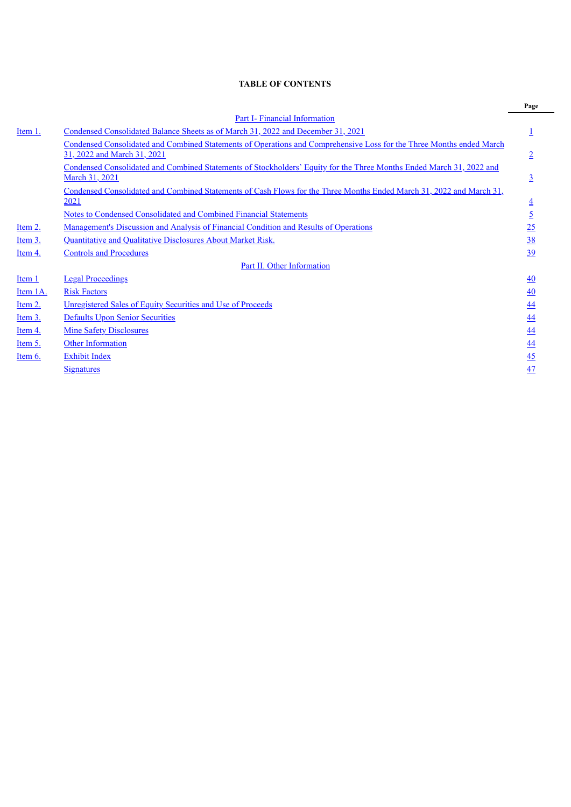## **TABLE OF CONTENTS**

|           |                                                                                                                                                     | Page           |
|-----------|-----------------------------------------------------------------------------------------------------------------------------------------------------|----------------|
|           | <b>Part I- Financial Information</b>                                                                                                                |                |
| Item 1.   | Condensed Consolidated Balance Sheets as of March 31, 2022 and December 31, 2021                                                                    |                |
|           | Condensed Consolidated and Combined Statements of Operations and Comprehensive Loss for the Three Months ended March<br>31, 2022 and March 31, 2021 | $\overline{2}$ |
|           | Condensed Consolidated and Combined Statements of Stockholders' Equity for the Three Months Ended March 31, 2022 and<br>March 31, 2021              | $\overline{3}$ |
|           | Condensed Consolidated and Combined Statements of Cash Flows for the Three Months Ended March 31, 2022 and March 31,<br>2021                        | $\overline{4}$ |
|           | Notes to Condensed Consolidated and Combined Financial Statements                                                                                   | $\overline{2}$ |
| Item 2.   | <u>Management's Discussion and Analysis of Financial Condition and Results of Operations</u>                                                        | 25             |
| Item 3.   | Quantitative and Qualitative Disclosures About Market Risk.                                                                                         | 38             |
| Item 4.   | <b>Controls and Procedures</b>                                                                                                                      | 39             |
|           | Part II. Other Information                                                                                                                          |                |
| Item 1    | <b>Legal Proceedings</b>                                                                                                                            | 40             |
| Item 1A.  | <b>Risk Factors</b>                                                                                                                                 | 40             |
| Item 2.   | Unregistered Sales of Equity Securities and Use of Proceeds                                                                                         | 44             |
| Item 3.   | <b>Defaults Upon Senior Securities</b>                                                                                                              | 44             |
| Item 4.   | <b>Mine Safety Disclosures</b>                                                                                                                      | 44             |
| Item 5.   | <b>Other Information</b>                                                                                                                            | 44             |
| Item $6.$ | <b>Exhibit Index</b>                                                                                                                                | 45             |
|           | <b>Signatures</b>                                                                                                                                   | 47             |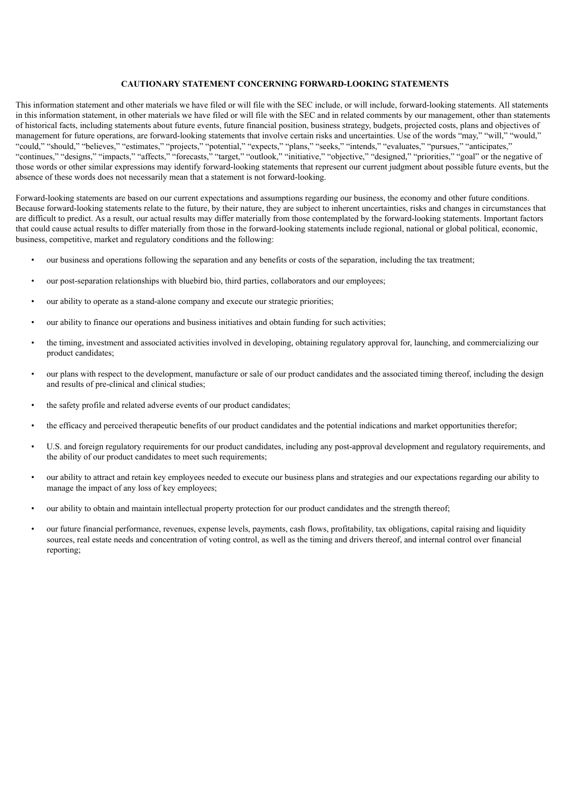## **CAUTIONARY STATEMENT CONCERNING FORWARD-LOOKING STATEMENTS**

This information statement and other materials we have filed or will file with the SEC include, or will include, forward-looking statements. All statements in this information statement, in other materials we have filed or will file with the SEC and in related comments by our management, other than statements of historical facts, including statements about future events, future financial position, business strategy, budgets, projected costs, plans and objectives of management for future operations, are forward-looking statements that involve certain risks and uncertainties. Use of the words "may," "will," "would," "could," "should," "believes," "estimates," "projects," "potential," "expects," "plans," "seeks," "intends," "evaluates," "pursues," "anticipates," "continues," "designs," "impacts," "affects," "forecasts," "target," "outlook," "initiative," "objective," "designed," "priorities," "goal" or the negative of those words or other similar expressions may identify forward-looking statements that represent our current judgment about possible future events, but the absence of these words does not necessarily mean that a statement is not forward-looking.

Forward-looking statements are based on our current expectations and assumptions regarding our business, the economy and other future conditions. Because forward-looking statements relate to the future, by their nature, they are subject to inherent uncertainties, risks and changes in circumstances that are difficult to predict. As a result, our actual results may differ materially from those contemplated by the forward-looking statements. Important factors that could cause actual results to differ materially from those in the forward-looking statements include regional, national or global political, economic, business, competitive, market and regulatory conditions and the following:

- our business and operations following the separation and any benefits or costs of the separation, including the tax treatment;
- our post-separation relationships with bluebird bio, third parties, collaborators and our employees;
- our ability to operate as a stand-alone company and execute our strategic priorities;
- our ability to finance our operations and business initiatives and obtain funding for such activities;
- the timing, investment and associated activities involved in developing, obtaining regulatory approval for, launching, and commercializing our product candidates;
- our plans with respect to the development, manufacture or sale of our product candidates and the associated timing thereof, including the design and results of pre-clinical and clinical studies;
- the safety profile and related adverse events of our product candidates;
- the efficacy and perceived therapeutic benefits of our product candidates and the potential indications and market opportunities therefor;
- U.S. and foreign regulatory requirements for our product candidates, including any post-approval development and regulatory requirements, and the ability of our product candidates to meet such requirements;
- our ability to attract and retain key employees needed to execute our business plans and strategies and our expectations regarding our ability to manage the impact of any loss of key employees;
- our ability to obtain and maintain intellectual property protection for our product candidates and the strength thereof;
- our future financial performance, revenues, expense levels, payments, cash flows, profitability, tax obligations, capital raising and liquidity sources, real estate needs and concentration of voting control, as well as the timing and drivers thereof, and internal control over financial reporting;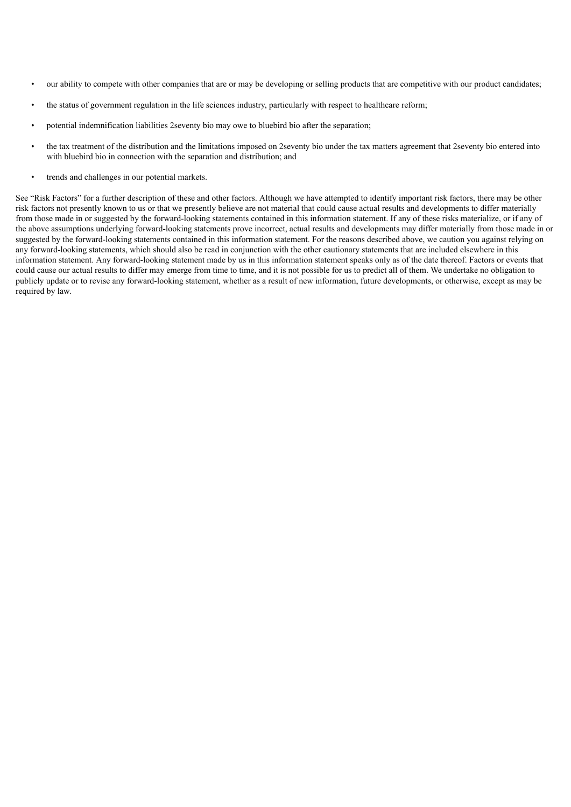- our ability to compete with other companies that are or may be developing or selling products that are competitive with our product candidates;
- the status of government regulation in the life sciences industry, particularly with respect to healthcare reform;
- potential indemnification liabilities 2seventy bio may owe to bluebird bio after the separation;
- the tax treatment of the distribution and the limitations imposed on 2seventy bio under the tax matters agreement that 2seventy bio entered into with bluebird bio in connection with the separation and distribution; and
- trends and challenges in our potential markets.

<span id="page-4-0"></span>See "Risk Factors" for a further description of these and other factors. Although we have attempted to identify important risk factors, there may be other risk factors not presently known to us or that we presently believe are not material that could cause actual results and developments to differ materially from those made in or suggested by the forward-looking statements contained in this information statement. If any of these risks materialize, or if any of the above assumptions underlying forward-looking statements prove incorrect, actual results and developments may differ materially from those made in or suggested by the forward-looking statements contained in this information statement. For the reasons described above, we caution you against relying on any forward-looking statements, which should also be read in conjunction with the other cautionary statements that are included elsewhere in this information statement. Any forward-looking statement made by us in this information statement speaks only as of the date thereof. Factors or events that could cause our actual results to differ may emerge from time to time, and it is not possible for us to predict all of them. We undertake no obligation to publicly update or to revise any forward-looking statement, whether as a result of new information, future developments, or otherwise, except as may be required by law.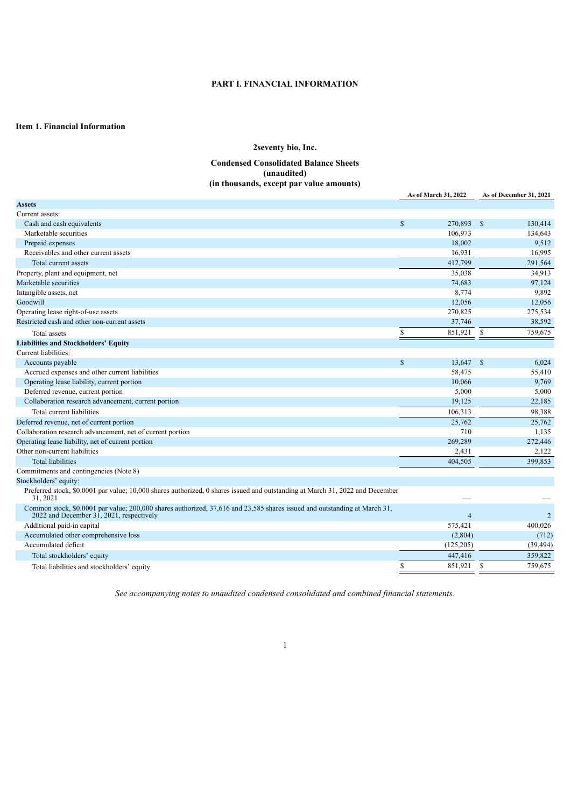## **PART I. FINANCIAL INFORMATION**

### <span id="page-5-1"></span><span id="page-5-0"></span>**Item 1. Financial Information**

## **2seventy bio, Inc. Condensed Consolidated Balance Sheets (unaudited) (in thousands, except par value amounts)**

|                                                                                                                                                                       | <b>As of March 31, 2022</b> | As of December 31, 2021 |
|-----------------------------------------------------------------------------------------------------------------------------------------------------------------------|-----------------------------|-------------------------|
| <b>Assets</b>                                                                                                                                                         |                             |                         |
| Current assets:                                                                                                                                                       |                             |                         |
| Cash and cash equivalents                                                                                                                                             | $\mathbb{S}$<br>270,893 \$  | 130,414                 |
| Marketable securities                                                                                                                                                 | 106,973                     | 134,643                 |
| Prepaid expenses                                                                                                                                                      | 18,002                      | 9,512                   |
| Receivables and other current assets                                                                                                                                  | 16,931                      | 16,995                  |
| Total current assets                                                                                                                                                  | 412,799                     | 291.564                 |
| Property, plant and equipment, net                                                                                                                                    | 35,038                      | 34,913                  |
| Marketable securities                                                                                                                                                 | 74,683                      | 97,124                  |
| Intangible assets, net                                                                                                                                                | 8,774                       | 9,892                   |
| Goodwill                                                                                                                                                              | 12,056                      | 12,056                  |
| Operating lease right-of-use assets                                                                                                                                   | 270,825                     | 275,534                 |
| Restricted cash and other non-current assets                                                                                                                          | 37,746                      | 38,592                  |
| Total assets                                                                                                                                                          | $\mathbf S$<br>851,921      | $\mathbb{S}$<br>759,675 |
| <b>Liabilities and Stockholders' Equity</b>                                                                                                                           |                             |                         |
| Current liabilities:                                                                                                                                                  |                             |                         |
| Accounts payable                                                                                                                                                      | $\mathbb{S}$<br>13,647      | $^{\circ}$<br>6,024     |
| Accrued expenses and other current liabilities                                                                                                                        | 58,475                      | 55,410                  |
| Operating lease liability, current portion                                                                                                                            | 10.066                      | 9,769                   |
| Deferred revenue, current portion                                                                                                                                     | 5,000                       | 5,000                   |
| Collaboration research advancement, current portion                                                                                                                   | 19,125                      | 22,185                  |
| Total current liabilities                                                                                                                                             | 106,313                     | 98,388                  |
| Deferred revenue, net of current portion                                                                                                                              | 25,762                      | 25,762                  |
| Collaboration research advancement, net of current portion                                                                                                            | 710                         | 1,135                   |
| Operating lease liability, net of current portion                                                                                                                     | 269,289                     | 272,446                 |
| Other non-current liabilities                                                                                                                                         | 2,431                       | 2,122                   |
| <b>Total liabilities</b>                                                                                                                                              | 404,505                     | 399,853                 |
| Commitments and contingencies (Note 8)                                                                                                                                |                             |                         |
| Stockholders' equity:                                                                                                                                                 |                             |                         |
| Preferred stock, \$0.0001 par value; 10,000 shares authorized, 0 shares issued and outstanding at March 31, 2022 and December<br>31, 2021                             |                             |                         |
| Common stock, \$0.0001 par value; 200,000 shares authorized, 37,616 and 23,585 shares issued and outstanding at March 31,<br>2022 and December 31, 2021, respectively | $\overline{4}$              | $\overline{2}$          |
| Additional paid-in capital                                                                                                                                            | 575,421                     | 400,026                 |
| Accumulated other comprehensive loss                                                                                                                                  | (2,804)                     | (712)                   |
| Accumulated deficit                                                                                                                                                   | (125, 205)                  | (39, 494)               |
| Total stockholders' equity                                                                                                                                            | 447,416                     | 359,822                 |
| Total liabilities and stockholders' equity                                                                                                                            | \$<br>851,921               | <sup>S</sup><br>759.675 |

<span id="page-5-2"></span>*See accompanying notes to unaudited condensed consolidated and combined financial statements.*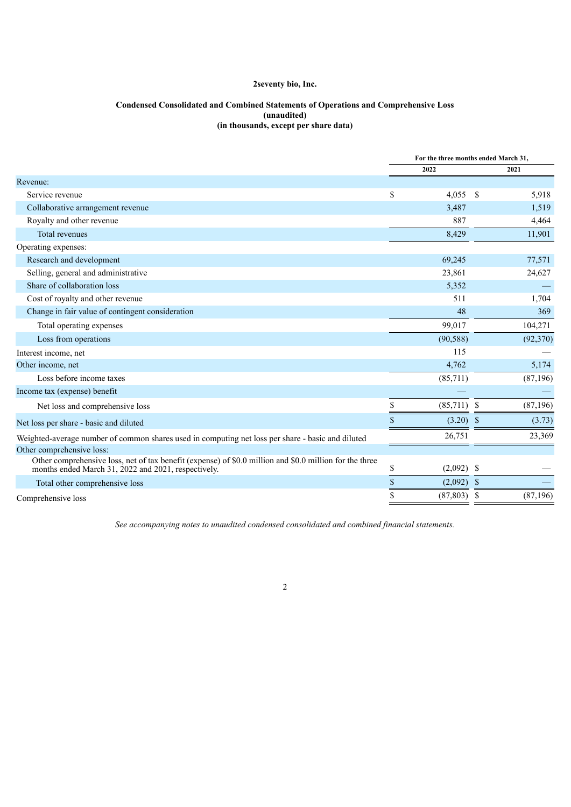## **Condensed Consolidated and Combined Statements of Operations and Comprehensive Loss (unaudited) (in thousands, except per share data)**

|                                                                                                                                                                |             | For the three months ended March 31, |               |           |
|----------------------------------------------------------------------------------------------------------------------------------------------------------------|-------------|--------------------------------------|---------------|-----------|
|                                                                                                                                                                |             | 2022                                 |               | 2021      |
| Revenue:                                                                                                                                                       |             |                                      |               |           |
| Service revenue                                                                                                                                                | \$          | 4.055                                | <sup>S</sup>  | 5,918     |
| Collaborative arrangement revenue                                                                                                                              |             | 3,487                                |               | 1,519     |
| Royalty and other revenue                                                                                                                                      |             | 887                                  |               | 4,464     |
| <b>Total revenues</b>                                                                                                                                          |             | 8,429                                |               | 11,901    |
| Operating expenses:                                                                                                                                            |             |                                      |               |           |
| Research and development                                                                                                                                       |             | 69,245                               |               | 77,571    |
| Selling, general and administrative                                                                                                                            |             | 23,861                               |               | 24,627    |
| Share of collaboration loss                                                                                                                                    |             | 5,352                                |               |           |
| Cost of royalty and other revenue                                                                                                                              |             | 511                                  |               | 1,704     |
| Change in fair value of contingent consideration                                                                                                               |             | 48                                   |               | 369       |
| Total operating expenses                                                                                                                                       |             | 99,017                               |               | 104,271   |
| Loss from operations                                                                                                                                           |             | (90, 588)                            |               | (92, 370) |
| Interest income, net                                                                                                                                           |             | 115                                  |               |           |
| Other income, net                                                                                                                                              |             | 4,762                                |               | 5,174     |
| Loss before income taxes                                                                                                                                       |             | (85,711)                             |               | (87, 196) |
| Income tax (expense) benefit                                                                                                                                   |             |                                      |               |           |
| Net loss and comprehensive loss                                                                                                                                | \$          | $(85,711)$ \$                        |               | (87, 196) |
| Net loss per share - basic and diluted                                                                                                                         |             | (3.20)                               |               | (3.73)    |
| Weighted-average number of common shares used in computing net loss per share - basic and diluted                                                              |             | 26,751                               |               | 23,369    |
| Other comprehensive loss:                                                                                                                                      |             |                                      |               |           |
| Other comprehensive loss, net of tax benefit (expense) of \$0.0 million and \$0.0 million for the three<br>months ended March 31, 2022 and 2021, respectively. | \$          | (2,092)                              | <sup>\$</sup> |           |
| Total other comprehensive loss                                                                                                                                 | $\sqrt{\ }$ | (2,092)                              | <sup>S</sup>  |           |
| Comprehensive loss                                                                                                                                             | \$          | (87, 803)                            | S             | (87, 196) |
|                                                                                                                                                                |             |                                      |               |           |

<span id="page-6-0"></span>*See accompanying notes to unaudited condensed consolidated and combined financial statements.*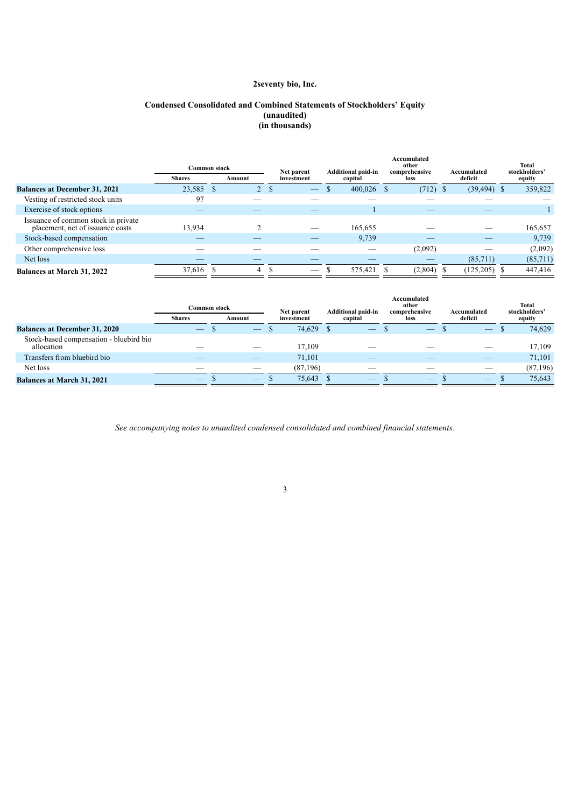### **Condensed Consolidated and Combined Statements of Stockholders' Equity (unaudited) (in thousands)**

|                                                                         | <b>Common stock</b> |      |                | Net parent | <b>Additional paid-in</b> | Accumulated<br>other<br>comprehensive | Accumulated     | Total<br>stockholders' |
|-------------------------------------------------------------------------|---------------------|------|----------------|------------|---------------------------|---------------------------------------|-----------------|------------------------|
|                                                                         | <b>Shares</b>       |      | Amount         | investment | capital                   | <b>loss</b>                           | deficit         | equity                 |
| <b>Balances at December 31, 2021</b>                                    | 23,585              | - \$ | $\overline{2}$ |            | 400,026                   | $(712)$ \$                            | $(39, 494)$ \$  | 359,822                |
| Vesting of restricted stock units                                       | 97                  |      |                |            |                           |                                       |                 |                        |
| Exercise of stock options                                               |                     |      |                |            |                           |                                       |                 |                        |
| Issuance of common stock in private<br>placement, net of issuance costs | 13,934              |      |                |            | 165,655                   |                                       |                 | 165,657                |
| Stock-based compensation                                                |                     |      |                |            | 9,739                     |                                       |                 | 9,739                  |
| Other comprehensive loss                                                |                     |      |                |            |                           | (2,092)                               |                 | (2,092)                |
| Net loss                                                                |                     |      |                |            |                           |                                       | (85,711)        | (85,711)               |
| <b>Balances at March 31, 2022</b>                                       | 37,616 \$           |      | 4              |            | 575,421                   | $(2,804)$ \$                          | $(125, 205)$ \$ | 447,416                |

|                                                       | C <b>ommon stock</b><br><b>Shares</b> | Amount | Net parent<br>investment | <b>Additional paid-in</b><br>capital | Accumulated<br>other<br>comprehensive<br>loss | Accumulated<br>deficit | Total<br>stockholders'<br>equity |
|-------------------------------------------------------|---------------------------------------|--------|--------------------------|--------------------------------------|-----------------------------------------------|------------------------|----------------------------------|
| <b>Balances at December 31, 2020</b>                  |                                       |        | 74.629                   |                                      |                                               |                        | 74,629                           |
| Stock-based compensation - bluebird bio<br>allocation |                                       |        | 17.109                   |                                      |                                               |                        | 17,109                           |
| Transfers from bluebird bio                           |                                       |        | 71,101                   |                                      |                                               |                        | 71,101                           |
| Net loss                                              |                                       |        | (87,196)                 |                                      |                                               |                        | (87, 196)                        |
| <b>Balances at March 31, 2021</b>                     |                                       |        | 75.643                   |                                      |                                               |                        | 75.643                           |

<span id="page-7-0"></span>*See accompanying notes to unaudited condensed consolidated and combined financial statements.*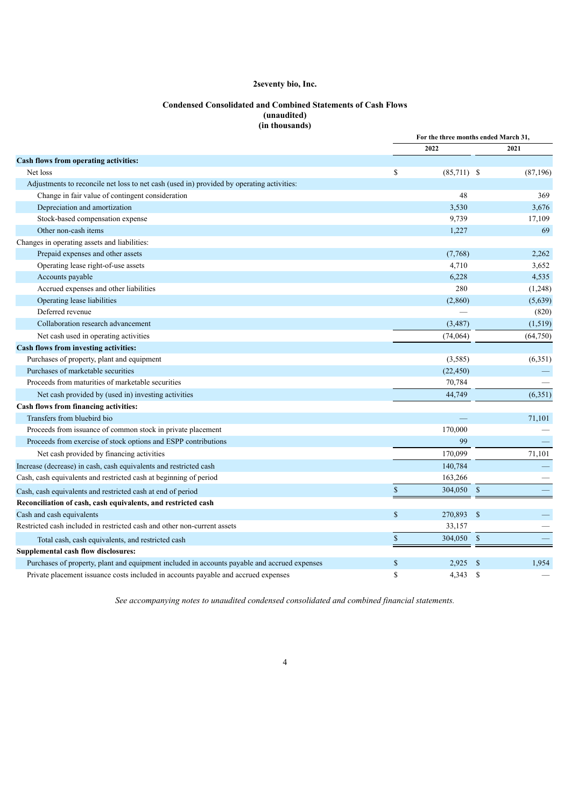## **Condensed Consolidated and Combined Statements of Cash Flows (unaudited) (in thousands)**

|                                                                                              |              | For the three months ended March 31, |               |           |
|----------------------------------------------------------------------------------------------|--------------|--------------------------------------|---------------|-----------|
|                                                                                              |              | 2022                                 |               | 2021      |
| Cash flows from operating activities:                                                        |              |                                      |               |           |
| Net loss                                                                                     | \$           | $(85,711)$ \$                        |               | (87, 196) |
| Adjustments to reconcile net loss to net cash (used in) provided by operating activities:    |              |                                      |               |           |
| Change in fair value of contingent consideration                                             |              | 48                                   |               | 369       |
| Depreciation and amortization                                                                |              | 3,530                                |               | 3,676     |
| Stock-based compensation expense                                                             |              | 9,739                                |               | 17,109    |
| Other non-cash items                                                                         |              | 1,227                                |               | 69        |
| Changes in operating assets and liabilities:                                                 |              |                                      |               |           |
| Prepaid expenses and other assets                                                            |              | (7,768)                              |               | 2,262     |
| Operating lease right-of-use assets                                                          |              | 4,710                                |               | 3,652     |
| Accounts payable                                                                             |              | 6,228                                |               | 4,535     |
| Accrued expenses and other liabilities                                                       |              | 280                                  |               | (1,248)   |
| Operating lease liabilities                                                                  |              | (2,860)                              |               | (5,639)   |
| Deferred revenue                                                                             |              |                                      |               | (820)     |
| Collaboration research advancement                                                           |              | (3, 487)                             |               | (1, 519)  |
| Net cash used in operating activities                                                        |              | (74,064)                             |               | (64,750)  |
| Cash flows from investing activities:                                                        |              |                                      |               |           |
| Purchases of property, plant and equipment                                                   |              | (3,585)                              |               | (6,351)   |
| Purchases of marketable securities                                                           |              | (22, 450)                            |               |           |
| Proceeds from maturities of marketable securities                                            |              | 70,784                               |               |           |
| Net cash provided by (used in) investing activities                                          |              | 44,749                               |               | (6,351)   |
| Cash flows from financing activities:                                                        |              |                                      |               |           |
| Transfers from bluebird bio                                                                  |              |                                      |               | 71,101    |
| Proceeds from issuance of common stock in private placement                                  |              | 170,000                              |               |           |
| Proceeds from exercise of stock options and ESPP contributions                               |              | 99                                   |               |           |
| Net cash provided by financing activities                                                    |              | 170,099                              |               | 71,101    |
| Increase (decrease) in cash, cash equivalents and restricted cash                            |              | 140,784                              |               |           |
| Cash, cash equivalents and restricted cash at beginning of period                            |              | 163,266                              |               |           |
| Cash, cash equivalents and restricted cash at end of period                                  | $\mathbb S$  | 304,050                              | $\mathcal{S}$ |           |
| Reconciliation of cash, cash equivalents, and restricted cash                                |              |                                      |               |           |
| Cash and cash equivalents                                                                    | $\mathbb{S}$ | 270,893                              | -\$           |           |
| Restricted cash included in restricted cash and other non-current assets                     |              | 33,157                               |               |           |
| Total cash, cash equivalents, and restricted cash                                            | $\mathbb{S}$ | 304,050                              | $\mathcal{S}$ |           |
| Supplemental cash flow disclosures:                                                          |              |                                      |               |           |
| Purchases of property, plant and equipment included in accounts payable and accrued expenses | \$           | 2,925                                | S             | 1,954     |
| Private placement issuance costs included in accounts payable and accrued expenses           | $\mathbf S$  | 4.343                                | <sup>\$</sup> |           |

<span id="page-8-0"></span>*See accompanying notes to unaudited condensed consolidated and combined financial statements.*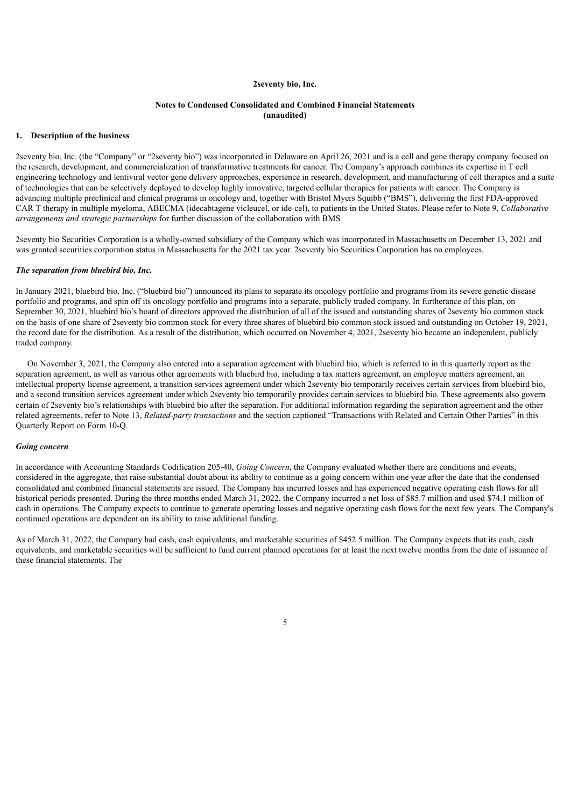#### **Notes to Condensed Consolidated and Combined Financial Statements (unaudited)**

#### **1. Description of the business**

2seventy bio, Inc. (the "Company" or "2seventy bio") was incorporated in Delaware on April 26, 2021 and is a cell and gene therapy company focused on the research, development, and commercialization of transformative treatments for cancer. The Company's approach combines its expertise in T cell engineering technology and lentiviral vector gene delivery approaches, experience in research, development, and manufacturing of cell therapies and a suite of technologies that can be selectively deployed to develop highly innovative, targeted cellular therapies for patients with cancer. The Company is advancing multiple preclinical and clinical programs in oncology and, together with Bristol Myers Squibb ("BMS"), delivering the first FDA-approved CAR T therapy in multiple myeloma, ABECMA (idecabtagene vicleucel, or ide-cel), to patients in the United States. Please refer to Note 9, *Collaborative arrangements and strategic partnerships* for further discussion of the collaboration with BMS*.*

2seventy bio Securities Corporation is a wholly-owned subsidiary of the Company which was incorporated in Massachusetts on December 13, 2021 and was granted securities corporation status in Massachusetts for the 2021 tax year. 2seventy bio Securities Corporation has no employees.

#### *The separation from bluebird bio, Inc.*

In January 2021, bluebird bio, Inc. ("bluebird bio") announced its plans to separate its oncology portfolio and programs from its severe genetic disease portfolio and programs, and spin off its oncology portfolio and programs into a separate, publicly traded company. In furtherance of this plan, on September 30, 2021, bluebird bio's board of directors approved the distribution of all of the issued and outstanding shares of 2seventy bio common stock on the basis of one share of 2seventy bio common stock for every three shares of bluebird bio common stock issued and outstanding on October 19, 2021, the record date for the distribution. As a result of the distribution, which occurred on November 4, 2021, 2seventy bio became an independent, publicly traded company.

On November 3, 2021, the Company also entered into a separation agreement with bluebird bio, which is referred to in this quarterly report as the separation agreement, as well as various other agreements with bluebird bio, including a tax matters agreement, an employee matters agreement, an intellectual property license agreement, a transition services agreement under which 2seventy bio temporarily receives certain services from bluebird bio, and a second transition services agreement under which 2seventy bio temporarily provides certain services to bluebird bio. These agreements also govern certain of 2seventy bio's relationships with bluebird bio after the separation. For additional information regarding the separation agreement and the other related agreements, refer to Note 13, *Related-party transactions* and the section captioned "Transactions with Related and Certain Other Parties" in this Quarterly Report on Form 10-Q.

### *Going concern*

In accordance with Accounting Standards Codification 205-40, *Going Concern*, the Company evaluated whether there are conditions and events, considered in the aggregate, that raise substantial doubt about its ability to continue as a going concern within one year after the date that the condensed consolidated and combined financial statements are issued. The Company has incurred losses and has experienced negative operating cash flows for all historical periods presented. During the three months ended March 31, 2022, the Company incurred a net loss of \$85.7 million and used \$74.1 million of cash in operations. The Company expects to continue to generate operating losses and negative operating cash flows for the next few years. The Company's continued operations are dependent on its ability to raise additional funding.

As of March 31, 2022, the Company had cash, cash equivalents, and marketable securities of \$452.5 million. The Company expects that its cash, cash equivalents, and marketable securities will be sufficient to fund current planned operations for at least the next twelve months from the date of issuance of these financial statements. The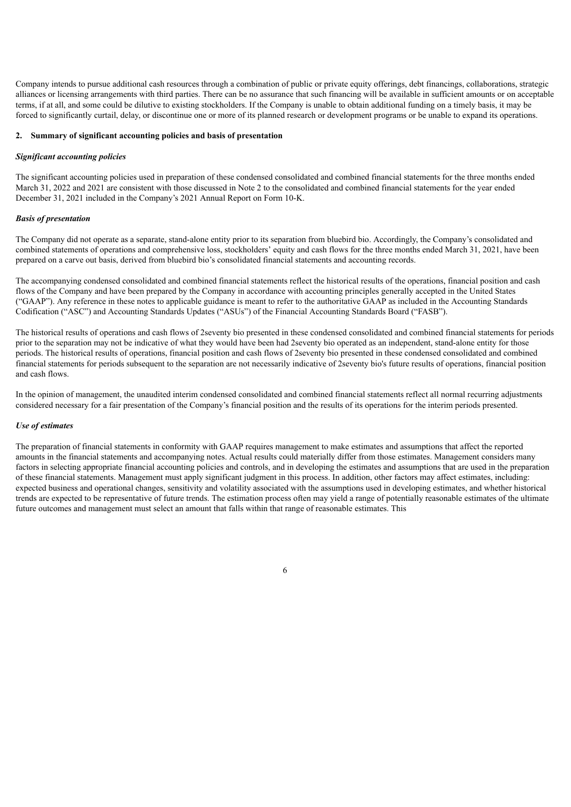Company intends to pursue additional cash resources through a combination of public or private equity offerings, debt financings, collaborations, strategic alliances or licensing arrangements with third parties. There can be no assurance that such financing will be available in sufficient amounts or on acceptable terms, if at all, and some could be dilutive to existing stockholders. If the Company is unable to obtain additional funding on a timely basis, it may be forced to significantly curtail, delay, or discontinue one or more of its planned research or development programs or be unable to expand its operations.

### **2. Summary of significant accounting policies and basis of presentation**

#### *Significant accounting policies*

The significant accounting policies used in preparation of these condensed consolidated and combined financial statements for the three months ended March 31, 2022 and 2021 are consistent with those discussed in Note 2 to the consolidated and combined financial statements for the year ended December 31, 2021 included in the Company's 2021 Annual Report on Form 10-K.

#### *Basis of presentation*

The Company did not operate as a separate, stand-alone entity prior to its separation from bluebird bio. Accordingly, the Company's consolidated and combined statements of operations and comprehensive loss, stockholders' equity and cash flows for the three months ended March 31, 2021, have been prepared on a carve out basis, derived from bluebird bio's consolidated financial statements and accounting records.

The accompanying condensed consolidated and combined financial statements reflect the historical results of the operations, financial position and cash flows of the Company and have been prepared by the Company in accordance with accounting principles generally accepted in the United States ("GAAP"). Any reference in these notes to applicable guidance is meant to refer to the authoritative GAAP as included in the Accounting Standards Codification ("ASC") and Accounting Standards Updates ("ASUs") of the Financial Accounting Standards Board ("FASB").

The historical results of operations and cash flows of 2seventy bio presented in these condensed consolidated and combined financial statements for periods prior to the separation may not be indicative of what they would have been had 2seventy bio operated as an independent, stand-alone entity for those periods. The historical results of operations, financial position and cash flows of 2seventy bio presented in these condensed consolidated and combined financial statements for periods subsequent to the separation are not necessarily indicative of 2seventy bio's future results of operations, financial position and cash flows.

In the opinion of management, the unaudited interim condensed consolidated and combined financial statements reflect all normal recurring adjustments considered necessary for a fair presentation of the Company's financial position and the results of its operations for the interim periods presented.

### *Use of estimates*

The preparation of financial statements in conformity with GAAP requires management to make estimates and assumptions that affect the reported amounts in the financial statements and accompanying notes. Actual results could materially differ from those estimates. Management considers many factors in selecting appropriate financial accounting policies and controls, and in developing the estimates and assumptions that are used in the preparation of these financial statements. Management must apply significant judgment in this process. In addition, other factors may affect estimates, including: expected business and operational changes, sensitivity and volatility associated with the assumptions used in developing estimates, and whether historical trends are expected to be representative of future trends. The estimation process often may yield a range of potentially reasonable estimates of the ultimate future outcomes and management must select an amount that falls within that range of reasonable estimates. This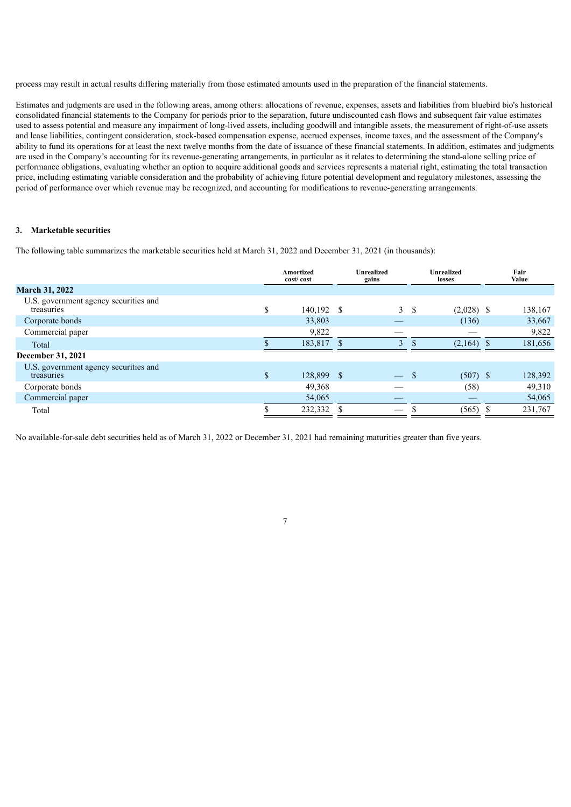process may result in actual results differing materially from those estimated amounts used in the preparation of the financial statements.

Estimates and judgments are used in the following areas, among others: allocations of revenue, expenses, assets and liabilities from bluebird bio's historical consolidated financial statements to the Company for periods prior to the separation, future undiscounted cash flows and subsequent fair value estimates used to assess potential and measure any impairment of long-lived assets, including goodwill and intangible assets, the measurement of right-of-use assets and lease liabilities, contingent consideration, stock-based compensation expense, accrued expenses, income taxes, and the assessment of the Company's ability to fund its operations for at least the next twelve months from the date of issuance of these financial statements. In addition, estimates and judgments are used in the Company's accounting for its revenue-generating arrangements, in particular as it relates to determining the stand-alone selling price of performance obligations, evaluating whether an option to acquire additional goods and services represents a material right, estimating the total transaction price, including estimating variable consideration and the probability of achieving future potential development and regulatory milestones, assessing the period of performance over which revenue may be recognized, and accounting for modifications to revenue-generating arrangements.

## **3. Marketable securities**

The following table summarizes the marketable securities held at March 31, 2022 and December 31, 2021 (in thousands):

|                                                     |              | Amortized<br>cost/cost | Unrealized<br>gains      |     | Unrealized<br>losses | Fair<br>Value |
|-----------------------------------------------------|--------------|------------------------|--------------------------|-----|----------------------|---------------|
| <b>March 31, 2022</b>                               |              |                        |                          |     |                      |               |
| U.S. government agency securities and<br>treasuries | S.           | 140,192 \$             | 3                        | -S  | $(2,028)$ \$         | 138,167       |
| Corporate bonds                                     |              | 33,803                 |                          |     | (136)                | 33,667        |
| Commercial paper                                    |              | 9,822                  |                          |     |                      | 9,822         |
| Total                                               |              | 183,817                | $\overline{\mathcal{E}}$ |     | $(2,164)$ \$         | 181,656       |
| December 31, 2021                                   |              |                        |                          |     |                      |               |
| U.S. government agency securities and<br>treasuries | $\mathbf{s}$ | 128,899 \$             |                          | \$. | $(507)$ \$           | 128,392       |
| Corporate bonds                                     |              | 49,368                 |                          |     | (58)                 | 49,310        |
| Commercial paper                                    |              | 54,065                 |                          |     |                      | 54,065        |
| Total                                               |              | 232,332                |                          |     | (565)                | 231,767       |
|                                                     |              |                        |                          |     |                      |               |

No available-for-sale debt securities held as of March 31, 2022 or December 31, 2021 had remaining maturities greater than five years.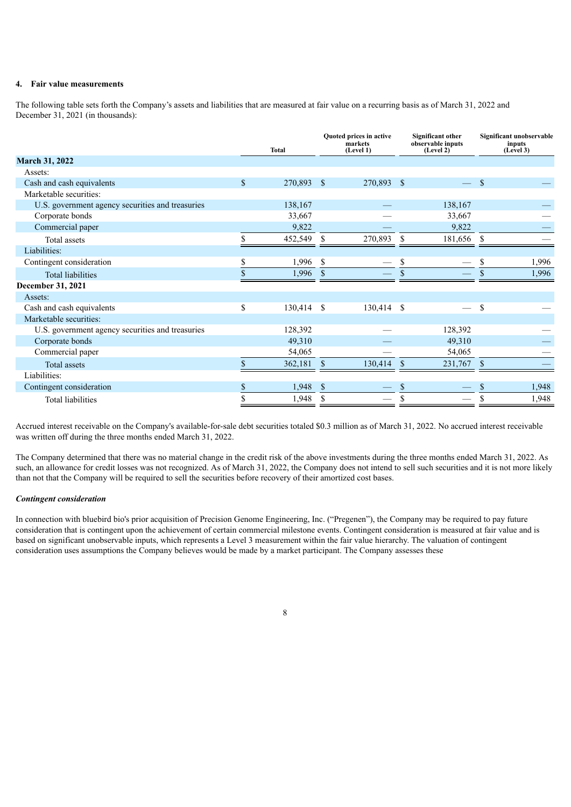## **4. Fair value measurements**

The following table sets forth the Company's assets and liabilities that are measured at fair value on a recurring basis as of March 31, 2022 and December 31, 2021 (in thousands):

|                                                  |              | <b>Total</b> |               | Quoted prices in active<br>markets<br>(Level 1) |    | <b>Significant other</b><br>observable inputs<br>(Level 2) |               | Significant unobservable<br>inputs<br>(Level 3) |
|--------------------------------------------------|--------------|--------------|---------------|-------------------------------------------------|----|------------------------------------------------------------|---------------|-------------------------------------------------|
| <b>March 31, 2022</b>                            |              |              |               |                                                 |    |                                                            |               |                                                 |
| Assets:                                          |              |              |               |                                                 |    |                                                            |               |                                                 |
| Cash and cash equivalents                        | $\mathbb{S}$ | 270,893 \$   |               | 270,893 \$                                      |    |                                                            | <sup>\$</sup> |                                                 |
| Marketable securities:                           |              |              |               |                                                 |    |                                                            |               |                                                 |
| U.S. government agency securities and treasuries |              | 138,167      |               |                                                 |    | 138,167                                                    |               |                                                 |
| Corporate bonds                                  |              | 33,667       |               |                                                 |    | 33,667                                                     |               |                                                 |
| Commercial paper                                 |              | 9,822        |               |                                                 |    | 9,822                                                      |               |                                                 |
| Total assets                                     |              | 452,549      | -S            | 270,893                                         | -S | 181,656                                                    | -S            |                                                 |
| Liabilities:                                     |              |              |               |                                                 |    |                                                            |               |                                                 |
| Contingent consideration                         | \$           | 1,996        | -S            |                                                 | \$ |                                                            | S             | 1,996                                           |
| <b>Total liabilities</b>                         |              | 1,996        |               |                                                 |    |                                                            |               | 1,996                                           |
| December 31, 2021                                |              |              |               |                                                 |    |                                                            |               |                                                 |
| Assets:                                          |              |              |               |                                                 |    |                                                            |               |                                                 |
| Cash and cash equivalents                        | \$           | 130,414 \$   |               | 130,414 \$                                      |    |                                                            | \$            |                                                 |
| Marketable securities:                           |              |              |               |                                                 |    |                                                            |               |                                                 |
| U.S. government agency securities and treasuries |              | 128,392      |               |                                                 |    | 128,392                                                    |               |                                                 |
| Corporate bonds                                  |              | 49,310       |               |                                                 |    | 49,310                                                     |               |                                                 |
| Commercial paper                                 |              | 54,065       |               |                                                 |    | 54,065                                                     |               |                                                 |
| Total assets                                     | \$           | 362,181      | \$.           | 130,414                                         | -S | 231,767                                                    | <sup>\$</sup> |                                                 |
| Liabilities:                                     |              |              |               |                                                 |    |                                                            |               |                                                 |
| Contingent consideration                         |              | 1,948        | <sup>\$</sup> |                                                 | S  |                                                            |               | 1,948                                           |
| <b>Total liabilities</b>                         |              | 1,948        | <sup>\$</sup> |                                                 | \$ |                                                            |               | 1,948                                           |

Accrued interest receivable on the Company's available-for-sale debt securities totaled \$0.3 million as of March 31, 2022. No accrued interest receivable was written off during the three months ended March 31, 2022.

The Company determined that there was no material change in the credit risk of the above investments during the three months ended March 31, 2022. As such, an allowance for credit losses was not recognized. As of March 31, 2022, the Company does not intend to sell such securities and it is not more likely than not that the Company will be required to sell the securities before recovery of their amortized cost bases.

## *Contingent consideration*

In connection with bluebird bio's prior acquisition of Precision Genome Engineering, Inc. ("Pregenen"), the Company may be required to pay future consideration that is contingent upon the achievement of certain commercial milestone events. Contingent consideration is measured at fair value and is based on significant unobservable inputs, which represents a Level 3 measurement within the fair value hierarchy. The valuation of contingent consideration uses assumptions the Company believes would be made by a market participant. The Company assesses these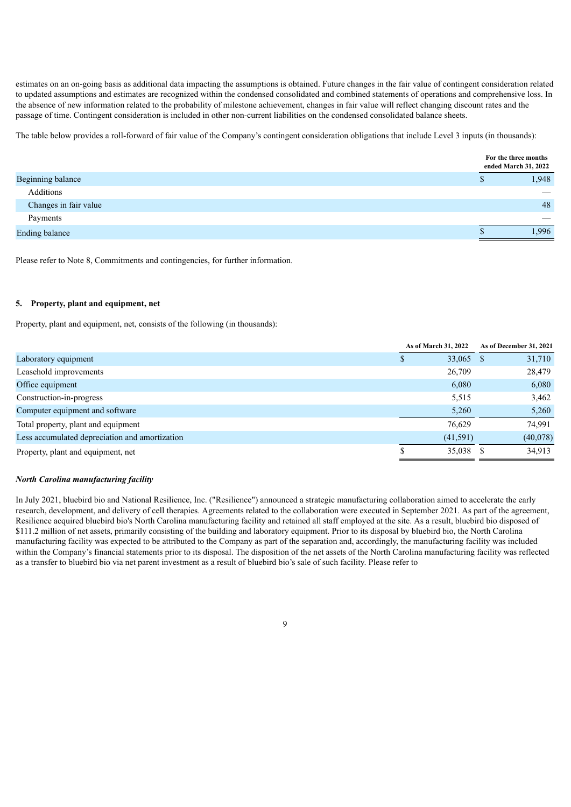estimates on an on-going basis as additional data impacting the assumptions is obtained. Future changes in the fair value of contingent consideration related to updated assumptions and estimates are recognized within the condensed consolidated and combined statements of operations and comprehensive loss. In the absence of new information related to the probability of milestone achievement, changes in fair value will reflect changing discount rates and the passage of time. Contingent consideration is included in other non-current liabilities on the condensed consolidated balance sheets.

The table below provides a roll-forward of fair value of the Company's contingent consideration obligations that include Level 3 inputs (in thousands):

|                       |               | For the three months<br>ended March 31, 2022 |
|-----------------------|---------------|----------------------------------------------|
| Beginning balance     | $\mathcal{D}$ | 1,948                                        |
| Additions             |               |                                              |
| Changes in fair value |               | 48                                           |
| Payments              |               |                                              |
| <b>Ending balance</b> |               | 1,996                                        |

Please refer to Note 8, Commitments and contingencies, for further information.

#### **5. Property, plant and equipment, net**

Property, plant and equipment, net, consists of the following (in thousands):

|                                                | As of March 31, 2022 | As of December 31, 2021 |
|------------------------------------------------|----------------------|-------------------------|
| Laboratory equipment                           | 33,065 \$            | 31,710                  |
| Leasehold improvements                         | 26,709               | 28,479                  |
| Office equipment                               | 6,080                | 6,080                   |
| Construction-in-progress                       | 5,515                | 3,462                   |
| Computer equipment and software                | 5,260                | 5,260                   |
| Total property, plant and equipment            | 76.629               | 74.991                  |
| Less accumulated depreciation and amortization | (41,591)             | (40,078)                |
| Property, plant and equipment, net             | 35,038 \$            | 34,913                  |

### *North Carolina manufacturing facility*

In July 2021, bluebird bio and National Resilience, Inc. ("Resilience") announced a strategic manufacturing collaboration aimed to accelerate the early research, development, and delivery of cell therapies. Agreements related to the collaboration were executed in September 2021. As part of the agreement, Resilience acquired bluebird bio's North Carolina manufacturing facility and retained all staff employed at the site. As a result, bluebird bio disposed of \$111.2 million of net assets, primarily consisting of the building and laboratory equipment. Prior to its disposal by bluebird bio, the North Carolina manufacturing facility was expected to be attributed to the Company as part of the separation and, accordingly, the manufacturing facility was included within the Company's financial statements prior to its disposal. The disposition of the net assets of the North Carolina manufacturing facility was reflected as a transfer to bluebird bio via net parent investment as a result of bluebird bio's sale of such facility. Please refer to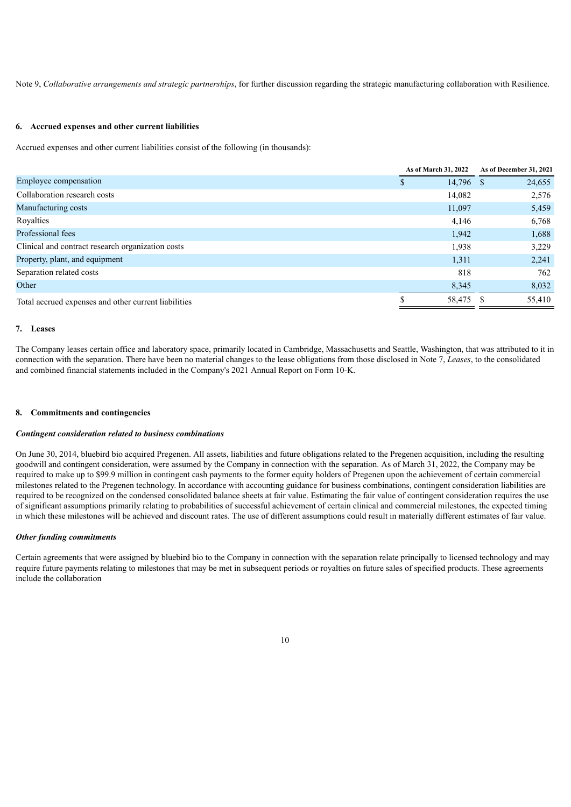Note 9, *Collaborative arrangements and strategic partnerships*, for further discussion regarding the strategic manufacturing collaboration with Resilience.

#### **6. Accrued expenses and other current liabilities**

Accrued expenses and other current liabilities consist of the following (in thousands):

|                                                      | As of March 31, 2022 | As of December 31, 2021 |
|------------------------------------------------------|----------------------|-------------------------|
| Employee compensation                                | $14,796$ \$<br>\$    | 24,655                  |
| Collaboration research costs                         | 14,082               | 2,576                   |
| Manufacturing costs                                  | 11,097               | 5,459                   |
| Royalties                                            | 4,146                | 6,768                   |
| Professional fees                                    | 1,942                | 1,688                   |
| Clinical and contract research organization costs    | 1,938                | 3,229                   |
| Property, plant, and equipment                       | 1,311                | 2,241                   |
| Separation related costs                             | 818                  | 762                     |
| Other                                                | 8,345                | 8,032                   |
| Total accrued expenses and other current liabilities | 58,475 \$            | 55,410                  |

#### **7. Leases**

The Company leases certain office and laboratory space, primarily located in Cambridge, Massachusetts and Seattle, Washington, that was attributed to it in connection with the separation. There have been no material changes to the lease obligations from those disclosed in Note 7, *Leases*, to the consolidated and combined financial statements included in the Company's 2021 Annual Report on Form 10-K.

#### **8. Commitments and contingencies**

#### *Contingent consideration related to business combinations*

On June 30, 2014, bluebird bio acquired Pregenen. All assets, liabilities and future obligations related to the Pregenen acquisition, including the resulting goodwill and contingent consideration, were assumed by the Company in connection with the separation. As of March 31, 2022, the Company may be required to make up to \$99.9 million in contingent cash payments to the former equity holders of Pregenen upon the achievement of certain commercial milestones related to the Pregenen technology. In accordance with accounting guidance for business combinations, contingent consideration liabilities are required to be recognized on the condensed consolidated balance sheets at fair value. Estimating the fair value of contingent consideration requires the use of significant assumptions primarily relating to probabilities of successful achievement of certain clinical and commercial milestones, the expected timing in which these milestones will be achieved and discount rates. The use of different assumptions could result in materially different estimates of fair value.

#### *Other funding commitments*

Certain agreements that were assigned by bluebird bio to the Company in connection with the separation relate principally to licensed technology and may require future payments relating to milestones that may be met in subsequent periods or royalties on future sales of specified products. These agreements include the collaboration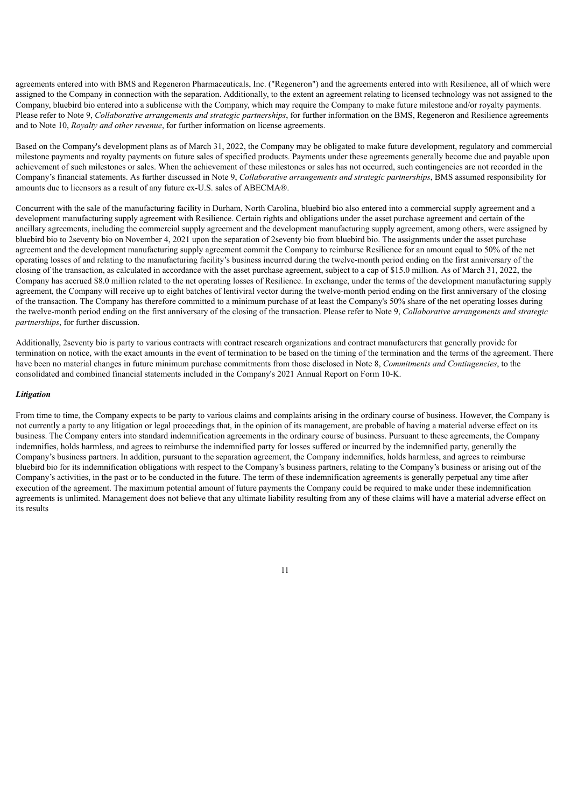agreements entered into with BMS and Regeneron Pharmaceuticals, Inc. ("Regeneron") and the agreements entered into with Resilience, all of which were assigned to the Company in connection with the separation. Additionally, to the extent an agreement relating to licensed technology was not assigned to the Company, bluebird bio entered into a sublicense with the Company, which may require the Company to make future milestone and/or royalty payments. Please refer to Note 9, *Collaborative arrangements and strategic partnerships*, for further information on the BMS, Regeneron and Resilience agreements and to Note 10, *Royalty and other revenue*, for further information on license agreements.

Based on the Company's development plans as of March 31, 2022, the Company may be obligated to make future development, regulatory and commercial milestone payments and royalty payments on future sales of specified products. Payments under these agreements generally become due and payable upon achievement of such milestones or sales. When the achievement of these milestones or sales has not occurred, such contingencies are not recorded in the Company's financial statements. As further discussed in Note 9, *Collaborative arrangements and strategic partnerships*, BMS assumed responsibility for amounts due to licensors as a result of any future ex-U.S. sales of ABECMA®.

Concurrent with the sale of the manufacturing facility in Durham, North Carolina, bluebird bio also entered into a commercial supply agreement and a development manufacturing supply agreement with Resilience. Certain rights and obligations under the asset purchase agreement and certain of the ancillary agreements, including the commercial supply agreement and the development manufacturing supply agreement, among others, were assigned by bluebird bio to 2seventy bio on November 4, 2021 upon the separation of 2seventy bio from bluebird bio. The assignments under the asset purchase agreement and the development manufacturing supply agreement commit the Company to reimburse Resilience for an amount equal to 50% of the net operating losses of and relating to the manufacturing facility's business incurred during the twelve-month period ending on the first anniversary of the closing of the transaction, as calculated in accordance with the asset purchase agreement, subject to a cap of \$15.0 million. As of March 31, 2022, the Company has accrued \$8.0 million related to the net operating losses of Resilience. In exchange, under the terms of the development manufacturing supply agreement, the Company will receive up to eight batches of lentiviral vector during the twelve-month period ending on the first anniversary of the closing of the transaction. The Company has therefore committed to a minimum purchase of at least the Company's 50% share of the net operating losses during the twelve-month period ending on the first anniversary of the closing of the transaction. Please refer to Note 9, *Collaborative arrangements and strategic partnerships*, for further discussion.

Additionally, 2seventy bio is party to various contracts with contract research organizations and contract manufacturers that generally provide for termination on notice, with the exact amounts in the event of termination to be based on the timing of the termination and the terms of the agreement. There have been no material changes in future minimum purchase commitments from those disclosed in Note 8, *Commitments and Contingencies*, to the consolidated and combined financial statements included in the Company's 2021 Annual Report on Form 10-K.

#### *Litigation*

From time to time, the Company expects to be party to various claims and complaints arising in the ordinary course of business. However, the Company is not currently a party to any litigation or legal proceedings that, in the opinion of its management, are probable of having a material adverse effect on its business. The Company enters into standard indemnification agreements in the ordinary course of business. Pursuant to these agreements, the Company indemnifies, holds harmless, and agrees to reimburse the indemnified party for losses suffered or incurred by the indemnified party, generally the Company's business partners. In addition, pursuant to the separation agreement, the Company indemnifies, holds harmless, and agrees to reimburse bluebird bio for its indemnification obligations with respect to the Company's business partners, relating to the Company's business or arising out of the Company's activities, in the past or to be conducted in the future. The term of these indemnification agreements is generally perpetual any time after execution of the agreement. The maximum potential amount of future payments the Company could be required to make under these indemnification agreements is unlimited. Management does not believe that any ultimate liability resulting from any of these claims will have a material adverse effect on its results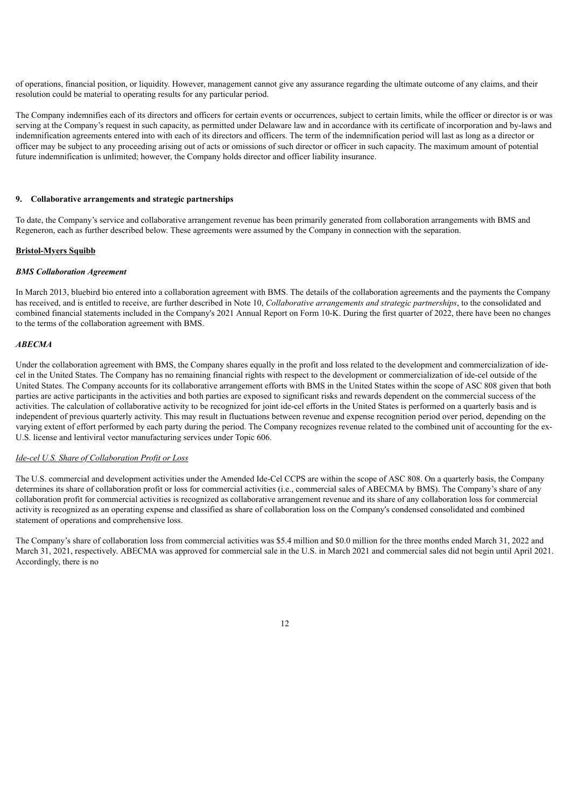of operations, financial position, or liquidity. However, management cannot give any assurance regarding the ultimate outcome of any claims, and their resolution could be material to operating results for any particular period.

The Company indemnifies each of its directors and officers for certain events or occurrences, subject to certain limits, while the officer or director is or was serving at the Company's request in such capacity, as permitted under Delaware law and in accordance with its certificate of incorporation and by-laws and indemnification agreements entered into with each of its directors and officers. The term of the indemnification period will last as long as a director or officer may be subject to any proceeding arising out of acts or omissions of such director or officer in such capacity. The maximum amount of potential future indemnification is unlimited; however, the Company holds director and officer liability insurance.

#### **9. Collaborative arrangements and strategic partnerships**

To date, the Company's service and collaborative arrangement revenue has been primarily generated from collaboration arrangements with BMS and Regeneron, each as further described below. These agreements were assumed by the Company in connection with the separation.

## **Bristol-Myers Squibb**

#### *BMS Collaboration Agreement*

In March 2013, bluebird bio entered into a collaboration agreement with BMS. The details of the collaboration agreements and the payments the Company has received, and is entitled to receive, are further described in Note 10, *Collaborative arrangements and strategic partnerships*, to the consolidated and combined financial statements included in the Company's 2021 Annual Report on Form 10-K. During the first quarter of 2022, there have been no changes to the terms of the collaboration agreement with BMS.

#### *ABECMA*

Under the collaboration agreement with BMS, the Company shares equally in the profit and loss related to the development and commercialization of idecel in the United States. The Company has no remaining financial rights with respect to the development or commercialization of ide-cel outside of the United States. The Company accounts for its collaborative arrangement efforts with BMS in the United States within the scope of ASC 808 given that both parties are active participants in the activities and both parties are exposed to significant risks and rewards dependent on the commercial success of the activities. The calculation of collaborative activity to be recognized for joint ide-cel efforts in the United States is performed on a quarterly basis and is independent of previous quarterly activity. This may result in fluctuations between revenue and expense recognition period over period, depending on the varying extent of effort performed by each party during the period. The Company recognizes revenue related to the combined unit of accounting for the ex-U.S. license and lentiviral vector manufacturing services under Topic 606.

## *Ide-cel U.S. Share of Collaboration Profit or Loss*

The U.S. commercial and development activities under the Amended Ide-Cel CCPS are within the scope of ASC 808. On a quarterly basis, the Company determines its share of collaboration profit or loss for commercial activities (i.e., commercial sales of ABECMA by BMS). The Company's share of any collaboration profit for commercial activities is recognized as collaborative arrangement revenue and its share of any collaboration loss for commercial activity is recognized as an operating expense and classified as share of collaboration loss on the Company's condensed consolidated and combined statement of operations and comprehensive loss.

The Company's share of collaboration loss from commercial activities was \$5.4 million and \$0.0 million for the three months ended March 31, 2022 and March 31, 2021, respectively. ABECMA was approved for commercial sale in the U.S. in March 2021 and commercial sales did not begin until April 2021. Accordingly, there is no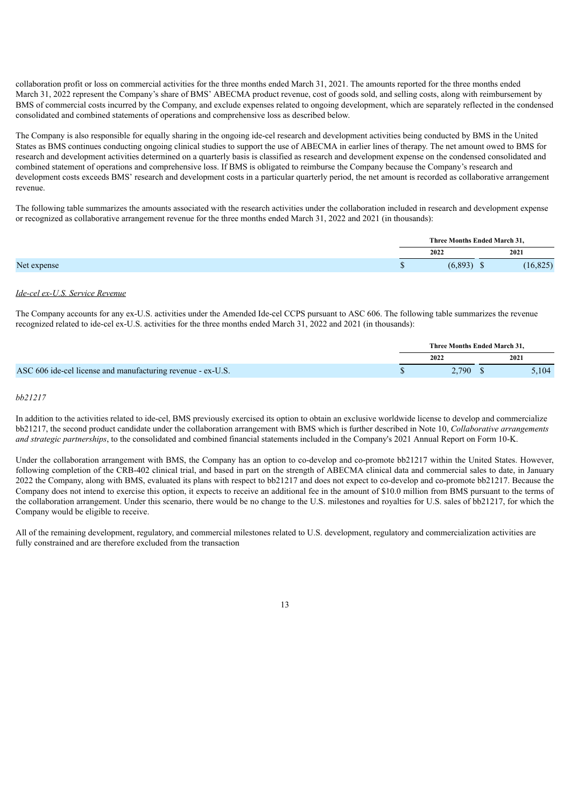collaboration profit or loss on commercial activities for the three months ended March 31, 2021. The amounts reported for the three months ended March 31, 2022 represent the Company's share of BMS' ABECMA product revenue, cost of goods sold, and selling costs, along with reimbursement by BMS of commercial costs incurred by the Company, and exclude expenses related to ongoing development, which are separately reflected in the condensed consolidated and combined statements of operations and comprehensive loss as described below.

The Company is also responsible for equally sharing in the ongoing ide-cel research and development activities being conducted by BMS in the United States as BMS continues conducting ongoing clinical studies to support the use of ABECMA in earlier lines of therapy. The net amount owed to BMS for research and development activities determined on a quarterly basis is classified as research and development expense on the condensed consolidated and combined statement of operations and comprehensive loss. If BMS is obligated to reimburse the Company because the Company's research and development costs exceeds BMS' research and development costs in a particular quarterly period, the net amount is recorded as collaborative arrangement revenue.

The following table summarizes the amounts associated with the research activities under the collaboration included in research and development expense or recognized as collaborative arrangement revenue for the three months ended March 31, 2022 and 2021 (in thousands):

| Three Months Ended March 31, |  |
|------------------------------|--|
| 2021<br>2022                 |  |
| (6,893)<br>16,825            |  |

#### *Ide-cel ex-U.S. Service Revenue*

The Company accounts for any ex-U.S. activities under the Amended Ide-cel CCPS pursuant to ASC 606. The following table summarizes the revenue recognized related to ide-cel ex-U.S. activities for the three months ended March 31, 2022 and 2021 (in thousands):

|                                                             | Three Months Ended March 31. |  |       |
|-------------------------------------------------------------|------------------------------|--|-------|
|                                                             | 2022                         |  | 2021  |
| ASC 606 ide-cel license and manufacturing revenue - ex-U.S. | 2.790 S                      |  | 5,104 |

#### *bb21217*

In addition to the activities related to ide-cel, BMS previously exercised its option to obtain an exclusive worldwide license to develop and commercialize bb21217, the second product candidate under the collaboration arrangement with BMS which is further described in Note 10, *Collaborative arrangements and strategic partnerships*, to the consolidated and combined financial statements included in the Company's 2021 Annual Report on Form 10-K.

Under the collaboration arrangement with BMS, the Company has an option to co-develop and co-promote bb21217 within the United States. However, following completion of the CRB-402 clinical trial, and based in part on the strength of ABECMA clinical data and commercial sales to date, in January 2022 the Company, along with BMS, evaluated its plans with respect to bb21217 and does not expect to co-develop and co-promote bb21217. Because the Company does not intend to exercise this option, it expects to receive an additional fee in the amount of \$10.0 million from BMS pursuant to the terms of the collaboration arrangement. Under this scenario, there would be no change to the U.S. milestones and royalties for U.S. sales of bb21217, for which the Company would be eligible to receive.

All of the remaining development, regulatory, and commercial milestones related to U.S. development, regulatory and commercialization activities are fully constrained and are therefore excluded from the transaction

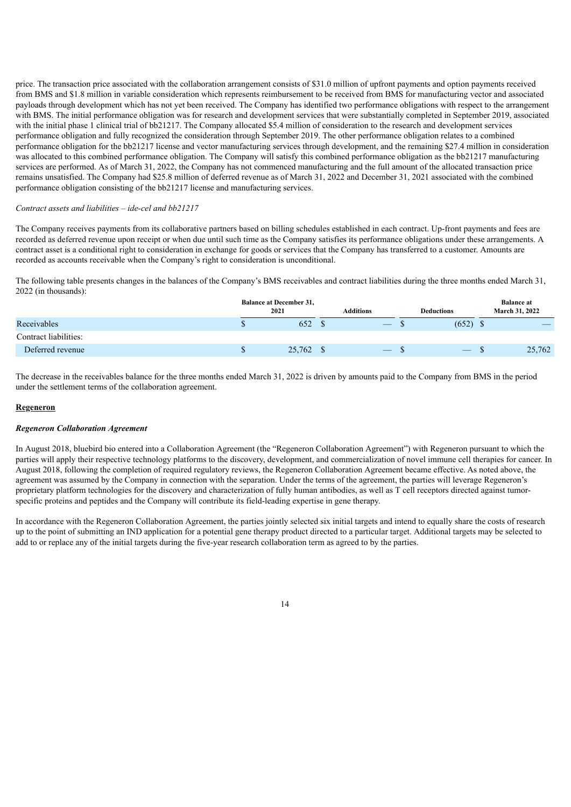price. The transaction price associated with the collaboration arrangement consists of \$31.0 million of upfront payments and option payments received from BMS and \$1.8 million in variable consideration which represents reimbursement to be received from BMS for manufacturing vector and associated payloads through development which has not yet been received. The Company has identified two performance obligations with respect to the arrangement with BMS. The initial performance obligation was for research and development services that were substantially completed in September 2019, associated with the initial phase 1 clinical trial of bb21217. The Company allocated \$5.4 million of consideration to the research and development services performance obligation and fully recognized the consideration through September 2019. The other performance obligation relates to a combined performance obligation for the bb21217 license and vector manufacturing services through development, and the remaining \$27.4 million in consideration was allocated to this combined performance obligation. The Company will satisfy this combined performance obligation as the bb21217 manufacturing services are performed. As of March 31, 2022, the Company has not commenced manufacturing and the full amount of the allocated transaction price remains unsatisfied. The Company had \$25.8 million of deferred revenue as of March 31, 2022 and December 31, 2021 associated with the combined performance obligation consisting of the bb21217 license and manufacturing services.

#### *Contract assets and liabilities – ide-cel and bb21217*

The Company receives payments from its collaborative partners based on billing schedules established in each contract. Up-front payments and fees are recorded as deferred revenue upon receipt or when due until such time as the Company satisfies its performance obligations under these arrangements. A contract asset is a conditional right to consideration in exchange for goods or services that the Company has transferred to a customer. Amounts are recorded as accounts receivable when the Company's right to consideration is unconditional.

The following table presents changes in the balances of the Company's BMS receivables and contract liabilities during the three months ended March 31, 2022 (in thousands):

|                       | <b>Balance at December 31,</b><br>2021 |           | <b>Additions</b>  | <b>Deductions</b>              | <b>Balance at</b><br><b>March 31, 2022</b> |
|-----------------------|----------------------------------------|-----------|-------------------|--------------------------------|--------------------------------------------|
| Receivables           |                                        | 652       |                   | (652)                          |                                            |
| Contract liabilities: |                                        |           |                   |                                |                                            |
| Deferred revenue      |                                        | 25,762 \$ | $\qquad \qquad -$ | $\qquad \qquad \longleftarrow$ | 25,762                                     |

The decrease in the receivables balance for the three months ended March 31, 2022 is driven by amounts paid to the Company from BMS in the period under the settlement terms of the collaboration agreement.

#### **Regeneron**

#### *Regeneron Collaboration Agreement*

In August 2018, bluebird bio entered into a Collaboration Agreement (the "Regeneron Collaboration Agreement") with Regeneron pursuant to which the parties will apply their respective technology platforms to the discovery, development, and commercialization of novel immune cell therapies for cancer. In August 2018, following the completion of required regulatory reviews, the Regeneron Collaboration Agreement became effective. As noted above, the agreement was assumed by the Company in connection with the separation. Under the terms of the agreement, the parties will leverage Regeneron's proprietary platform technologies for the discovery and characterization of fully human antibodies, as well as T cell receptors directed against tumorspecific proteins and peptides and the Company will contribute its field-leading expertise in gene therapy.

In accordance with the Regeneron Collaboration Agreement, the parties jointly selected six initial targets and intend to equally share the costs of research up to the point of submitting an IND application for a potential gene therapy product directed to a particular target. Additional targets may be selected to add to or replace any of the initial targets during the five-year research collaboration term as agreed to by the parties.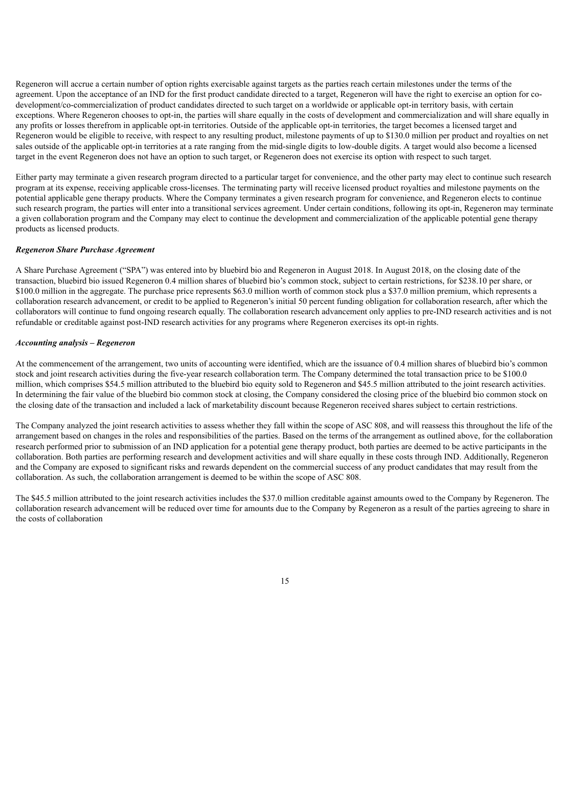Regeneron will accrue a certain number of option rights exercisable against targets as the parties reach certain milestones under the terms of the agreement. Upon the acceptance of an IND for the first product candidate directed to a target, Regeneron will have the right to exercise an option for codevelopment/co-commercialization of product candidates directed to such target on a worldwide or applicable opt-in territory basis, with certain exceptions. Where Regeneron chooses to opt-in, the parties will share equally in the costs of development and commercialization and will share equally in any profits or losses therefrom in applicable opt-in territories. Outside of the applicable opt-in territories, the target becomes a licensed target and Regeneron would be eligible to receive, with respect to any resulting product, milestone payments of up to \$130.0 million per product and royalties on net sales outside of the applicable opt-in territories at a rate ranging from the mid-single digits to low-double digits. A target would also become a licensed target in the event Regeneron does not have an option to such target, or Regeneron does not exercise its option with respect to such target.

Either party may terminate a given research program directed to a particular target for convenience, and the other party may elect to continue such research program at its expense, receiving applicable cross-licenses. The terminating party will receive licensed product royalties and milestone payments on the potential applicable gene therapy products. Where the Company terminates a given research program for convenience, and Regeneron elects to continue such research program, the parties will enter into a transitional services agreement. Under certain conditions, following its opt-in, Regeneron may terminate a given collaboration program and the Company may elect to continue the development and commercialization of the applicable potential gene therapy products as licensed products.

#### *Regeneron Share Purchase Agreement*

A Share Purchase Agreement ("SPA") was entered into by bluebird bio and Regeneron in August 2018. In August 2018, on the closing date of the transaction, bluebird bio issued Regeneron 0.4 million shares of bluebird bio's common stock, subject to certain restrictions, for \$238.10 per share, or \$100.0 million in the aggregate. The purchase price represents \$63.0 million worth of common stock plus a \$37.0 million premium, which represents a collaboration research advancement, or credit to be applied to Regeneron's initial 50 percent funding obligation for collaboration research, after which the collaborators will continue to fund ongoing research equally. The collaboration research advancement only applies to pre-IND research activities and is not refundable or creditable against post-IND research activities for any programs where Regeneron exercises its opt-in rights.

### *Accounting analysis – Regeneron*

At the commencement of the arrangement, two units of accounting were identified, which are the issuance of 0.4 million shares of bluebird bio's common stock and joint research activities during the five-year research collaboration term. The Company determined the total transaction price to be \$100.0 million, which comprises \$54.5 million attributed to the bluebird bio equity sold to Regeneron and \$45.5 million attributed to the joint research activities. In determining the fair value of the bluebird bio common stock at closing, the Company considered the closing price of the bluebird bio common stock on the closing date of the transaction and included a lack of marketability discount because Regeneron received shares subject to certain restrictions.

The Company analyzed the joint research activities to assess whether they fall within the scope of ASC 808, and will reassess this throughout the life of the arrangement based on changes in the roles and responsibilities of the parties. Based on the terms of the arrangement as outlined above, for the collaboration research performed prior to submission of an IND application for a potential gene therapy product, both parties are deemed to be active participants in the collaboration. Both parties are performing research and development activities and will share equally in these costs through IND. Additionally, Regeneron and the Company are exposed to significant risks and rewards dependent on the commercial success of any product candidates that may result from the collaboration. As such, the collaboration arrangement is deemed to be within the scope of ASC 808.

The \$45.5 million attributed to the joint research activities includes the \$37.0 million creditable against amounts owed to the Company by Regeneron. The collaboration research advancement will be reduced over time for amounts due to the Company by Regeneron as a result of the parties agreeing to share in the costs of collaboration

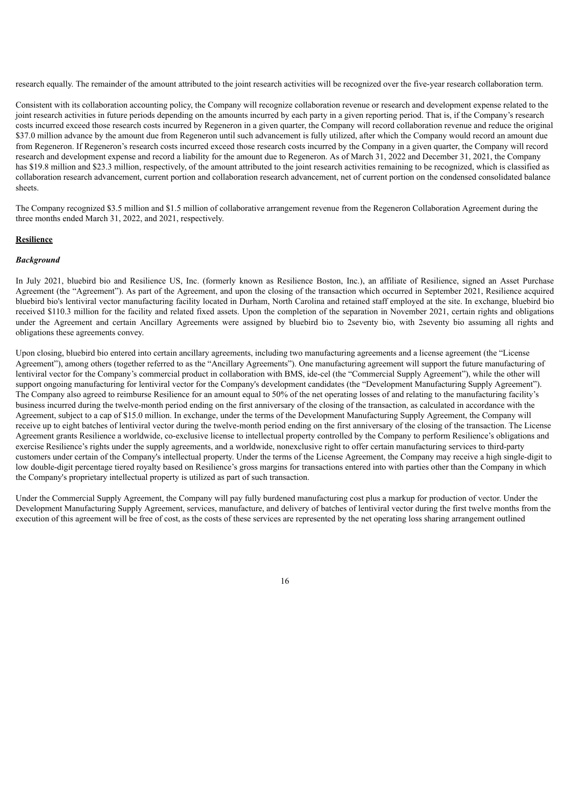research equally. The remainder of the amount attributed to the joint research activities will be recognized over the five-year research collaboration term.

Consistent with its collaboration accounting policy, the Company will recognize collaboration revenue or research and development expense related to the joint research activities in future periods depending on the amounts incurred by each party in a given reporting period. That is, if the Company's research costs incurred exceed those research costs incurred by Regeneron in a given quarter, the Company will record collaboration revenue and reduce the original \$37.0 million advance by the amount due from Regeneron until such advancement is fully utilized, after which the Company would record an amount due from Regeneron. If Regeneron's research costs incurred exceed those research costs incurred by the Company in a given quarter, the Company will record research and development expense and record a liability for the amount due to Regeneron. As of March 31, 2022 and December 31, 2021, the Company has \$19.8 million and \$23.3 million, respectively, of the amount attributed to the joint research activities remaining to be recognized, which is classified as collaboration research advancement, current portion and collaboration research advancement, net of current portion on the condensed consolidated balance sheets.

The Company recognized \$3.5 million and \$1.5 million of collaborative arrangement revenue from the Regeneron Collaboration Agreement during the three months ended March 31, 2022, and 2021, respectively.

## **Resilience**

#### *Background*

In July 2021, bluebird bio and Resilience US, Inc. (formerly known as Resilience Boston, Inc.), an affiliate of Resilience, signed an Asset Purchase Agreement (the "Agreement"). As part of the Agreement, and upon the closing of the transaction which occurred in September 2021, Resilience acquired bluebird bio's lentiviral vector manufacturing facility located in Durham, North Carolina and retained staff employed at the site. In exchange, bluebird bio received \$110.3 million for the facility and related fixed assets. Upon the completion of the separation in November 2021, certain rights and obligations under the Agreement and certain Ancillary Agreements were assigned by bluebird bio to 2seventy bio, with 2seventy bio assuming all rights and obligations these agreements convey.

Upon closing, bluebird bio entered into certain ancillary agreements, including two manufacturing agreements and a license agreement (the "License Agreement"), among others (together referred to as the "Ancillary Agreements"). One manufacturing agreement will support the future manufacturing of lentiviral vector for the Company's commercial product in collaboration with BMS, ide-cel (the "Commercial Supply Agreement"), while the other will support ongoing manufacturing for lentiviral vector for the Company's development candidates (the "Development Manufacturing Supply Agreement"). The Company also agreed to reimburse Resilience for an amount equal to 50% of the net operating losses of and relating to the manufacturing facility's business incurred during the twelve-month period ending on the first anniversary of the closing of the transaction, as calculated in accordance with the Agreement, subject to a cap of \$15.0 million. In exchange, under the terms of the Development Manufacturing Supply Agreement, the Company will receive up to eight batches of lentiviral vector during the twelve-month period ending on the first anniversary of the closing of the transaction. The License Agreement grants Resilience a worldwide, co-exclusive license to intellectual property controlled by the Company to perform Resilience's obligations and exercise Resilience's rights under the supply agreements, and a worldwide, nonexclusive right to offer certain manufacturing services to third-party customers under certain of the Company's intellectual property. Under the terms of the License Agreement, the Company may receive a high single-digit to low double-digit percentage tiered royalty based on Resilience's gross margins for transactions entered into with parties other than the Company in which the Company's proprietary intellectual property is utilized as part of such transaction.

Under the Commercial Supply Agreement, the Company will pay fully burdened manufacturing cost plus a markup for production of vector. Under the Development Manufacturing Supply Agreement, services, manufacture, and delivery of batches of lentiviral vector during the first twelve months from the execution of this agreement will be free of cost, as the costs of these services are represented by the net operating loss sharing arrangement outlined

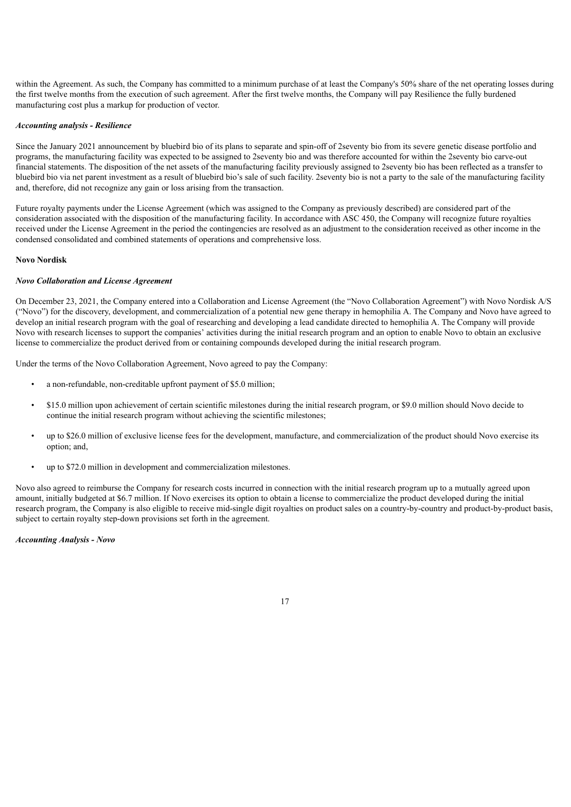within the Agreement. As such, the Company has committed to a minimum purchase of at least the Company's 50% share of the net operating losses during the first twelve months from the execution of such agreement. After the first twelve months, the Company will pay Resilience the fully burdened manufacturing cost plus a markup for production of vector.

#### *Accounting analysis - Resilience*

Since the January 2021 announcement by bluebird bio of its plans to separate and spin-off of 2seventy bio from its severe genetic disease portfolio and programs, the manufacturing facility was expected to be assigned to 2seventy bio and was therefore accounted for within the 2seventy bio carve-out financial statements. The disposition of the net assets of the manufacturing facility previously assigned to 2seventy bio has been reflected as a transfer to bluebird bio via net parent investment as a result of bluebird bio's sale of such facility. 2seventy bio is not a party to the sale of the manufacturing facility and, therefore, did not recognize any gain or loss arising from the transaction.

Future royalty payments under the License Agreement (which was assigned to the Company as previously described) are considered part of the consideration associated with the disposition of the manufacturing facility. In accordance with ASC 450, the Company will recognize future royalties received under the License Agreement in the period the contingencies are resolved as an adjustment to the consideration received as other income in the condensed consolidated and combined statements of operations and comprehensive loss.

#### **Novo Nordisk**

#### *Novo Collaboration and License Agreement*

On December 23, 2021, the Company entered into a Collaboration and License Agreement (the "Novo Collaboration Agreement") with Novo Nordisk A/S ("Novo") for the discovery, development, and commercialization of a potential new gene therapy in hemophilia A. The Company and Novo have agreed to develop an initial research program with the goal of researching and developing a lead candidate directed to hemophilia A. The Company will provide Novo with research licenses to support the companies' activities during the initial research program and an option to enable Novo to obtain an exclusive license to commercialize the product derived from or containing compounds developed during the initial research program.

Under the terms of the Novo Collaboration Agreement, Novo agreed to pay the Company:

- a non-refundable, non-creditable upfront payment of \$5.0 million;
- \$15.0 million upon achievement of certain scientific milestones during the initial research program, or \$9.0 million should Novo decide to continue the initial research program without achieving the scientific milestones;
- up to \$26.0 million of exclusive license fees for the development, manufacture, and commercialization of the product should Novo exercise its option; and,
- up to \$72.0 million in development and commercialization milestones.

Novo also agreed to reimburse the Company for research costs incurred in connection with the initial research program up to a mutually agreed upon amount, initially budgeted at \$6.7 million. If Novo exercises its option to obtain a license to commercialize the product developed during the initial research program, the Company is also eligible to receive mid-single digit royalties on product sales on a country-by-country and product-by-product basis, subject to certain royalty step-down provisions set forth in the agreement.

*Accounting Analysis - Novo*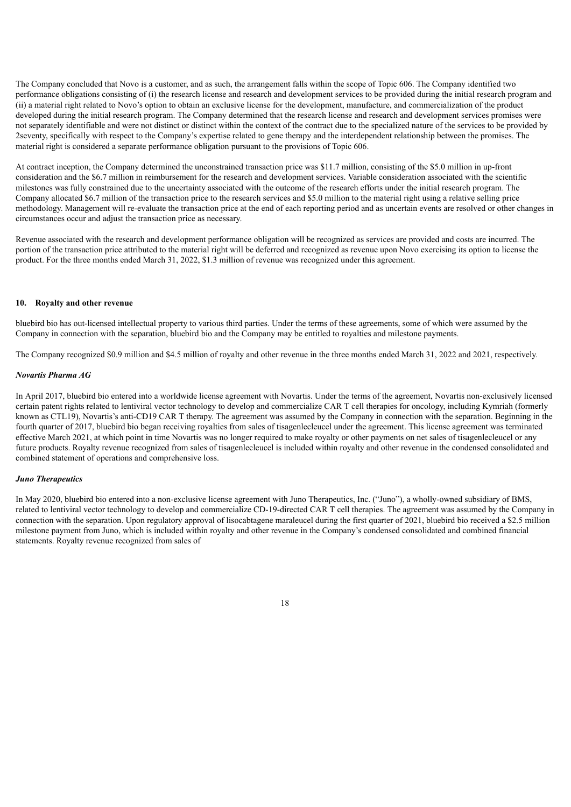The Company concluded that Novo is a customer, and as such, the arrangement falls within the scope of Topic 606. The Company identified two performance obligations consisting of (i) the research license and research and development services to be provided during the initial research program and (ii) a material right related to Novo's option to obtain an exclusive license for the development, manufacture, and commercialization of the product developed during the initial research program. The Company determined that the research license and research and development services promises were not separately identifiable and were not distinct or distinct within the context of the contract due to the specialized nature of the services to be provided by 2seventy, specifically with respect to the Company's expertise related to gene therapy and the interdependent relationship between the promises. The material right is considered a separate performance obligation pursuant to the provisions of Topic 606.

At contract inception, the Company determined the unconstrained transaction price was \$11.7 million, consisting of the \$5.0 million in up-front consideration and the \$6.7 million in reimbursement for the research and development services. Variable consideration associated with the scientific milestones was fully constrained due to the uncertainty associated with the outcome of the research efforts under the initial research program. The Company allocated \$6.7 million of the transaction price to the research services and \$5.0 million to the material right using a relative selling price methodology. Management will re-evaluate the transaction price at the end of each reporting period and as uncertain events are resolved or other changes in circumstances occur and adjust the transaction price as necessary.

Revenue associated with the research and development performance obligation will be recognized as services are provided and costs are incurred. The portion of the transaction price attributed to the material right will be deferred and recognized as revenue upon Novo exercising its option to license the product. For the three months ended March 31, 2022, \$1.3 million of revenue was recognized under this agreement.

## **10. Royalty and other revenue**

bluebird bio has out-licensed intellectual property to various third parties. Under the terms of these agreements, some of which were assumed by the Company in connection with the separation, bluebird bio and the Company may be entitled to royalties and milestone payments.

The Company recognized \$0.9 million and \$4.5 million of royalty and other revenue in the three months ended March 31, 2022 and 2021, respectively.

#### *Novartis Pharma AG*

In April 2017, bluebird bio entered into a worldwide license agreement with Novartis. Under the terms of the agreement, Novartis non-exclusively licensed certain patent rights related to lentiviral vector technology to develop and commercialize CAR T cell therapies for oncology, including Kymriah (formerly known as CTL19), Novartis's anti-CD19 CAR T therapy. The agreement was assumed by the Company in connection with the separation. Beginning in the fourth quarter of 2017, bluebird bio began receiving royalties from sales of tisagenlecleucel under the agreement. This license agreement was terminated effective March 2021, at which point in time Novartis was no longer required to make royalty or other payments on net sales of tisagenlecleucel or any future products. Royalty revenue recognized from sales of tisagenlecleucel is included within royalty and other revenue in the condensed consolidated and combined statement of operations and comprehensive loss.

### *Juno Therapeutics*

In May 2020, bluebird bio entered into a non-exclusive license agreement with Juno Therapeutics, Inc. ("Juno"), a wholly-owned subsidiary of BMS, related to lentiviral vector technology to develop and commercialize CD-19-directed CAR T cell therapies. The agreement was assumed by the Company in connection with the separation. Upon regulatory approval of lisocabtagene maraleucel during the first quarter of 2021, bluebird bio received a \$2.5 million milestone payment from Juno, which is included within royalty and other revenue in the Company's condensed consolidated and combined financial statements. Royalty revenue recognized from sales of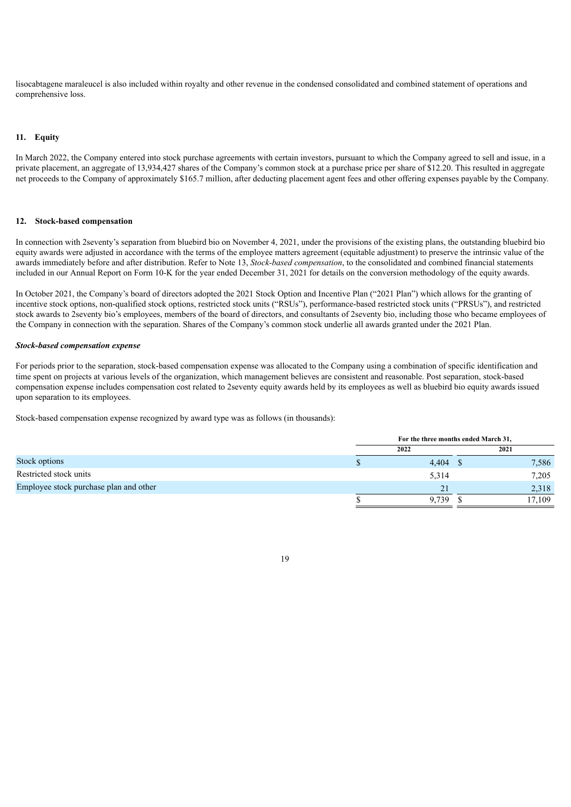lisocabtagene maraleucel is also included within royalty and other revenue in the condensed consolidated and combined statement of operations and comprehensive loss.

## **11. Equity**

In March 2022, the Company entered into stock purchase agreements with certain investors, pursuant to which the Company agreed to sell and issue, in a private placement, an aggregate of 13,934,427 shares of the Company's common stock at a purchase price per share of \$12.20. This resulted in aggregate net proceeds to the Company of approximately \$165.7 million, after deducting placement agent fees and other offering expenses payable by the Company.

## **12. Stock-based compensation**

In connection with 2seventy's separation from bluebird bio on November 4, 2021, under the provisions of the existing plans, the outstanding bluebird bio equity awards were adjusted in accordance with the terms of the employee matters agreement (equitable adjustment) to preserve the intrinsic value of the awards immediately before and after distribution. Refer to Note 13, *Stock-based compensation*, to the consolidated and combined financial statements included in our Annual Report on Form 10-K for the year ended December 31, 2021 for details on the conversion methodology of the equity awards.

In October 2021, the Company's board of directors adopted the 2021 Stock Option and Incentive Plan ("2021 Plan") which allows for the granting of incentive stock options, non-qualified stock options, restricted stock units ("RSUs"), performance-based restricted stock units ("PRSUs"), and restricted stock awards to 2seventy bio's employees, members of the board of directors, and consultants of 2seventy bio, including those who became employees of the Company in connection with the separation. Shares of the Company's common stock underlie all awards granted under the 2021 Plan.

#### *Stock-based compensation expense*

For periods prior to the separation, stock-based compensation expense was allocated to the Company using a combination of specific identification and time spent on projects at various levels of the organization, which management believes are consistent and reasonable. Post separation, stock-based compensation expense includes compensation cost related to 2seventy equity awards held by its employees as well as bluebird bio equity awards issued upon separation to its employees.

Stock-based compensation expense recognized by award type was as follows (in thousands):

|                                        | For the three months ended March 31, |  |        |  |
|----------------------------------------|--------------------------------------|--|--------|--|
|                                        | 2022                                 |  | 2021   |  |
| Stock options                          | $4,404$ \$                           |  | 7,586  |  |
| Restricted stock units                 | 5,314                                |  | 7,205  |  |
| Employee stock purchase plan and other | 21                                   |  | 2,318  |  |
|                                        | 9.739                                |  | 17,109 |  |

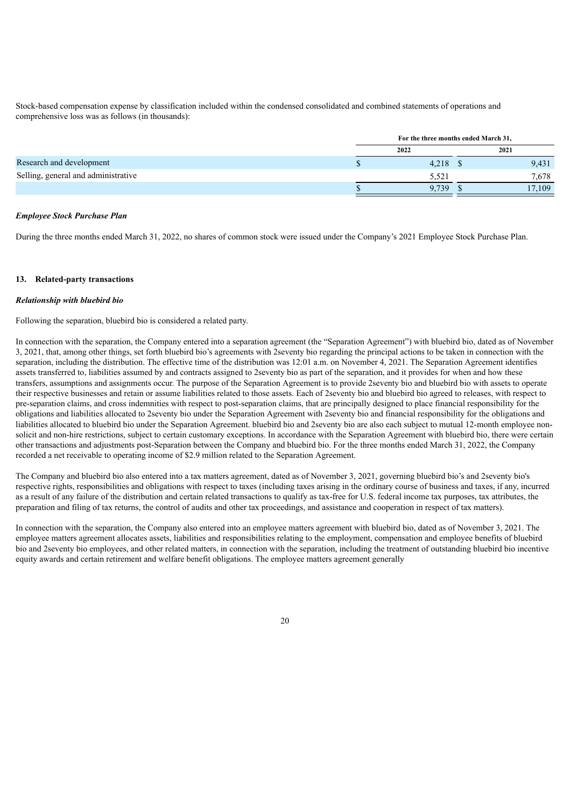Stock-based compensation expense by classification included within the condensed consolidated and combined statements of operations and comprehensive loss was as follows (in thousands):

|                                     | For the three months ended March 31, |  |        |  |
|-------------------------------------|--------------------------------------|--|--------|--|
|                                     | 2022                                 |  | 2021   |  |
| Research and development            | $4,218$ \$                           |  | 9,431  |  |
| Selling, general and administrative | 5.521                                |  | 7.678  |  |
|                                     | 9.739                                |  | 17,109 |  |

### *Employee Stock Purchase Plan*

During the three months ended March 31, 2022, no shares of common stock were issued under the Company's 2021 Employee Stock Purchase Plan.

## **13. Related-party transactions**

#### *Relationship with bluebird bio*

Following the separation, bluebird bio is considered a related party.

In connection with the separation, the Company entered into a separation agreement (the "Separation Agreement") with bluebird bio, dated as of November 3, 2021, that, among other things, set forth bluebird bio's agreements with 2seventy bio regarding the principal actions to be taken in connection with the separation, including the distribution. The effective time of the distribution was 12:01 a.m. on November 4, 2021. The Separation Agreement identifies assets transferred to, liabilities assumed by and contracts assigned to 2seventy bio as part of the separation, and it provides for when and how these transfers, assumptions and assignments occur. The purpose of the Separation Agreement is to provide 2seventy bio and bluebird bio with assets to operate their respective businesses and retain or assume liabilities related to those assets. Each of 2seventy bio and bluebird bio agreed to releases, with respect to pre-separation claims, and cross indemnities with respect to post-separation claims, that are principally designed to place financial responsibility for the obligations and liabilities allocated to 2seventy bio under the Separation Agreement with 2seventy bio and financial responsibility for the obligations and liabilities allocated to bluebird bio under the Separation Agreement. bluebird bio and 2seventy bio are also each subject to mutual 12-month employee nonsolicit and non-hire restrictions, subject to certain customary exceptions. In accordance with the Separation Agreement with bluebird bio, there were certain other transactions and adjustments post-Separation between the Company and bluebird bio. For the three months ended March 31, 2022, the Company recorded a net receivable to operating income of \$2.9 million related to the Separation Agreement.

The Company and bluebird bio also entered into a tax matters agreement, dated as of November 3, 2021, governing bluebird bio's and 2seventy bio's respective rights, responsibilities and obligations with respect to taxes (including taxes arising in the ordinary course of business and taxes, if any, incurred as a result of any failure of the distribution and certain related transactions to qualify as tax-free for U.S. federal income tax purposes, tax attributes, the preparation and filing of tax returns, the control of audits and other tax proceedings, and assistance and cooperation in respect of tax matters).

In connection with the separation, the Company also entered into an employee matters agreement with bluebird bio, dated as of November 3, 2021. The employee matters agreement allocates assets, liabilities and responsibilities relating to the employment, compensation and employee benefits of bluebird bio and 2seventy bio employees, and other related matters, in connection with the separation, including the treatment of outstanding bluebird bio incentive equity awards and certain retirement and welfare benefit obligations. The employee matters agreement generally

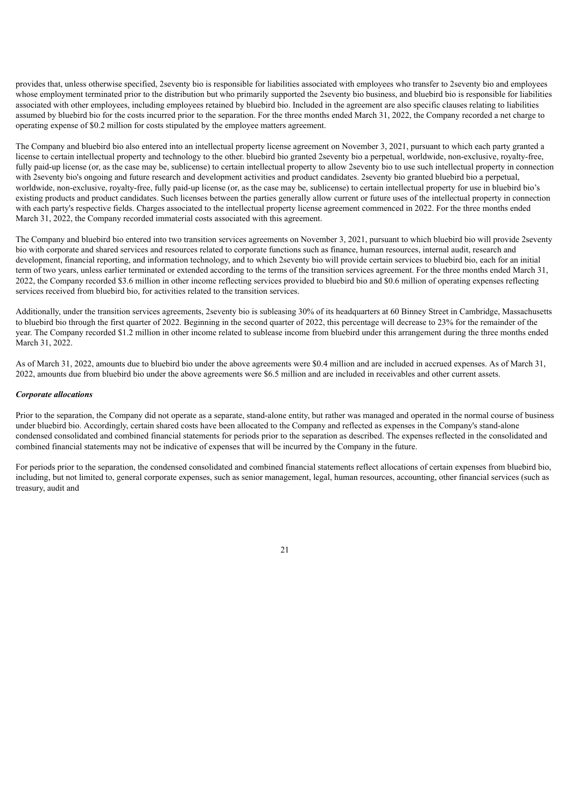provides that, unless otherwise specified, 2seventy bio is responsible for liabilities associated with employees who transfer to 2seventy bio and employees whose employment terminated prior to the distribution but who primarily supported the 2seventy bio business, and bluebird bio is responsible for liabilities associated with other employees, including employees retained by bluebird bio. Included in the agreement are also specific clauses relating to liabilities assumed by bluebird bio for the costs incurred prior to the separation. For the three months ended March 31, 2022, the Company recorded a net charge to operating expense of \$0.2 million for costs stipulated by the employee matters agreement.

The Company and bluebird bio also entered into an intellectual property license agreement on November 3, 2021, pursuant to which each party granted a license to certain intellectual property and technology to the other. bluebird bio granted 2seventy bio a perpetual, worldwide, non-exclusive, royalty-free, fully paid-up license (or, as the case may be, sublicense) to certain intellectual property to allow 2seventy bio to use such intellectual property in connection with 2seventy bio's ongoing and future research and development activities and product candidates. 2seventy bio granted bluebird bio a perpetual, worldwide, non-exclusive, royalty-free, fully paid-up license (or, as the case may be, sublicense) to certain intellectual property for use in bluebird bio's existing products and product candidates. Such licenses between the parties generally allow current or future uses of the intellectual property in connection with each party's respective fields. Charges associated to the intellectual property license agreement commenced in 2022. For the three months ended March 31, 2022, the Company recorded immaterial costs associated with this agreement.

The Company and bluebird bio entered into two transition services agreements on November 3, 2021, pursuant to which bluebird bio will provide 2seventy bio with corporate and shared services and resources related to corporate functions such as finance, human resources, internal audit, research and development, financial reporting, and information technology, and to which 2seventy bio will provide certain services to bluebird bio, each for an initial term of two years, unless earlier terminated or extended according to the terms of the transition services agreement. For the three months ended March 31, 2022, the Company recorded \$3.6 million in other income reflecting services provided to bluebird bio and \$0.6 million of operating expenses reflecting services received from bluebird bio, for activities related to the transition services.

Additionally, under the transition services agreements, 2seventy bio is subleasing 30% of its headquarters at 60 Binney Street in Cambridge, Massachusetts to bluebird bio through the first quarter of 2022. Beginning in the second quarter of 2022, this percentage will decrease to 23% for the remainder of the year. The Company recorded \$1.2 million in other income related to sublease income from bluebird under this arrangement during the three months ended March 31, 2022.

As of March 31, 2022, amounts due to bluebird bio under the above agreements were \$0.4 million and are included in accrued expenses. As of March 31, 2022, amounts due from bluebird bio under the above agreements were \$6.5 million and are included in receivables and other current assets.

#### *Corporate allocations*

Prior to the separation, the Company did not operate as a separate, stand-alone entity, but rather was managed and operated in the normal course of business under bluebird bio. Accordingly, certain shared costs have been allocated to the Company and reflected as expenses in the Company's stand-alone condensed consolidated and combined financial statements for periods prior to the separation as described. The expenses reflected in the consolidated and combined financial statements may not be indicative of expenses that will be incurred by the Company in the future.

For periods prior to the separation, the condensed consolidated and combined financial statements reflect allocations of certain expenses from bluebird bio, including, but not limited to, general corporate expenses, such as senior management, legal, human resources, accounting, other financial services (such as treasury, audit and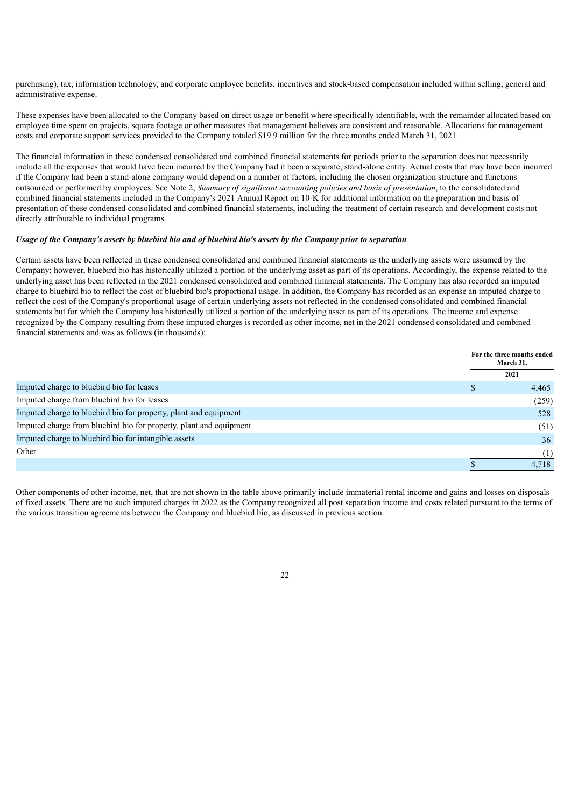purchasing), tax, information technology, and corporate employee benefits, incentives and stock-based compensation included within selling, general and administrative expense.

These expenses have been allocated to the Company based on direct usage or benefit where specifically identifiable, with the remainder allocated based on employee time spent on projects, square footage or other measures that management believes are consistent and reasonable. Allocations for management costs and corporate support services provided to the Company totaled \$19.9 million for the three months ended March 31, 2021.

The financial information in these condensed consolidated and combined financial statements for periods prior to the separation does not necessarily include all the expenses that would have been incurred by the Company had it been a separate, stand-alone entity. Actual costs that may have been incurred if the Company had been a stand-alone company would depend on a number of factors, including the chosen organization structure and functions outsourced or performed by employees. See Note 2, *Summary of significant accounting policies and basis of presentation*, to the consolidated and combined financial statements included in the Company's 2021 Annual Report on 10-K for additional information on the preparation and basis of presentation of these condensed consolidated and combined financial statements, including the treatment of certain research and development costs not directly attributable to individual programs.

## Usage of the Company's assets by bluebird bio and of bluebird bio's assets by the Company prior to separation

Certain assets have been reflected in these condensed consolidated and combined financial statements as the underlying assets were assumed by the Company; however, bluebird bio has historically utilized a portion of the underlying asset as part of its operations. Accordingly, the expense related to the underlying asset has been reflected in the 2021 condensed consolidated and combined financial statements. The Company has also recorded an imputed charge to bluebird bio to reflect the cost of bluebird bio's proportional usage. In addition, the Company has recorded as an expense an imputed charge to reflect the cost of the Company's proportional usage of certain underlying assets not reflected in the condensed consolidated and combined financial statements but for which the Company has historically utilized a portion of the underlying asset as part of its operations. The income and expense recognized by the Company resulting from these imputed charges is recorded as other income, net in the 2021 condensed consolidated and combined financial statements and was as follows (in thousands):

|                                                                    | For the three months ended<br>March 31, |
|--------------------------------------------------------------------|-----------------------------------------|
|                                                                    | 2021                                    |
| Imputed charge to bluebird bio for leases                          | 4,465                                   |
| Imputed charge from bluebird bio for leases                        | (259)                                   |
| Imputed charge to bluebird bio for property, plant and equipment   | 528                                     |
| Imputed charge from bluebird bio for property, plant and equipment | (51)                                    |
| Imputed charge to bluebird bio for intangible assets               | 36                                      |
| Other                                                              | (1)                                     |
|                                                                    | 4.718                                   |

Other components of other income, net, that are not shown in the table above primarily include immaterial rental income and gains and losses on disposals of fixed assets. There are no such imputed charges in 2022 as the Company recognized all post separation income and costs related pursuant to the terms of the various transition agreements between the Company and bluebird bio, as discussed in previous section.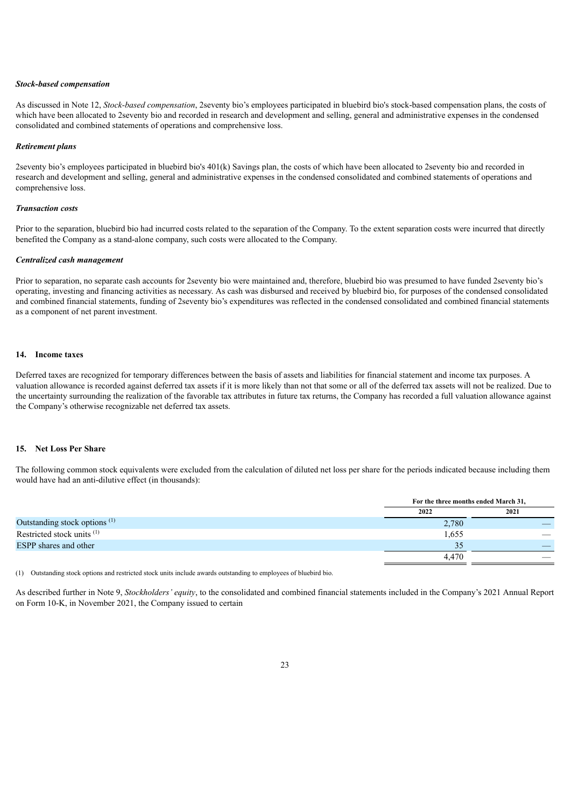#### *Stock-based compensation*

As discussed in Note 12, *Stock-based compensation*, 2seventy bio's employees participated in bluebird bio's stock-based compensation plans, the costs of which have been allocated to 2seventy bio and recorded in research and development and selling, general and administrative expenses in the condensed consolidated and combined statements of operations and comprehensive loss.

#### *Retirement plans*

2seventy bio's employees participated in bluebird bio's 401(k) Savings plan, the costs of which have been allocated to 2seventy bio and recorded in research and development and selling, general and administrative expenses in the condensed consolidated and combined statements of operations and comprehensive loss.

#### *Transaction costs*

Prior to the separation, bluebird bio had incurred costs related to the separation of the Company. To the extent separation costs were incurred that directly benefited the Company as a stand-alone company, such costs were allocated to the Company.

#### *Centralized cash management*

Prior to separation, no separate cash accounts for 2seventy bio were maintained and, therefore, bluebird bio was presumed to have funded 2seventy bio's operating, investing and financing activities as necessary. As cash was disbursed and received by bluebird bio, for purposes of the condensed consolidated and combined financial statements, funding of 2seventy bio's expenditures was reflected in the condensed consolidated and combined financial statements as a component of net parent investment.

#### **14. Income taxes**

Deferred taxes are recognized for temporary differences between the basis of assets and liabilities for financial statement and income tax purposes. A valuation allowance is recorded against deferred tax assets if it is more likely than not that some or all of the deferred tax assets will not be realized. Due to the uncertainty surrounding the realization of the favorable tax attributes in future tax returns, the Company has recorded a full valuation allowance against the Company's otherwise recognizable net deferred tax assets.

#### **15. Net Loss Per Share**

The following common stock equivalents were excluded from the calculation of diluted net loss per share for the periods indicated because including them would have had an anti-dilutive effect (in thousands):

|                                          |       | For the three months ended March 31, |  |  |
|------------------------------------------|-------|--------------------------------------|--|--|
|                                          | 2022  | 2021                                 |  |  |
| Outstanding stock options <sup>(1)</sup> | 2,780 |                                      |  |  |
| Restricted stock units <sup>(1)</sup>    | 1,655 |                                      |  |  |
| <b>ESPP</b> shares and other             | 35    |                                      |  |  |
|                                          | 4,470 |                                      |  |  |

(1) Outstanding stock options and restricted stock units include awards outstanding to employees of bluebird bio.

As described further in Note 9, *Stockholders' equity*, to the consolidated and combined financial statements included in the Company's 2021 Annual Report on Form 10-K, in November 2021, the Company issued to certain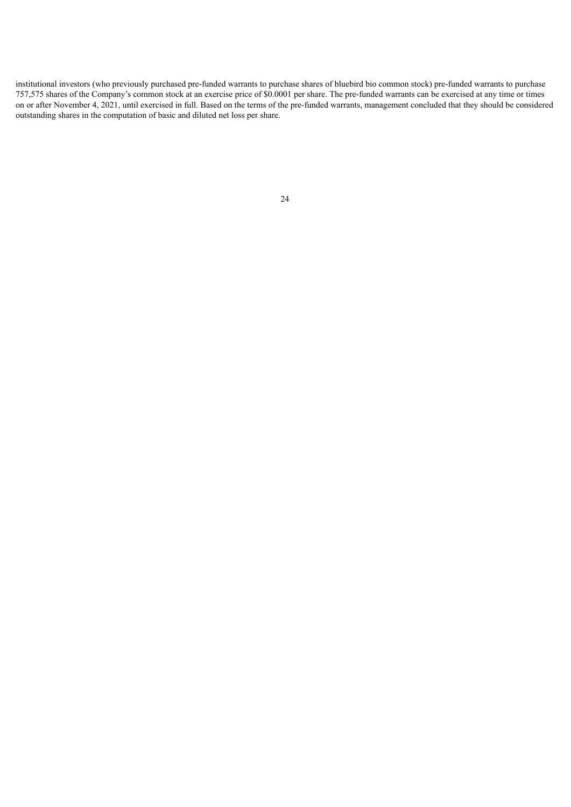<span id="page-28-0"></span>institutional investors (who previously purchased pre-funded warrants to purchase shares of bluebird bio common stock) pre-funded warrants to purchase 757,575 shares of the Company's common stock at an exercise price of \$0.0001 per share. The pre-funded warrants can be exercised at any time or times on or after November 4, 2021, until exercised in full. Based on the terms of the pre-funded warrants, management concluded that they should be considered outstanding shares in the computation of basic and diluted net loss per share.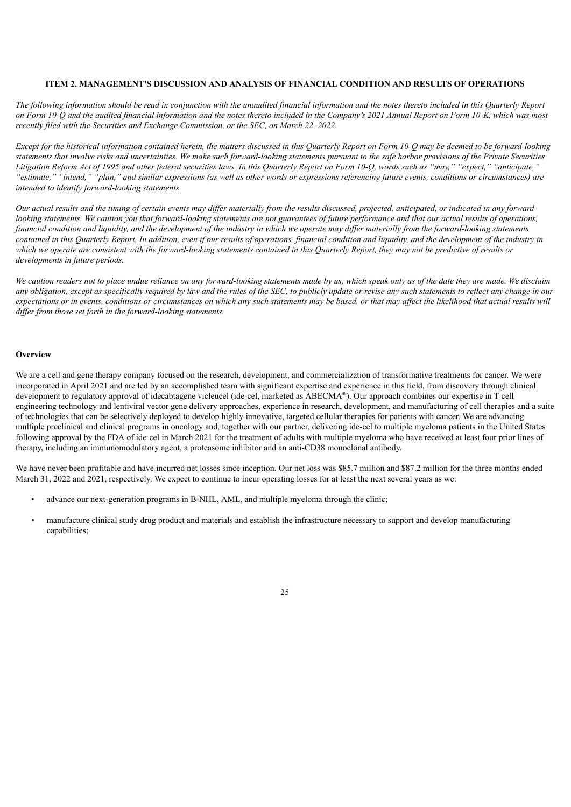### **ITEM 2. MANAGEMENT'S DISCUSSION AND ANALYSIS OF FINANCIAL CONDITION AND RESULTS OF OPERATIONS**

The following information should be read in conjunction with the unaudited financial information and the notes thereto included in this Quarterly Report on Form 10-O and the audited financial information and the notes thereto included in the Company's 2021 Annual Report on Form 10-K, which was most *recently filed with the Securities and Exchange Commission, or the SEC, on March 22, 2022.*

Except for the historical information contained herein, the matters discussed in this Ouarterly Report on Form 10-O may be deemed to be forward-looking statements that involve risks and uncertainties. We make such forward-looking statements pursuant to the safe harbor provisions of the Private Securities Litigation Reform Act of 1995 and other federal securities laws. In this Quarterly Report on Form 10-Q, words such as "may," "expect," "anticipate," "estimate," "intend," "plan," and similar expressions (as well as other words or expressions referencing future events, conditions or circumstances) are *intended to identify forward-looking statements.*

Our actual results and the timing of certain events may differ materially from the results discussed, projected, anticipated, or indicated in any forwardlooking statements. We caution you that forward-looking statements are not guarantees of future performance and that our actual results of operations, financial condition and liquidity, and the development of the industry in which we operate may differ materially from the forward-looking statements contained in this Quarterly Report. In addition, even if our results of operations, financial condition and liquidity, and the development of the industry in which we operate are consistent with the forward-looking statements contained in this Quarterly Report, they may not be predictive of results or *developments in future periods.*

We caution readers not to place undue reliance on any forward-looking statements made by us, which speak only as of the date they are made. We disclaim any obligation, except as specifically required by law and the rules of the SEC, to publicly undate or revise any such statements to reflect any change in our expectations or in events, conditions or circumstances on which any such statements may be based, or that may affect the likelihood that actual results will *dif er from those set forth in the forward-looking statements.*

### **Overview**

We are a cell and gene therapy company focused on the research, development, and commercialization of transformative treatments for cancer. We were incorporated in April 2021 and are led by an accomplished team with significant expertise and experience in this field, from discovery through clinical development to regulatory approval of idecabtagene vicleucel (ide-cel, marketed as ABECMA®). Our approach combines our expertise in T cell engineering technology and lentiviral vector gene delivery approaches, experience in research, development, and manufacturing of cell therapies and a suite of technologies that can be selectively deployed to develop highly innovative, targeted cellular therapies for patients with cancer. We are advancing multiple preclinical and clinical programs in oncology and, together with our partner, delivering ide-cel to multiple myeloma patients in the United States following approval by the FDA of ide-cel in March 2021 for the treatment of adults with multiple myeloma who have received at least four prior lines of therapy, including an immunomodulatory agent, a proteasome inhibitor and an anti-CD38 monoclonal antibody.

We have never been profitable and have incurred net losses since inception. Our net loss was \$85.7 million and \$87.2 million for the three months ended March 31, 2022 and 2021, respectively. We expect to continue to incur operating losses for at least the next several years as we:

- advance our next-generation programs in B-NHL, AML, and multiple myeloma through the clinic;
- manufacture clinical study drug product and materials and establish the infrastructure necessary to support and develop manufacturing capabilities;

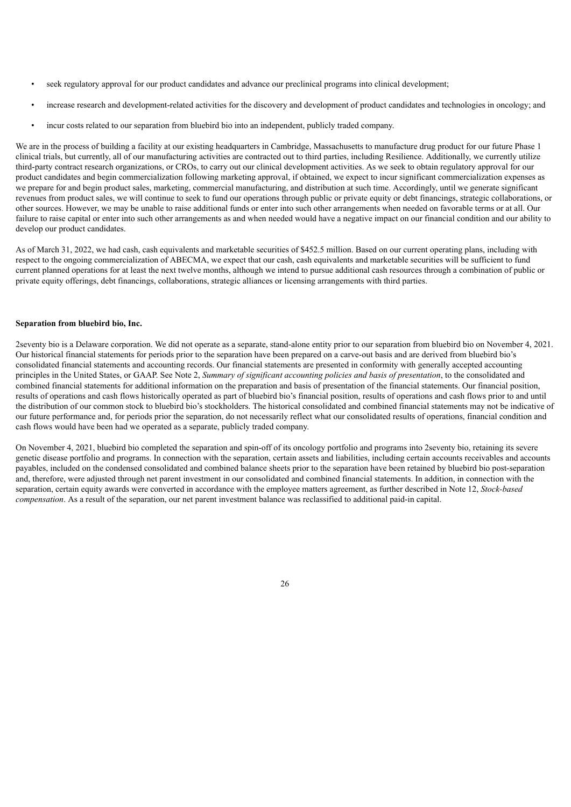- seek regulatory approval for our product candidates and advance our preclinical programs into clinical development;
- increase research and development-related activities for the discovery and development of product candidates and technologies in oncology; and
- incur costs related to our separation from bluebird bio into an independent, publicly traded company.

We are in the process of building a facility at our existing headquarters in Cambridge, Massachusetts to manufacture drug product for our future Phase 1 clinical trials, but currently, all of our manufacturing activities are contracted out to third parties, including Resilience. Additionally, we currently utilize third-party contract research organizations, or CROs, to carry out our clinical development activities. As we seek to obtain regulatory approval for our product candidates and begin commercialization following marketing approval, if obtained, we expect to incur significant commercialization expenses as we prepare for and begin product sales, marketing, commercial manufacturing, and distribution at such time. Accordingly, until we generate significant revenues from product sales, we will continue to seek to fund our operations through public or private equity or debt financings, strategic collaborations, or other sources. However, we may be unable to raise additional funds or enter into such other arrangements when needed on favorable terms or at all. Our failure to raise capital or enter into such other arrangements as and when needed would have a negative impact on our financial condition and our ability to develop our product candidates.

As of March 31, 2022, we had cash, cash equivalents and marketable securities of \$452.5 million. Based on our current operating plans, including with respect to the ongoing commercialization of ABECMA, we expect that our cash, cash equivalents and marketable securities will be sufficient to fund current planned operations for at least the next twelve months, although we intend to pursue additional cash resources through a combination of public or private equity offerings, debt financings, collaborations, strategic alliances or licensing arrangements with third parties.

### **Separation from bluebird bio, Inc.**

2seventy bio is a Delaware corporation. We did not operate as a separate, stand-alone entity prior to our separation from bluebird bio on November 4, 2021. Our historical financial statements for periods prior to the separation have been prepared on a carve-out basis and are derived from bluebird bio's consolidated financial statements and accounting records. Our financial statements are presented in conformity with generally accepted accounting principles in the United States, or GAAP. See Note 2, *Summary of significant accounting policies and basis of presentation*, to the consolidated and combined financial statements for additional information on the preparation and basis of presentation of the financial statements. Our financial position, results of operations and cash flows historically operated as part of bluebird bio's financial position, results of operations and cash flows prior to and until the distribution of our common stock to bluebird bio's stockholders. The historical consolidated and combined financial statements may not be indicative of our future performance and, for periods prior the separation, do not necessarily reflect what our consolidated results of operations, financial condition and cash flows would have been had we operated as a separate, publicly traded company.

On November 4, 2021, bluebird bio completed the separation and spin-off of its oncology portfolio and programs into 2seventy bio, retaining its severe genetic disease portfolio and programs. In connection with the separation, certain assets and liabilities, including certain accounts receivables and accounts payables, included on the condensed consolidated and combined balance sheets prior to the separation have been retained by bluebird bio post-separation and, therefore, were adjusted through net parent investment in our consolidated and combined financial statements. In addition, in connection with the separation, certain equity awards were converted in accordance with the employee matters agreement, as further described in Note 12, *Stock-based compensation*. As a result of the separation, our net parent investment balance was reclassified to additional paid-in capital.

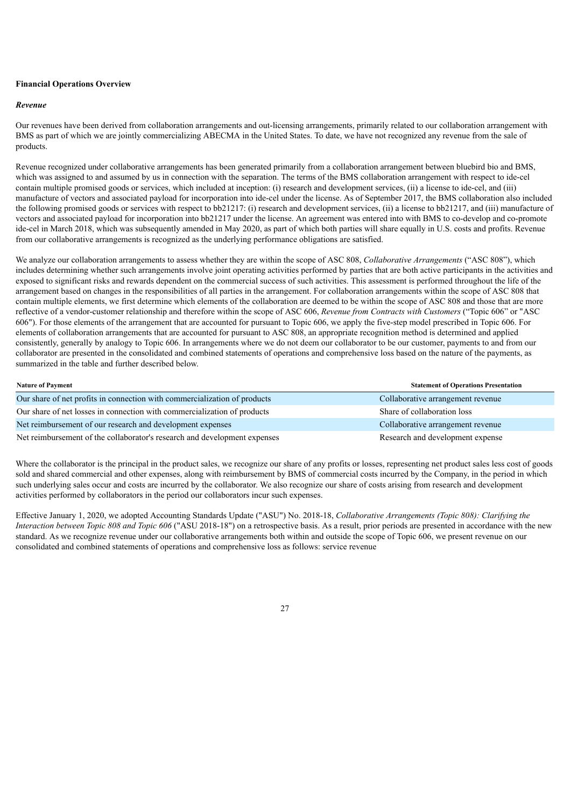## **Financial Operations Overview**

#### *Revenue*

Our revenues have been derived from collaboration arrangements and out-licensing arrangements, primarily related to our collaboration arrangement with BMS as part of which we are jointly commercializing ABECMA in the United States. To date, we have not recognized any revenue from the sale of products.

Revenue recognized under collaborative arrangements has been generated primarily from a collaboration arrangement between bluebird bio and BMS, which was assigned to and assumed by us in connection with the separation. The terms of the BMS collaboration arrangement with respect to ide-cel contain multiple promised goods or services, which included at inception: (i) research and development services, (ii) a license to ide-cel, and (iii) manufacture of vectors and associated payload for incorporation into ide-cel under the license. As of September 2017, the BMS collaboration also included the following promised goods or services with respect to bb21217: (i) research and development services, (ii) a license to bb21217, and (iii) manufacture of vectors and associated payload for incorporation into bb21217 under the license. An agreement was entered into with BMS to co-develop and co-promote ide-cel in March 2018, which was subsequently amended in May 2020, as part of which both parties will share equally in U.S. costs and profits. Revenue from our collaborative arrangements is recognized as the underlying performance obligations are satisfied.

We analyze our collaboration arrangements to assess whether they are within the scope of ASC 808, *Collaborative Arrangements* ("ASC 808"), which includes determining whether such arrangements involve joint operating activities performed by parties that are both active participants in the activities and exposed to significant risks and rewards dependent on the commercial success of such activities. This assessment is performed throughout the life of the arrangement based on changes in the responsibilities of all parties in the arrangement. For collaboration arrangements within the scope of ASC 808 that contain multiple elements, we first determine which elements of the collaboration are deemed to be within the scope of ASC 808 and those that are more reflective of a vendor-customer relationship and therefore within the scope of ASC 606, *Revenue from Contracts with Customers* ("Topic 606" or "ASC 606"). For those elements of the arrangement that are accounted for pursuant to Topic 606, we apply the five-step model prescribed in Topic 606. For elements of collaboration arrangements that are accounted for pursuant to ASC 808, an appropriate recognition method is determined and applied consistently, generally by analogy to Topic 606. In arrangements where we do not deem our collaborator to be our customer, payments to and from our collaborator are presented in the consolidated and combined statements of operations and comprehensive loss based on the nature of the payments, as summarized in the table and further described below.

| <b>Nature of Payment</b>                                                  | <b>Statement of Operations Presentation</b> |
|---------------------------------------------------------------------------|---------------------------------------------|
| Our share of net profits in connection with commercialization of products | Collaborative arrangement revenue           |
| Our share of net losses in connection with commercialization of products  | Share of collaboration loss                 |
| Net reimbursement of our research and development expenses                | Collaborative arrangement revenue           |
| Net reimbursement of the collaborator's research and development expenses | Research and development expense            |

Where the collaborator is the principal in the product sales, we recognize our share of any profits or losses, representing net product sales less cost of goods sold and shared commercial and other expenses, along with reimbursement by BMS of commercial costs incurred by the Company, in the period in which such underlying sales occur and costs are incurred by the collaborator. We also recognize our share of costs arising from research and development activities performed by collaborators in the period our collaborators incur such expenses.

Effective January 1, 2020, we adopted Accounting Standards Update ("ASU") No. 2018-18, *Collaborative Arrangements (Topic 808): Clarifying the Interaction between Topic 808 and Topic 606* ("ASU 2018-18") on a retrospective basis. As a result, prior periods are presented in accordance with the new standard. As we recognize revenue under our collaborative arrangements both within and outside the scope of Topic 606, we present revenue on our consolidated and combined statements of operations and comprehensive loss as follows: service revenue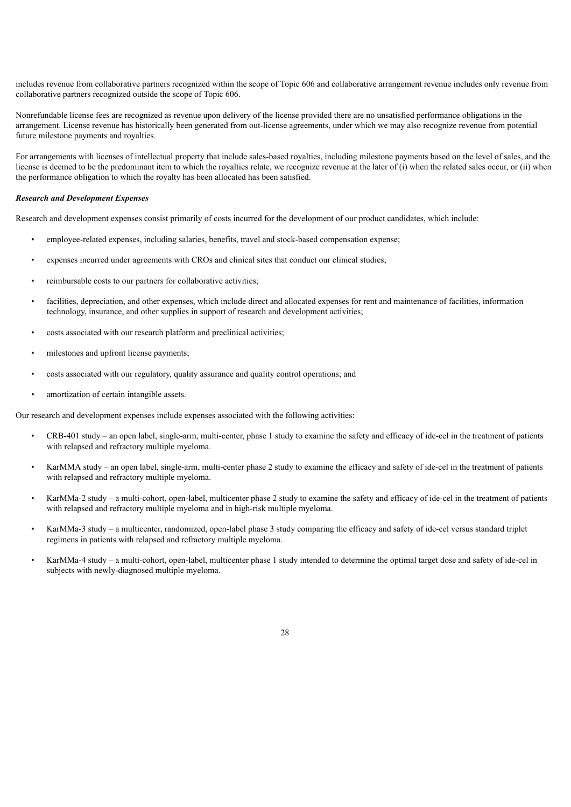includes revenue from collaborative partners recognized within the scope of Topic 606 and collaborative arrangement revenue includes only revenue from collaborative partners recognized outside the scope of Topic 606.

Nonrefundable license fees are recognized as revenue upon delivery of the license provided there are no unsatisfied performance obligations in the arrangement. License revenue has historically been generated from out-license agreements, under which we may also recognize revenue from potential future milestone payments and royalties.

For arrangements with licenses of intellectual property that include sales-based royalties, including milestone payments based on the level of sales, and the license is deemed to be the predominant item to which the royalties relate, we recognize revenue at the later of (i) when the related sales occur, or (ii) when the performance obligation to which the royalty has been allocated has been satisfied.

### *Research and Development Expenses*

Research and development expenses consist primarily of costs incurred for the development of our product candidates, which include:

- employee-related expenses, including salaries, benefits, travel and stock-based compensation expense;
- expenses incurred under agreements with CROs and clinical sites that conduct our clinical studies;
- reimbursable costs to our partners for collaborative activities;
- facilities, depreciation, and other expenses, which include direct and allocated expenses for rent and maintenance of facilities, information technology, insurance, and other supplies in support of research and development activities;
- costs associated with our research platform and preclinical activities;
- milestones and upfront license payments;
- costs associated with our regulatory, quality assurance and quality control operations; and
- amortization of certain intangible assets.

Our research and development expenses include expenses associated with the following activities:

- CRB-401 study an open label, single-arm, multi-center, phase 1 study to examine the safety and efficacy of ide-cel in the treatment of patients with relapsed and refractory multiple myeloma.
- KarMMA study an open label, single-arm, multi-center phase 2 study to examine the efficacy and safety of ide-cel in the treatment of patients with relapsed and refractory multiple myeloma.
- KarMMa-2 study a multi-cohort, open-label, multicenter phase 2 study to examine the safety and efficacy of ide-cel in the treatment of patients with relapsed and refractory multiple myeloma and in high-risk multiple myeloma.
- KarMMa-3 study a multicenter, randomized, open-label phase 3 study comparing the efficacy and safety of ide-cel versus standard triplet regimens in patients with relapsed and refractory multiple myeloma.
- KarMMa-4 study a multi-cohort, open-label, multicenter phase 1 study intended to determine the optimal target dose and safety of ide-cel in subjects with newly-diagnosed multiple myeloma.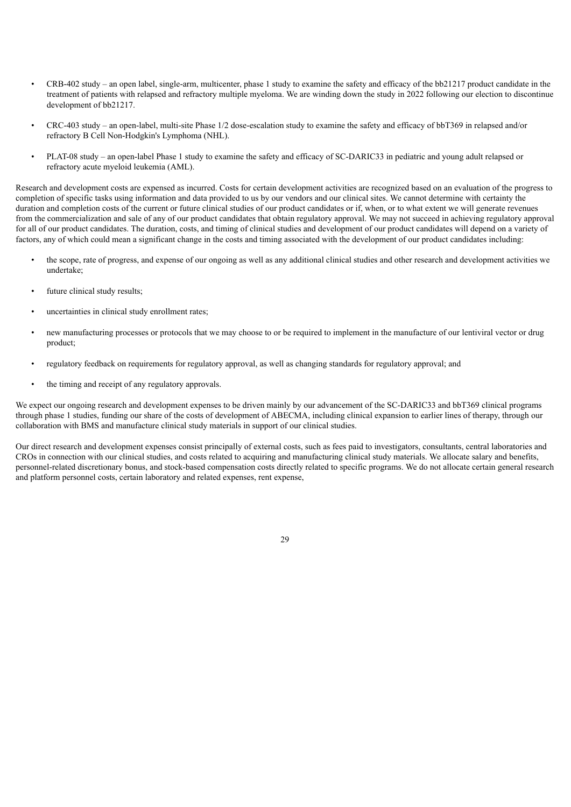- CRB-402 study an open label, single-arm, multicenter, phase 1 study to examine the safety and efficacy of the bb21217 product candidate in the treatment of patients with relapsed and refractory multiple myeloma. We are winding down the study in 2022 following our election to discontinue development of bb21217.
- CRC-403 study an open-label, multi-site Phase 1/2 dose-escalation study to examine the safety and efficacy of bbT369 in relapsed and/or refractory B Cell Non-Hodgkin's Lymphoma (NHL).
- PLAT-08 study an open-label Phase 1 study to examine the safety and efficacy of SC-DARIC33 in pediatric and young adult relapsed or refractory acute myeloid leukemia (AML).

Research and development costs are expensed as incurred. Costs for certain development activities are recognized based on an evaluation of the progress to completion of specific tasks using information and data provided to us by our vendors and our clinical sites. We cannot determine with certainty the duration and completion costs of the current or future clinical studies of our product candidates or if, when, or to what extent we will generate revenues from the commercialization and sale of any of our product candidates that obtain regulatory approval. We may not succeed in achieving regulatory approval for all of our product candidates. The duration, costs, and timing of clinical studies and development of our product candidates will depend on a variety of factors, any of which could mean a significant change in the costs and timing associated with the development of our product candidates including:

- the scope, rate of progress, and expense of our ongoing as well as any additional clinical studies and other research and development activities we undertake;
- future clinical study results:
- uncertainties in clinical study enrollment rates;
- new manufacturing processes or protocols that we may choose to or be required to implement in the manufacture of our lentiviral vector or drug product;
- regulatory feedback on requirements for regulatory approval, as well as changing standards for regulatory approval; and
- the timing and receipt of any regulatory approvals.

We expect our ongoing research and development expenses to be driven mainly by our advancement of the SC-DARIC33 and bbT369 clinical programs through phase 1 studies, funding our share of the costs of development of ABECMA, including clinical expansion to earlier lines of therapy, through our collaboration with BMS and manufacture clinical study materials in support of our clinical studies.

Our direct research and development expenses consist principally of external costs, such as fees paid to investigators, consultants, central laboratories and CROs in connection with our clinical studies, and costs related to acquiring and manufacturing clinical study materials. We allocate salary and benefits, personnel-related discretionary bonus, and stock-based compensation costs directly related to specific programs. We do not allocate certain general research and platform personnel costs, certain laboratory and related expenses, rent expense,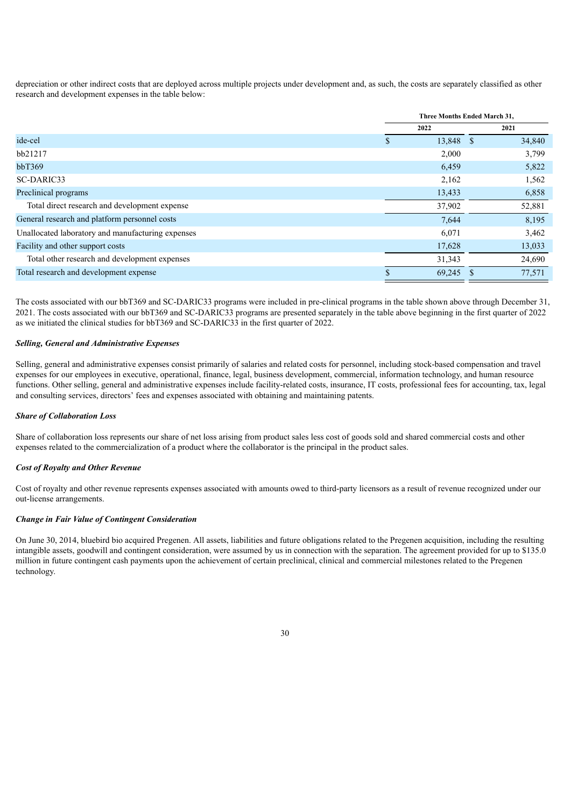depreciation or other indirect costs that are deployed across multiple projects under development and, as such, the costs are separately classified as other research and development expenses in the table below:

| Three Months Ended March 31, |        |  |           |
|------------------------------|--------|--|-----------|
| 2022<br>2021                 |        |  |           |
|                              |        |  | 34,840    |
|                              | 2,000  |  | 3,799     |
|                              | 6,459  |  | 5,822     |
|                              | 2,162  |  | 1,562     |
|                              | 13,433 |  | 6,858     |
|                              | 37,902 |  | 52,881    |
|                              | 7,644  |  | 8,195     |
|                              | 6,071  |  | 3,462     |
|                              | 17,628 |  | 13,033    |
|                              | 31,343 |  | 24,690    |
|                              | 69,245 |  | 77,571    |
|                              |        |  | 13,848 \$ |

The costs associated with our bbT369 and SC-DARIC33 programs were included in pre-clinical programs in the table shown above through December 31, 2021. The costs associated with our bbT369 and SC-DARIC33 programs are presented separately in the table above beginning in the first quarter of 2022 as we initiated the clinical studies for bbT369 and SC-DARIC33 in the first quarter of 2022.

#### *Selling, General and Administrative Expenses*

Selling, general and administrative expenses consist primarily of salaries and related costs for personnel, including stock-based compensation and travel expenses for our employees in executive, operational, finance, legal, business development, commercial, information technology, and human resource functions. Other selling, general and administrative expenses include facility-related costs, insurance, IT costs, professional fees for accounting, tax, legal and consulting services, directors' fees and expenses associated with obtaining and maintaining patents.

#### *Share of Collaboration Loss*

Share of collaboration loss represents our share of net loss arising from product sales less cost of goods sold and shared commercial costs and other expenses related to the commercialization of a product where the collaborator is the principal in the product sales.

### *Cost of Royalty and Other Revenue*

Cost of royalty and other revenue represents expenses associated with amounts owed to third-party licensors as a result of revenue recognized under our out-license arrangements.

### *Change in Fair Value of Contingent Consideration*

On June 30, 2014, bluebird bio acquired Pregenen. All assets, liabilities and future obligations related to the Pregenen acquisition, including the resulting intangible assets, goodwill and contingent consideration, were assumed by us in connection with the separation. The agreement provided for up to \$135.0 million in future contingent cash payments upon the achievement of certain preclinical, clinical and commercial milestones related to the Pregenen technology.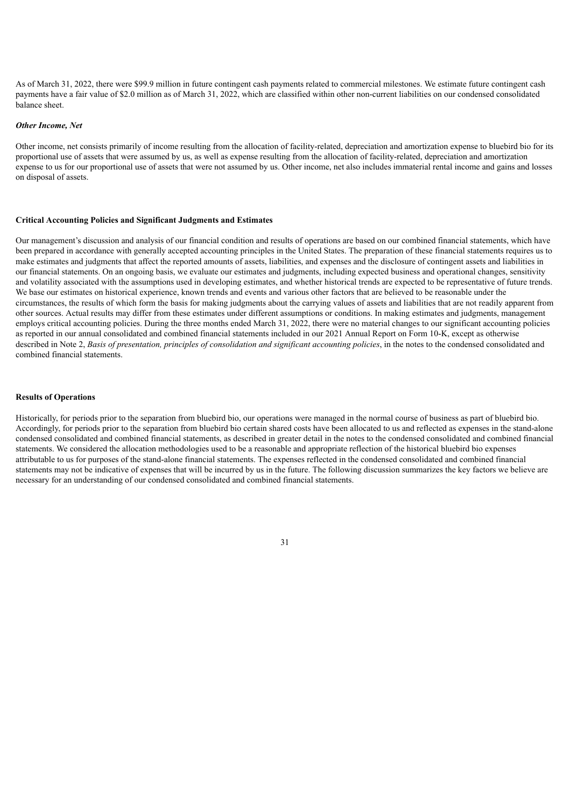As of March 31, 2022, there were \$99.9 million in future contingent cash payments related to commercial milestones. We estimate future contingent cash payments have a fair value of \$2.0 million as of March 31, 2022, which are classified within other non-current liabilities on our condensed consolidated balance sheet.

#### *Other Income, Net*

Other income, net consists primarily of income resulting from the allocation of facility-related, depreciation and amortization expense to bluebird bio for its proportional use of assets that were assumed by us, as well as expense resulting from the allocation of facility-related, depreciation and amortization expense to us for our proportional use of assets that were not assumed by us. Other income, net also includes immaterial rental income and gains and losses on disposal of assets.

#### **Critical Accounting Policies and Significant Judgments and Estimates**

Our management's discussion and analysis of our financial condition and results of operations are based on our combined financial statements, which have been prepared in accordance with generally accepted accounting principles in the United States. The preparation of these financial statements requires us to make estimates and judgments that affect the reported amounts of assets, liabilities, and expenses and the disclosure of contingent assets and liabilities in our financial statements. On an ongoing basis, we evaluate our estimates and judgments, including expected business and operational changes, sensitivity and volatility associated with the assumptions used in developing estimates, and whether historical trends are expected to be representative of future trends. We base our estimates on historical experience, known trends and events and various other factors that are believed to be reasonable under the circumstances, the results of which form the basis for making judgments about the carrying values of assets and liabilities that are not readily apparent from other sources. Actual results may differ from these estimates under different assumptions or conditions. In making estimates and judgments, management employs critical accounting policies. During the three months ended March 31, 2022, there were no material changes to our significant accounting policies as reported in our annual consolidated and combined financial statements included in our 2021 Annual Report on Form 10-K, except as otherwise described in Note 2, Basis of presentation, principles of consolidation and significant accounting policies, in the notes to the condensed consolidated and combined financial statements.

#### **Results of Operations**

Historically, for periods prior to the separation from bluebird bio, our operations were managed in the normal course of business as part of bluebird bio. Accordingly, for periods prior to the separation from bluebird bio certain shared costs have been allocated to us and reflected as expenses in the stand-alone condensed consolidated and combined financial statements, as described in greater detail in the notes to the condensed consolidated and combined financial statements. We considered the allocation methodologies used to be a reasonable and appropriate reflection of the historical bluebird bio expenses attributable to us for purposes of the stand-alone financial statements. The expenses reflected in the condensed consolidated and combined financial statements may not be indicative of expenses that will be incurred by us in the future. The following discussion summarizes the key factors we believe are necessary for an understanding of our condensed consolidated and combined financial statements.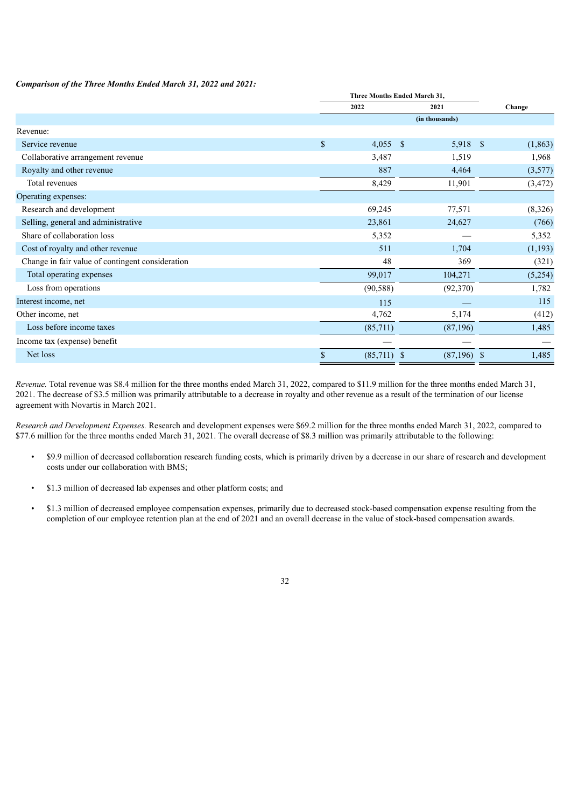## *Comparison of the Three Months Ended March 31, 2022 and 2021:*

|                                                  | Three Months Ended March 31, |                |  |          |  |
|--------------------------------------------------|------------------------------|----------------|--|----------|--|
|                                                  | 2022                         | 2021           |  | Change   |  |
|                                                  |                              | (in thousands) |  |          |  |
| Revenue:                                         |                              |                |  |          |  |
| Service revenue                                  | \$<br>$4,055$ \$             | 5,918 \$       |  | (1,863)  |  |
| Collaborative arrangement revenue                | 3,487                        | 1,519          |  | 1,968    |  |
| Royalty and other revenue                        | 887                          | 4,464          |  | (3,577)  |  |
| Total revenues                                   | 8,429                        | 11,901         |  | (3, 472) |  |
| Operating expenses:                              |                              |                |  |          |  |
| Research and development                         | 69,245                       | 77,571         |  | (8,326)  |  |
| Selling, general and administrative              | 23,861                       | 24,627         |  | (766)    |  |
| Share of collaboration loss                      | 5,352                        |                |  | 5,352    |  |
| Cost of royalty and other revenue                | 511                          | 1,704          |  | (1,193)  |  |
| Change in fair value of contingent consideration | 48                           | 369            |  | (321)    |  |
| Total operating expenses                         | 99,017                       | 104,271        |  | (5,254)  |  |
| Loss from operations                             | (90, 588)                    | (92,370)       |  | 1,782    |  |
| Interest income, net                             | 115                          |                |  | 115      |  |
| Other income, net                                | 4,762                        | 5,174          |  | (412)    |  |
| Loss before income taxes                         | (85,711)                     | (87,196)       |  | 1,485    |  |
| Income tax (expense) benefit                     |                              |                |  |          |  |
| Net loss                                         | \$<br>$(85,711)$ \$          | $(87,196)$ \$  |  | 1,485    |  |
|                                                  |                              |                |  |          |  |

*Revenue.* Total revenue was \$8.4 million for the three months ended March 31, 2022, compared to \$11.9 million for the three months ended March 31, 2021. The decrease of \$3.5 million was primarily attributable to a decrease in royalty and other revenue as a result of the termination of our license agreement with Novartis in March 2021.

*Research and Development Expenses.* Research and development expenses were \$69.2 million for the three months ended March 31, 2022, compared to \$77.6 million for the three months ended March 31, 2021. The overall decrease of \$8.3 million was primarily attributable to the following:

- \$9.9 million of decreased collaboration research funding costs, which is primarily driven by a decrease in our share of research and development costs under our collaboration with BMS;
- \$1.3 million of decreased lab expenses and other platform costs; and
- \$1.3 million of decreased employee compensation expenses, primarily due to decreased stock-based compensation expense resulting from the completion of our employee retention plan at the end of 2021 and an overall decrease in the value of stock-based compensation awards.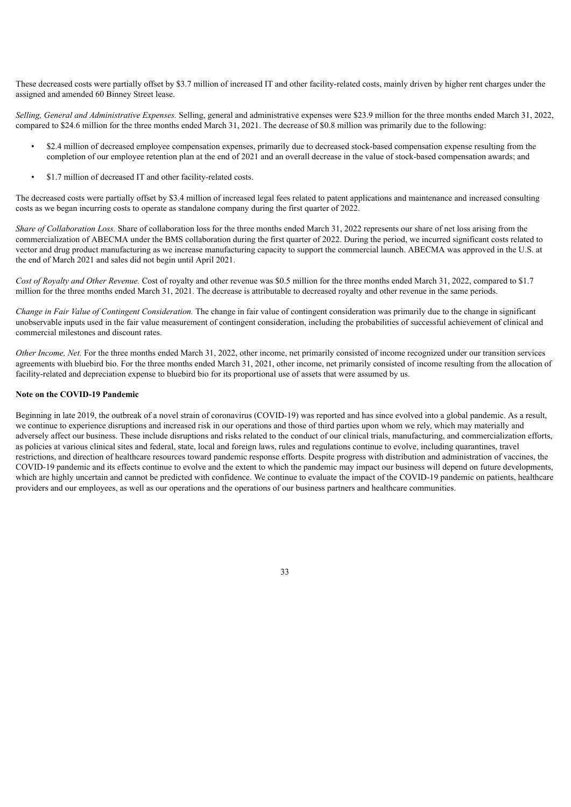These decreased costs were partially offset by \$3.7 million of increased IT and other facility-related costs, mainly driven by higher rent charges under the assigned and amended 60 Binney Street lease.

*Selling, General and Administrative Expenses.* Selling, general and administrative expenses were \$23.9 million for the three months ended March 31, 2022, compared to \$24.6 million for the three months ended March 31, 2021. The decrease of \$0.8 million was primarily due to the following:

- \$2.4 million of decreased employee compensation expenses, primarily due to decreased stock-based compensation expense resulting from the completion of our employee retention plan at the end of 2021 and an overall decrease in the value of stock-based compensation awards; and
- \$1.7 million of decreased IT and other facility-related costs.

The decreased costs were partially offset by \$3.4 million of increased legal fees related to patent applications and maintenance and increased consulting costs as we began incurring costs to operate as standalone company during the first quarter of 2022.

*Share of Collaboration Loss.* Share of collaboration loss for the three months ended March 31, 2022 represents our share of net loss arising from the commercialization of ABECMA under the BMS collaboration during the first quarter of 2022. During the period, we incurred significant costs related to vector and drug product manufacturing as we increase manufacturing capacity to support the commercial launch. ABECMA was approved in the U.S. at the end of March 2021 and sales did not begin until April 2021.

*Cost of Royalty and Other Revenue.* Cost of royalty and other revenue was \$0.5 million for the three months ended March 31, 2022, compared to \$1.7 million for the three months ended March 31, 2021. The decrease is attributable to decreased royalty and other revenue in the same periods.

*Change in Fair Value of Contingent Consideration.* The change in fair value of contingent consideration was primarily due to the change in significant unobservable inputs used in the fair value measurement of contingent consideration, including the probabilities of successful achievement of clinical and commercial milestones and discount rates.

*Other Income, Net.* For the three months ended March 31, 2022, other income, net primarily consisted of income recognized under our transition services agreements with bluebird bio. For the three months ended March 31, 2021, other income, net primarily consisted of income resulting from the allocation of facility-related and depreciation expense to bluebird bio for its proportional use of assets that were assumed by us.

## **Note on the COVID-19 Pandemic**

Beginning in late 2019, the outbreak of a novel strain of coronavirus (COVID-19) was reported and has since evolved into a global pandemic. As a result, we continue to experience disruptions and increased risk in our operations and those of third parties upon whom we rely, which may materially and adversely affect our business. These include disruptions and risks related to the conduct of our clinical trials, manufacturing, and commercialization efforts, as policies at various clinical sites and federal, state, local and foreign laws, rules and regulations continue to evolve, including quarantines, travel restrictions, and direction of healthcare resources toward pandemic response efforts. Despite progress with distribution and administration of vaccines, the COVID-19 pandemic and its effects continue to evolve and the extent to which the pandemic may impact our business will depend on future developments, which are highly uncertain and cannot be predicted with confidence. We continue to evaluate the impact of the COVID-19 pandemic on patients, healthcare providers and our employees, as well as our operations and the operations of our business partners and healthcare communities.

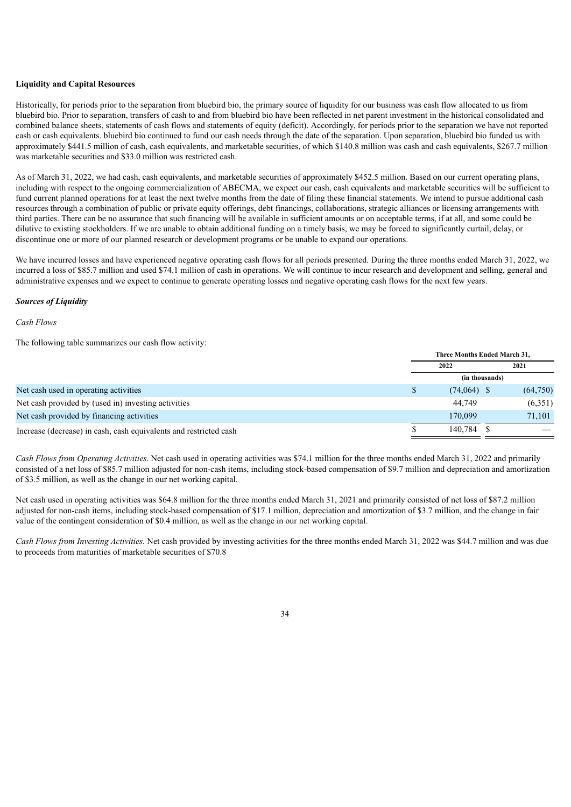#### **Liquidity and Capital Resources**

Historically, for periods prior to the separation from bluebird bio, the primary source of liquidity for our business was cash flow allocated to us from bluebird bio. Prior to separation, transfers of cash to and from bluebird bio have been reflected in net parent investment in the historical consolidated and combined balance sheets, statements of cash flows and statements of equity (deficit). Accordingly, for periods prior to the separation we have not reported cash or cash equivalents. bluebird bio continued to fund our cash needs through the date of the separation. Upon separation, bluebird bio funded us with approximately \$441.5 million of cash, cash equivalents, and marketable securities, of which \$140.8 million was cash and cash equivalents, \$267.7 million was marketable securities and \$33.0 million was restricted cash.

As of March 31, 2022, we had cash, cash equivalents, and marketable securities of approximately \$452.5 million. Based on our current operating plans, including with respect to the ongoing commercialization of ABECMA, we expect our cash, cash equivalents and marketable securities will be sufficient to fund current planned operations for at least the next twelve months from the date of filing these financial statements. We intend to pursue additional cash resources through a combination of public or private equity offerings, debt financings, collaborations, strategic alliances or licensing arrangements with third parties. There can be no assurance that such financing will be available in sufficient amounts or on acceptable terms, if at all, and some could be dilutive to existing stockholders. If we are unable to obtain additional funding on a timely basis, we may be forced to significantly curtail, delay, or discontinue one or more of our planned research or development programs or be unable to expand our operations.

We have incurred losses and have experienced negative operating cash flows for all periods presented. During the three months ended March 31, 2022, we incurred a loss of \$85.7 million and used \$74.1 million of cash in operations. We will continue to incur research and development and selling, general and administrative expenses and we expect to continue to generate operating losses and negative operating cash flows for the next few years.

#### *Sources of Liquidity*

#### *Cash Flows*

The following table summarizes our cash flow activity:

|                                                                   | Three Months Ended March 31. |          |  |
|-------------------------------------------------------------------|------------------------------|----------|--|
|                                                                   | 2022                         | 2021     |  |
|                                                                   | (in thousands)               |          |  |
| Net cash used in operating activities                             | $(74,064)$ \$                | (64,750) |  |
| Net cash provided by (used in) investing activities               | 44.749                       | (6,351)  |  |
| Net cash provided by financing activities                         | 170.099                      | 71,101   |  |
| Increase (decrease) in cash, cash equivalents and restricted cash | 140.784                      |          |  |

*Cash Flows from Operating Activities*. Net cash used in operating activities was \$74.1 million for the three months ended March 31, 2022 and primarily consisted of a net loss of \$85.7 million adjusted for non-cash items, including stock-based compensation of \$9.7 million and depreciation and amortization of \$3.5 million, as well as the change in our net working capital.

Net cash used in operating activities was \$64.8 million for the three months ended March 31, 2021 and primarily consisted of net loss of \$87.2 million adjusted for non-cash items, including stock-based compensation of \$17.1 million, depreciation and amortization of \$3.7 million, and the change in fair value of the contingent consideration of \$0.4 million, as well as the change in our net working capital.

*Cash Flows from Investing Activities.* Net cash provided by investing activities for the three months ended March 31, 2022 was \$44.7 million and was due to proceeds from maturities of marketable securities of \$70.8

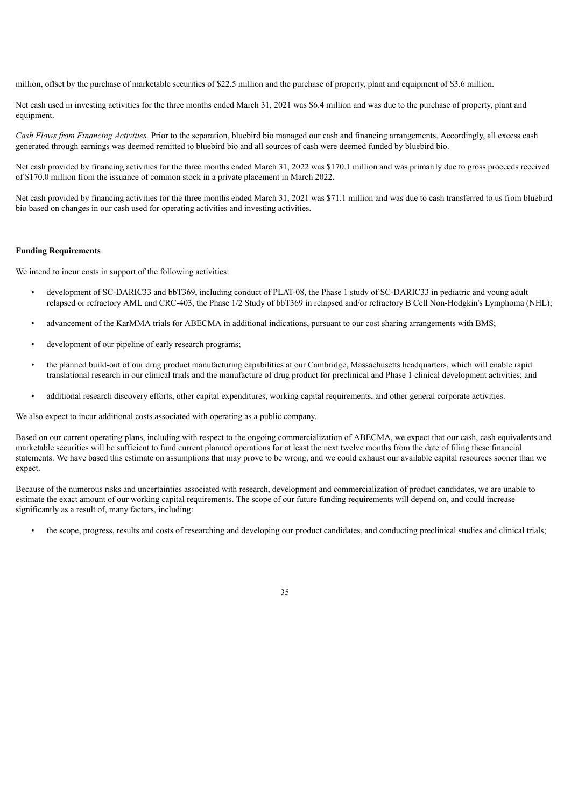million, offset by the purchase of marketable securities of \$22.5 million and the purchase of property, plant and equipment of \$3.6 million.

Net cash used in investing activities for the three months ended March 31, 2021 was \$6.4 million and was due to the purchase of property, plant and equipment.

*Cash Flows from Financing Activities.* Prior to the separation, bluebird bio managed our cash and financing arrangements. Accordingly, all excess cash generated through earnings was deemed remitted to bluebird bio and all sources of cash were deemed funded by bluebird bio.

Net cash provided by financing activities for the three months ended March 31, 2022 was \$170.1 million and was primarily due to gross proceeds received of \$170.0 million from the issuance of common stock in a private placement in March 2022.

Net cash provided by financing activities for the three months ended March 31, 2021 was \$71.1 million and was due to cash transferred to us from bluebird bio based on changes in our cash used for operating activities and investing activities.

#### **Funding Requirements**

We intend to incur costs in support of the following activities:

- development of SC-DARIC33 and bbT369, including conduct of PLAT-08, the Phase 1 study of SC-DARIC33 in pediatric and young adult relapsed or refractory AML and CRC-403, the Phase 1/2 Study of bbT369 in relapsed and/or refractory B Cell Non-Hodgkin's Lymphoma (NHL);
- advancement of the KarMMA trials for ABECMA in additional indications, pursuant to our cost sharing arrangements with BMS;
- development of our pipeline of early research programs;
- the planned build-out of our drug product manufacturing capabilities at our Cambridge, Massachusetts headquarters, which will enable rapid translational research in our clinical trials and the manufacture of drug product for preclinical and Phase 1 clinical development activities; and
- additional research discovery efforts, other capital expenditures, working capital requirements, and other general corporate activities.

We also expect to incur additional costs associated with operating as a public company.

Based on our current operating plans, including with respect to the ongoing commercialization of ABECMA, we expect that our cash, cash equivalents and marketable securities will be sufficient to fund current planned operations for at least the next twelve months from the date of filing these financial statements. We have based this estimate on assumptions that may prove to be wrong, and we could exhaust our available capital resources sooner than we expect.

Because of the numerous risks and uncertainties associated with research, development and commercialization of product candidates, we are unable to estimate the exact amount of our working capital requirements. The scope of our future funding requirements will depend on, and could increase significantly as a result of, many factors, including:

• the scope, progress, results and costs of researching and developing our product candidates, and conducting preclinical studies and clinical trials;

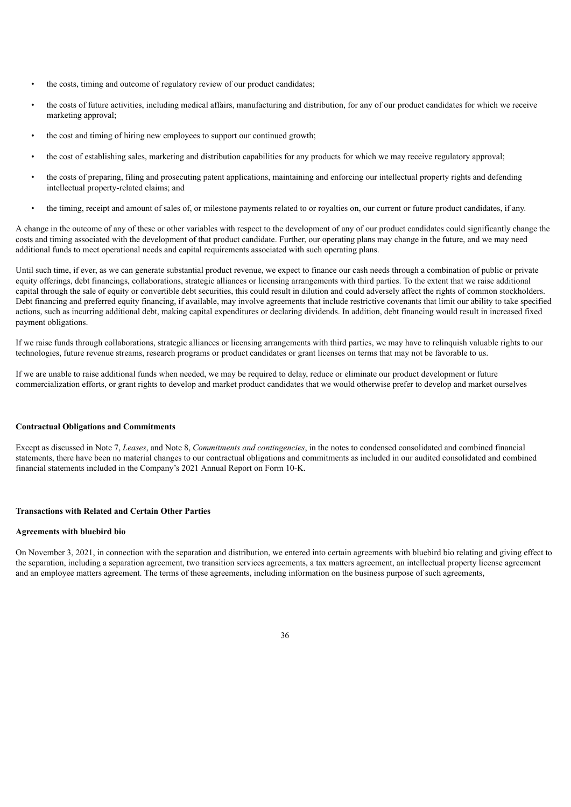- the costs, timing and outcome of regulatory review of our product candidates;
- the costs of future activities, including medical affairs, manufacturing and distribution, for any of our product candidates for which we receive marketing approval;
- the cost and timing of hiring new employees to support our continued growth;
- the cost of establishing sales, marketing and distribution capabilities for any products for which we may receive regulatory approval;
- the costs of preparing, filing and prosecuting patent applications, maintaining and enforcing our intellectual property rights and defending intellectual property-related claims; and
- the timing, receipt and amount of sales of, or milestone payments related to or royalties on, our current or future product candidates, if any.

A change in the outcome of any of these or other variables with respect to the development of any of our product candidates could significantly change the costs and timing associated with the development of that product candidate. Further, our operating plans may change in the future, and we may need additional funds to meet operational needs and capital requirements associated with such operating plans.

Until such time, if ever, as we can generate substantial product revenue, we expect to finance our cash needs through a combination of public or private equity offerings, debt financings, collaborations, strategic alliances or licensing arrangements with third parties. To the extent that we raise additional capital through the sale of equity or convertible debt securities, this could result in dilution and could adversely affect the rights of common stockholders. Debt financing and preferred equity financing, if available, may involve agreements that include restrictive covenants that limit our ability to take specified actions, such as incurring additional debt, making capital expenditures or declaring dividends. In addition, debt financing would result in increased fixed payment obligations.

If we raise funds through collaborations, strategic alliances or licensing arrangements with third parties, we may have to relinquish valuable rights to our technologies, future revenue streams, research programs or product candidates or grant licenses on terms that may not be favorable to us.

If we are unable to raise additional funds when needed, we may be required to delay, reduce or eliminate our product development or future commercialization efforts, or grant rights to develop and market product candidates that we would otherwise prefer to develop and market ourselves

### **Contractual Obligations and Commitments**

Except as discussed in Note 7, *Leases*, and Note 8, *Commitments and contingencies*, in the notes to condensed consolidated and combined financial statements, there have been no material changes to our contractual obligations and commitments as included in our audited consolidated and combined financial statements included in the Company's 2021 Annual Report on Form 10-K.

### **Transactions with Related and Certain Other Parties**

#### **Agreements with bluebird bio**

On November 3, 2021, in connection with the separation and distribution, we entered into certain agreements with bluebird bio relating and giving effect to the separation, including a separation agreement, two transition services agreements, a tax matters agreement, an intellectual property license agreement and an employee matters agreement. The terms of these agreements, including information on the business purpose of such agreements,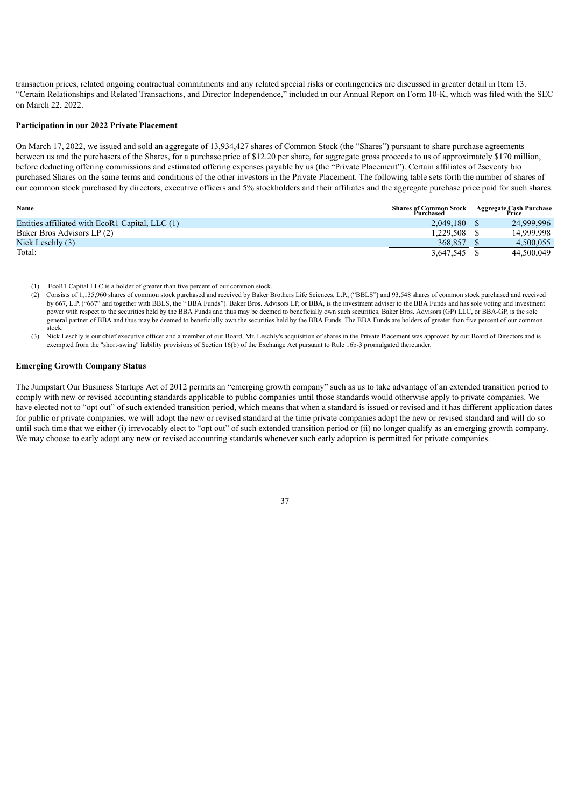transaction prices, related ongoing contractual commitments and any related special risks or contingencies are discussed in greater detail in Item 13. "Certain Relationships and Related Transactions, and Director Independence," included in our Annual Report on Form 10-K, which was filed with the SEC on March 22, 2022.

## **Participation in our 2022 Private Placement**

On March 17, 2022, we issued and sold an aggregate of 13,934,427 shares of Common Stock (the "Shares") pursuant to share purchase agreements between us and the purchasers of the Shares, for a purchase price of \$12.20 per share, for aggregate gross proceeds to us of approximately \$170 million, before deducting offering commissions and estimated offering expenses payable by us (the "Private Placement"). Certain affiliates of 2seventy bio purchased Shares on the same terms and conditions of the other investors in the Private Placement. The following table sets forth the number of shares of our common stock purchased by directors, executive officers and 5% stockholders and their affiliates and the aggregate purchase price paid for such shares.

| Name                                            | <b>Shares of Common Stock</b><br>Purchased | Aggregate Cash Purchase<br>Price |
|-------------------------------------------------|--------------------------------------------|----------------------------------|
| Entities affiliated with EcoR1 Capital, LLC (1) | 2.049.180                                  | 24.999.996                       |
| Baker Bros Advisors LP (2)                      | 1.229.508                                  | 14,999,998                       |
| Nick Leschly (3)                                | 368.857                                    | 4.500.055                        |
| Total:                                          | 3.647.545                                  | 44.500.049                       |
|                                                 |                                            |                                  |

- $\frac{1}{2}$  ,  $\frac{1}{2}$  ,  $\frac{1}{2}$  ,  $\frac{1}{2}$  ,  $\frac{1}{2}$  ,  $\frac{1}{2}$  ,  $\frac{1}{2}$ (1) EcoR1 Capital LLC is a holder of greater than five percent of our common stock.
	- (2) Consists of 1,135,960 shares of common stock purchased and received by Baker Brothers Life Sciences, L.P., ("BBLS") and 93,548 shares of common stock purchased and received by 667, L.P. ("667" and together with BBLS, the " BBA Funds"). Baker Bros. Advisors LP, or BBA, is the investment adviser to the BBA Funds and has sole voting and investment power with respect to the securities held by the BBA Funds and thus may be deemed to beneficially own such securities. Baker Bros. Advisors (GP) LLC, or BBA-GP, is the sole general partner of BBA and thus may be deemed to beneficially own the securities held by the BBA Funds. The BBA Funds are holders of greater than five percent of our common stock.
	- (3) Nick Leschly is our chief executive officer and a member of our Board. Mr. Leschly's acquisition of shares in the Private Placement was approved by our Board of Directors and is exempted from the "short-swing" liability provisions of Section 16(b) of the Exchange Act pursuant to Rule 16b-3 promulgated thereunder.

## **Emerging Growth Company Status**

<span id="page-41-0"></span>The Jumpstart Our Business Startups Act of 2012 permits an "emerging growth company" such as us to take advantage of an extended transition period to comply with new or revised accounting standards applicable to public companies until those standards would otherwise apply to private companies. We have elected not to "opt out" of such extended transition period, which means that when a standard is issued or revised and it has different application dates for public or private companies, we will adopt the new or revised standard at the time private companies adopt the new or revised standard and will do so until such time that we either (i) irrevocably elect to "opt out" of such extended transition period or (ii) no longer qualify as an emerging growth company. We may choose to early adopt any new or revised accounting standards whenever such early adoption is permitted for private companies.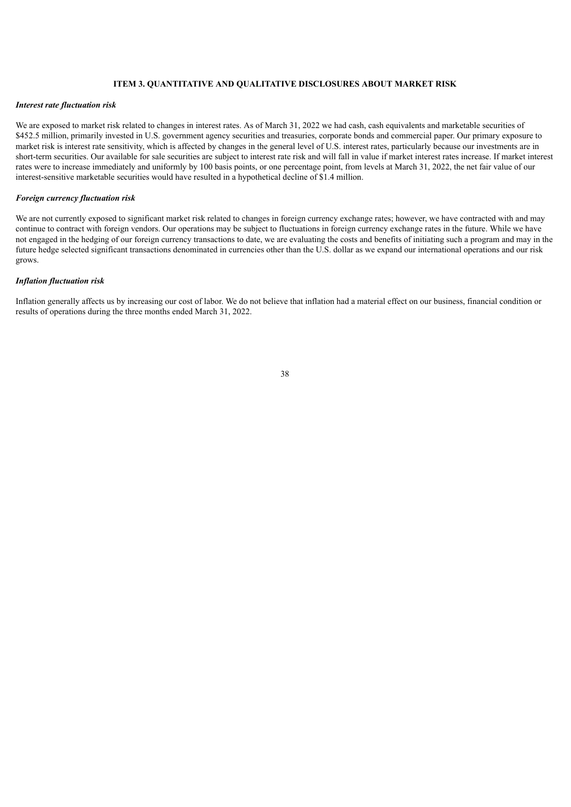## **ITEM 3. QUANTITATIVE AND QUALITATIVE DISCLOSURES ABOUT MARKET RISK**

#### *Interest rate fluctuation risk*

We are exposed to market risk related to changes in interest rates. As of March 31, 2022 we had cash, cash equivalents and marketable securities of \$452.5 million, primarily invested in U.S. government agency securities and treasuries, corporate bonds and commercial paper. Our primary exposure to market risk is interest rate sensitivity, which is affected by changes in the general level of U.S. interest rates, particularly because our investments are in short-term securities. Our available for sale securities are subject to interest rate risk and will fall in value if market interest rates increase. If market interest rates were to increase immediately and uniformly by 100 basis points, or one percentage point, from levels at March 31, 2022, the net fair value of our interest-sensitive marketable securities would have resulted in a hypothetical decline of \$1.4 million.

#### *Foreign currency fluctuation risk*

We are not currently exposed to significant market risk related to changes in foreign currency exchange rates; however, we have contracted with and may continue to contract with foreign vendors. Our operations may be subject to fluctuations in foreign currency exchange rates in the future. While we have not engaged in the hedging of our foreign currency transactions to date, we are evaluating the costs and benefits of initiating such a program and may in the future hedge selected significant transactions denominated in currencies other than the U.S. dollar as we expand our international operations and our risk grows.

#### *Inflation fluctuation risk*

<span id="page-42-0"></span>Inflation generally affects us by increasing our cost of labor. We do not believe that inflation had a material effect on our business, financial condition or results of operations during the three months ended March 31, 2022.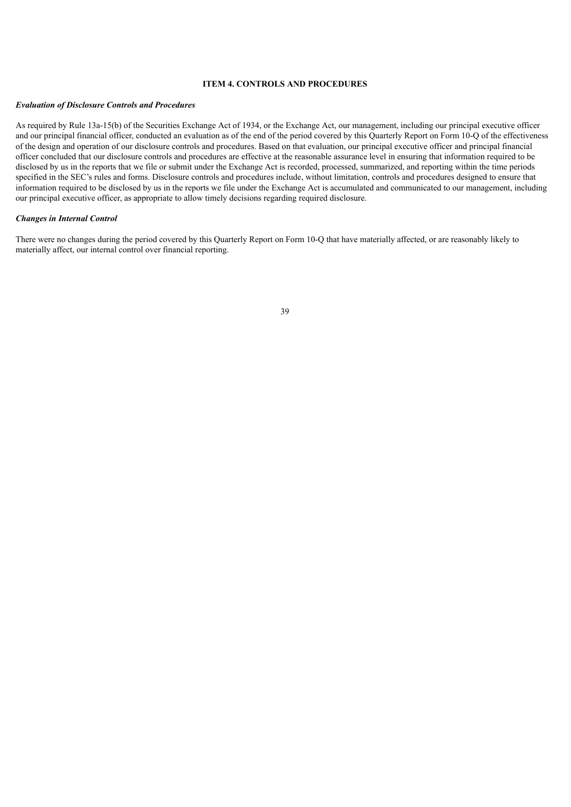## **ITEM 4. CONTROLS AND PROCEDURES**

#### *Evaluation of Disclosure Controls and Procedures*

As required by Rule 13a-15(b) of the Securities Exchange Act of 1934, or the Exchange Act, our management, including our principal executive officer and our principal financial officer, conducted an evaluation as of the end of the period covered by this Quarterly Report on Form 10-Q of the effectiveness of the design and operation of our disclosure controls and procedures. Based on that evaluation, our principal executive officer and principal financial officer concluded that our disclosure controls and procedures are effective at the reasonable assurance level in ensuring that information required to be disclosed by us in the reports that we file or submit under the Exchange Act is recorded, processed, summarized, and reporting within the time periods specified in the SEC's rules and forms. Disclosure controls and procedures include, without limitation, controls and procedures designed to ensure that information required to be disclosed by us in the reports we file under the Exchange Act is accumulated and communicated to our management, including our principal executive officer, as appropriate to allow timely decisions regarding required disclosure.

## *Changes in Internal Control*

<span id="page-43-0"></span>There were no changes during the period covered by this Quarterly Report on Form 10-Q that have materially affected, or are reasonably likely to materially affect, our internal control over financial reporting.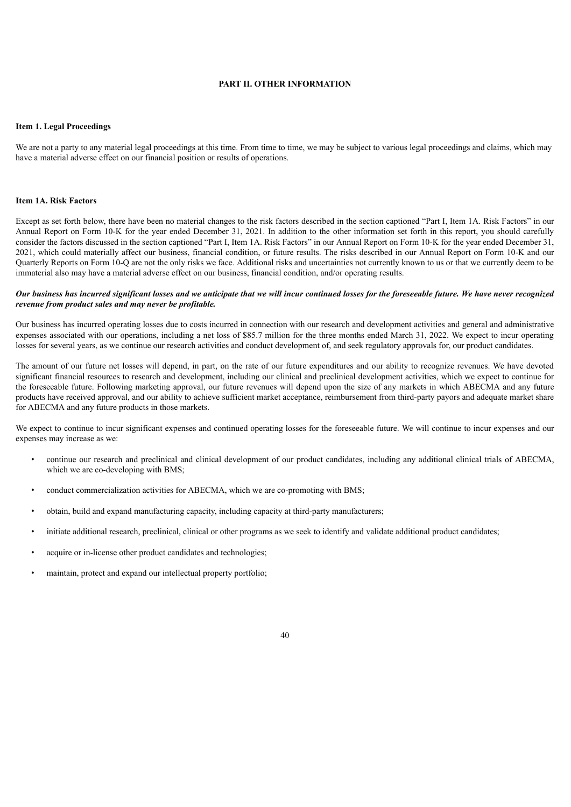### **PART II. OTHER INFORMATION**

#### <span id="page-44-0"></span>**Item 1. Legal Proceedings**

We are not a party to any material legal proceedings at this time. From time to time, we may be subject to various legal proceedings and claims, which may have a material adverse effect on our financial position or results of operations.

#### <span id="page-44-1"></span>**Item 1A. Risk Factors**

Except as set forth below, there have been no material changes to the risk factors described in the section captioned "Part I, Item 1A. Risk Factors" in our Annual Report on Form 10-K for the year ended December 31, 2021. In addition to the other information set forth in this report, you should carefully consider the factors discussed in the section captioned "Part I, Item 1A. Risk Factors" in our Annual Report on Form 10-K for the year ended December 31, 2021, which could materially affect our business, financial condition, or future results. The risks described in our Annual Report on Form 10-K and our Quarterly Reports on Form 10-Q are not the only risks we face. Additional risks and uncertainties not currently known to us or that we currently deem to be immaterial also may have a material adverse effect on our business, financial condition, and/or operating results.

#### Our business has incurred significant losses and we anticipate that we will incur continued losses for the foreseeable future. We have never recognized *revenue from product sales and may never be profitable.*

Our business has incurred operating losses due to costs incurred in connection with our research and development activities and general and administrative expenses associated with our operations, including a net loss of \$85.7 million for the three months ended March 31, 2022. We expect to incur operating losses for several years, as we continue our research activities and conduct development of, and seek regulatory approvals for, our product candidates.

The amount of our future net losses will depend, in part, on the rate of our future expenditures and our ability to recognize revenues. We have devoted significant financial resources to research and development, including our clinical and preclinical development activities, which we expect to continue for the foreseeable future. Following marketing approval, our future revenues will depend upon the size of any markets in which ABECMA and any future products have received approval, and our ability to achieve sufficient market acceptance, reimbursement from third-party payors and adequate market share for ABECMA and any future products in those markets.

We expect to continue to incur significant expenses and continued operating losses for the foreseeable future. We will continue to incur expenses and our expenses may increase as we:

- continue our research and preclinical and clinical development of our product candidates, including any additional clinical trials of ABECMA, which we are co-developing with BMS;
- conduct commercialization activities for ABECMA, which we are co-promoting with BMS;
- obtain, build and expand manufacturing capacity, including capacity at third-party manufacturers;
- initiate additional research, preclinical, clinical or other programs as we seek to identify and validate additional product candidates;
- acquire or in-license other product candidates and technologies;
- maintain, protect and expand our intellectual property portfolio;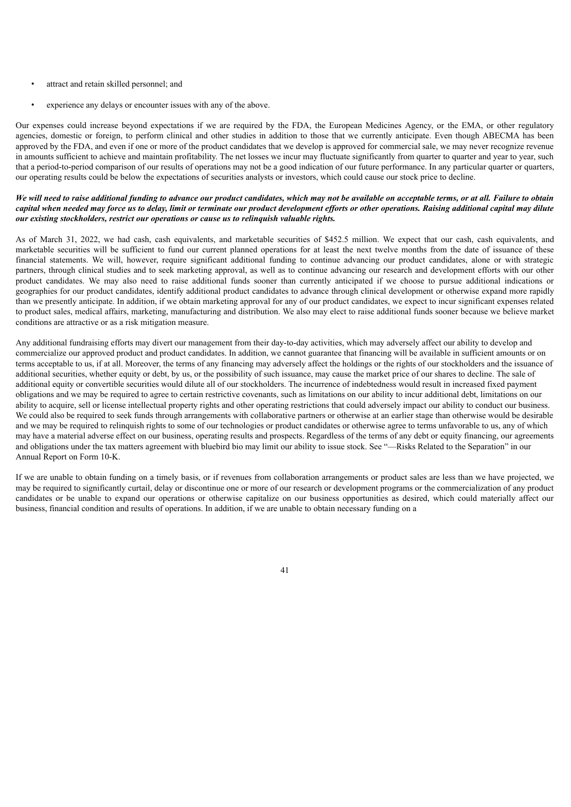- attract and retain skilled personnel; and
- experience any delays or encounter issues with any of the above.

Our expenses could increase beyond expectations if we are required by the FDA, the European Medicines Agency, or the EMA, or other regulatory agencies, domestic or foreign, to perform clinical and other studies in addition to those that we currently anticipate. Even though ABECMA has been approved by the FDA, and even if one or more of the product candidates that we develop is approved for commercial sale, we may never recognize revenue in amounts sufficient to achieve and maintain profitability. The net losses we incur may fluctuate significantly from quarter to quarter and year to year, such that a period-to-period comparison of our results of operations may not be a good indication of our future performance. In any particular quarter or quarters, our operating results could be below the expectations of securities analysts or investors, which could cause our stock price to decline.

## We will need to raise additional funding to advance our product candidates, which may not be available on acceptable terms, or at all. Failure to obtain capital when needed may force us to delay, limit or terminate our product development efforts or other operations. Raising additional capital may dilute *our existing stockholders, restrict our operations or cause us to relinquish valuable rights.*

As of March 31, 2022, we had cash, cash equivalents, and marketable securities of \$452.5 million. We expect that our cash, cash equivalents, and marketable securities will be sufficient to fund our current planned operations for at least the next twelve months from the date of issuance of these financial statements. We will, however, require significant additional funding to continue advancing our product candidates, alone or with strategic partners, through clinical studies and to seek marketing approval, as well as to continue advancing our research and development efforts with our other product candidates. We may also need to raise additional funds sooner than currently anticipated if we choose to pursue additional indications or geographies for our product candidates, identify additional product candidates to advance through clinical development or otherwise expand more rapidly than we presently anticipate. In addition, if we obtain marketing approval for any of our product candidates, we expect to incur significant expenses related to product sales, medical affairs, marketing, manufacturing and distribution. We also may elect to raise additional funds sooner because we believe market conditions are attractive or as a risk mitigation measure.

Any additional fundraising efforts may divert our management from their day-to-day activities, which may adversely affect our ability to develop and commercialize our approved product and product candidates. In addition, we cannot guarantee that financing will be available in sufficient amounts or on terms acceptable to us, if at all. Moreover, the terms of any financing may adversely affect the holdings or the rights of our stockholders and the issuance of additional securities, whether equity or debt, by us, or the possibility of such issuance, may cause the market price of our shares to decline. The sale of additional equity or convertible securities would dilute all of our stockholders. The incurrence of indebtedness would result in increased fixed payment obligations and we may be required to agree to certain restrictive covenants, such as limitations on our ability to incur additional debt, limitations on our ability to acquire, sell or license intellectual property rights and other operating restrictions that could adversely impact our ability to conduct our business. We could also be required to seek funds through arrangements with collaborative partners or otherwise at an earlier stage than otherwise would be desirable and we may be required to relinquish rights to some of our technologies or product candidates or otherwise agree to terms unfavorable to us, any of which may have a material adverse effect on our business, operating results and prospects. Regardless of the terms of any debt or equity financing, our agreements and obligations under the tax matters agreement with bluebird bio may limit our ability to issue stock. See "—Risks Related to the Separation" in our Annual Report on Form 10-K.

If we are unable to obtain funding on a timely basis, or if revenues from collaboration arrangements or product sales are less than we have projected, we may be required to significantly curtail, delay or discontinue one or more of our research or development programs or the commercialization of any product candidates or be unable to expand our operations or otherwise capitalize on our business opportunities as desired, which could materially affect our business, financial condition and results of operations. In addition, if we are unable to obtain necessary funding on a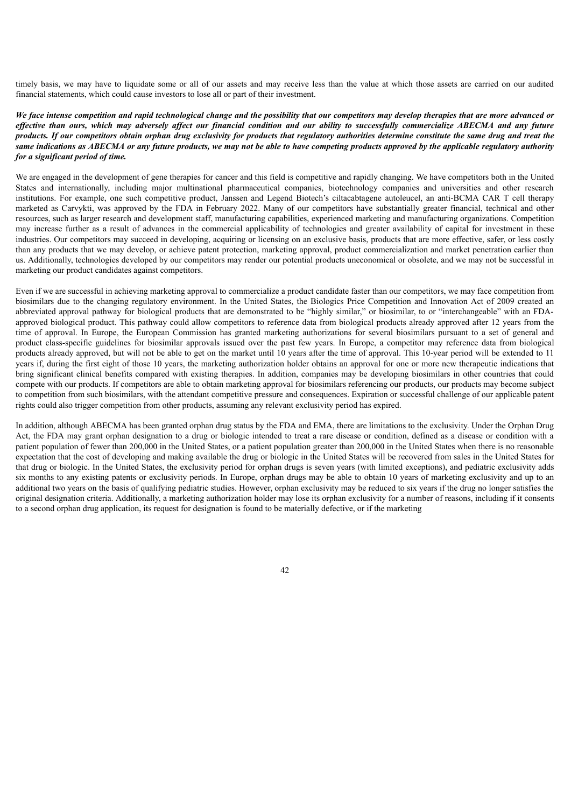timely basis, we may have to liquidate some or all of our assets and may receive less than the value at which those assets are carried on our audited financial statements, which could cause investors to lose all or part of their investment.

We face intense competition and rapid technological change and the possibility that our competitors may develop therapies that are more advanced or effective than ours, which may adversely affect our financial condition and our ability to successfully commercialize ABECMA and any future products. If our competitors obtain orphan drug exclusivity for products that regulatory authorities determine constitute the same drug and treat the same indications as ABECMA or any future products, we may not be able to have competing products approved by the applicable regulatory authority *for a significant period of time.*

We are engaged in the development of gene therapies for cancer and this field is competitive and rapidly changing. We have competitors both in the United States and internationally, including major multinational pharmaceutical companies, biotechnology companies and universities and other research institutions. For example, one such competitive product, Janssen and Legend Biotech's ciltacabtagene autoleucel, an anti-BCMA CAR T cell therapy marketed as Carvykti, was approved by the FDA in February 2022. Many of our competitors have substantially greater financial, technical and other resources, such as larger research and development staff, manufacturing capabilities, experienced marketing and manufacturing organizations. Competition may increase further as a result of advances in the commercial applicability of technologies and greater availability of capital for investment in these industries. Our competitors may succeed in developing, acquiring or licensing on an exclusive basis, products that are more effective, safer, or less costly than any products that we may develop, or achieve patent protection, marketing approval, product commercialization and market penetration earlier than us. Additionally, technologies developed by our competitors may render our potential products uneconomical or obsolete, and we may not be successful in marketing our product candidates against competitors.

Even if we are successful in achieving marketing approval to commercialize a product candidate faster than our competitors, we may face competition from biosimilars due to the changing regulatory environment. In the United States, the Biologics Price Competition and Innovation Act of 2009 created an abbreviated approval pathway for biological products that are demonstrated to be "highly similar," or biosimilar, to or "interchangeable" with an FDAapproved biological product. This pathway could allow competitors to reference data from biological products already approved after 12 years from the time of approval. In Europe, the European Commission has granted marketing authorizations for several biosimilars pursuant to a set of general and product class-specific guidelines for biosimilar approvals issued over the past few years. In Europe, a competitor may reference data from biological products already approved, but will not be able to get on the market until 10 years after the time of approval. This 10-year period will be extended to 11 years if, during the first eight of those 10 years, the marketing authorization holder obtains an approval for one or more new therapeutic indications that bring significant clinical benefits compared with existing therapies. In addition, companies may be developing biosimilars in other countries that could compete with our products. If competitors are able to obtain marketing approval for biosimilars referencing our products, our products may become subject to competition from such biosimilars, with the attendant competitive pressure and consequences. Expiration or successful challenge of our applicable patent rights could also trigger competition from other products, assuming any relevant exclusivity period has expired.

In addition, although ABECMA has been granted orphan drug status by the FDA and EMA, there are limitations to the exclusivity. Under the Orphan Drug Act, the FDA may grant orphan designation to a drug or biologic intended to treat a rare disease or condition, defined as a disease or condition with a patient population of fewer than 200,000 in the United States, or a patient population greater than 200,000 in the United States when there is no reasonable expectation that the cost of developing and making available the drug or biologic in the United States will be recovered from sales in the United States for that drug or biologic. In the United States, the exclusivity period for orphan drugs is seven years (with limited exceptions), and pediatric exclusivity adds six months to any existing patents or exclusivity periods. In Europe, orphan drugs may be able to obtain 10 years of marketing exclusivity and up to an additional two years on the basis of qualifying pediatric studies. However, orphan exclusivity may be reduced to six years if the drug no longer satisfies the original designation criteria. Additionally, a marketing authorization holder may lose its orphan exclusivity for a number of reasons, including if it consents to a second orphan drug application, its request for designation is found to be materially defective, or if the marketing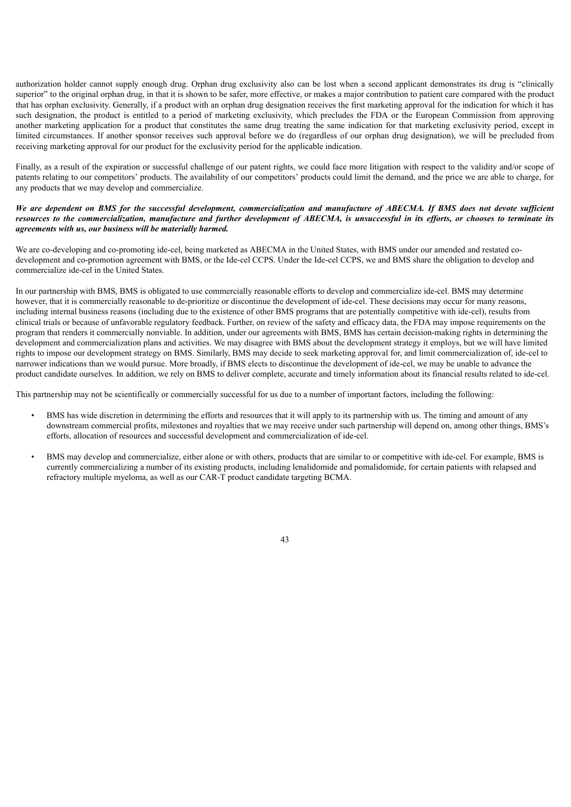authorization holder cannot supply enough drug. Orphan drug exclusivity also can be lost when a second applicant demonstrates its drug is "clinically superior" to the original orphan drug, in that it is shown to be safer, more effective, or makes a major contribution to patient care compared with the product that has orphan exclusivity. Generally, if a product with an orphan drug designation receives the first marketing approval for the indication for which it has such designation, the product is entitled to a period of marketing exclusivity, which precludes the FDA or the European Commission from approving another marketing application for a product that constitutes the same drug treating the same indication for that marketing exclusivity period, except in limited circumstances. If another sponsor receives such approval before we do (regardless of our orphan drug designation), we will be precluded from receiving marketing approval for our product for the exclusivity period for the applicable indication.

Finally, as a result of the expiration or successful challenge of our patent rights, we could face more litigation with respect to the validity and/or scope of patents relating to our competitors' products. The availability of our competitors' products could limit the demand, and the price we are able to charge, for any products that we may develop and commercialize.

## We are dependent on BMS for the successful development, commercialization and manufacture of ABECMA. If BMS does not devote sufficient resources to the commercialization, manufacture and further development of ABECMA, is unsuccessful in its efforts, or chooses to terminate its *agreements with us, our business will be materially harmed.*

We are co-developing and co-promoting ide-cel, being marketed as ABECMA in the United States, with BMS under our amended and restated codevelopment and co-promotion agreement with BMS, or the Ide-cel CCPS. Under the Ide-cel CCPS, we and BMS share the obligation to develop and commercialize ide-cel in the United States.

In our partnership with BMS, BMS is obligated to use commercially reasonable efforts to develop and commercialize ide-cel. BMS may determine however, that it is commercially reasonable to de-prioritize or discontinue the development of ide-cel. These decisions may occur for many reasons, including internal business reasons (including due to the existence of other BMS programs that are potentially competitive with ide-cel), results from clinical trials or because of unfavorable regulatory feedback. Further, on review of the safety and efficacy data, the FDA may impose requirements on the program that renders it commercially nonviable. In addition, under our agreements with BMS, BMS has certain decision-making rights in determining the development and commercialization plans and activities. We may disagree with BMS about the development strategy it employs, but we will have limited rights to impose our development strategy on BMS. Similarly, BMS may decide to seek marketing approval for, and limit commercialization of, ide-cel to narrower indications than we would pursue. More broadly, if BMS elects to discontinue the development of ide-cel, we may be unable to advance the product candidate ourselves. In addition, we rely on BMS to deliver complete, accurate and timely information about its financial results related to ide-cel.

This partnership may not be scientifically or commercially successful for us due to a number of important factors, including the following:

- BMS has wide discretion in determining the efforts and resources that it will apply to its partnership with us. The timing and amount of any downstream commercial profits, milestones and royalties that we may receive under such partnership will depend on, among other things, BMS's efforts, allocation of resources and successful development and commercialization of ide-cel.
- BMS may develop and commercialize, either alone or with others, products that are similar to or competitive with ide-cel. For example, BMS is currently commercializing a number of its existing products, including lenalidomide and pomalidomide, for certain patients with relapsed and refractory multiple myeloma, as well as our CAR-T product candidate targeting BCMA.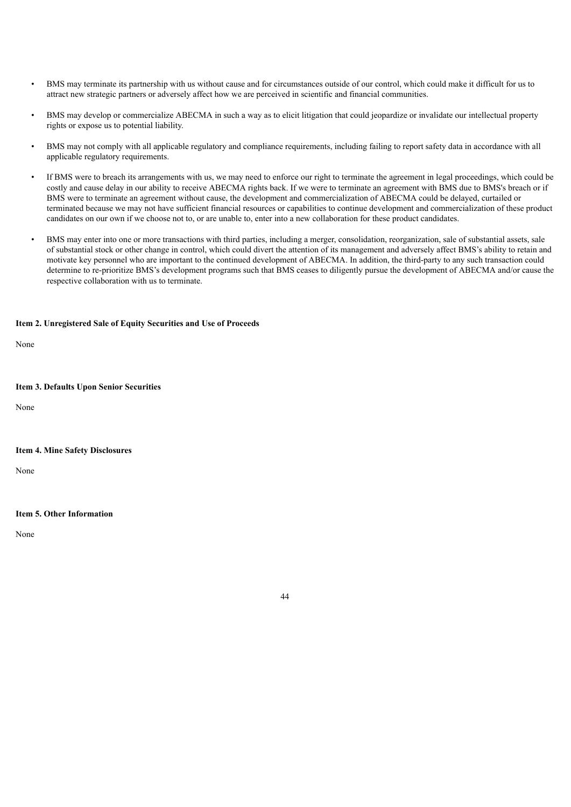- BMS may terminate its partnership with us without cause and for circumstances outside of our control, which could make it difficult for us to attract new strategic partners or adversely affect how we are perceived in scientific and financial communities.
- BMS may develop or commercialize ABECMA in such a way as to elicit litigation that could jeopardize or invalidate our intellectual property rights or expose us to potential liability.
- BMS may not comply with all applicable regulatory and compliance requirements, including failing to report safety data in accordance with all applicable regulatory requirements.
- If BMS were to breach its arrangements with us, we may need to enforce our right to terminate the agreement in legal proceedings, which could be costly and cause delay in our ability to receive ABECMA rights back. If we were to terminate an agreement with BMS due to BMS's breach or if BMS were to terminate an agreement without cause, the development and commercialization of ABECMA could be delayed, curtailed or terminated because we may not have sufficient financial resources or capabilities to continue development and commercialization of these product candidates on our own if we choose not to, or are unable to, enter into a new collaboration for these product candidates.
- BMS may enter into one or more transactions with third parties, including a merger, consolidation, reorganization, sale of substantial assets, sale of substantial stock or other change in control, which could divert the attention of its management and adversely affect BMS's ability to retain and motivate key personnel who are important to the continued development of ABECMA. In addition, the third-party to any such transaction could determine to re-prioritize BMS's development programs such that BMS ceases to diligently pursue the development of ABECMA and/or cause the respective collaboration with us to terminate.

### <span id="page-48-0"></span>**Item 2. Unregistered Sale of Equity Securities and Use of Proceeds**

None

#### <span id="page-48-1"></span>**Item 3. Defaults Upon Senior Securities**

None

## <span id="page-48-2"></span>**Item 4. Mine Safety Disclosures**

None

## <span id="page-48-3"></span>**Item 5. Other Information**

<span id="page-48-4"></span>None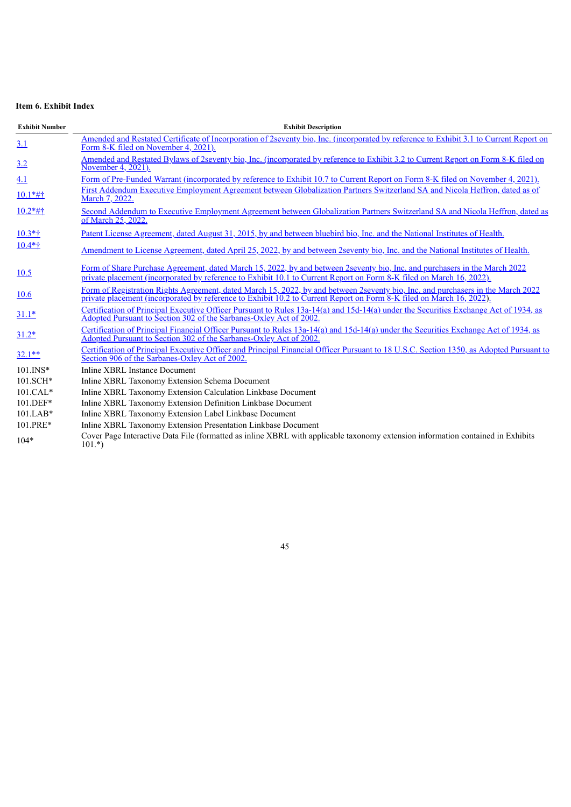## **Item 6. Exhibit Index**

| <b>Exhibit Number</b> | <b>Exhibit Description</b>                                                                                                                                                                                                                              |
|-----------------------|---------------------------------------------------------------------------------------------------------------------------------------------------------------------------------------------------------------------------------------------------------|
| 3.1                   | Amended and Restated Certificate of Incorporation of 2seventy bio, Inc. (incorporated by reference to Exhibit 3.1 to Current Report on<br>Form 8-K filed on November 4, 2021).                                                                          |
| 3.2                   | Amended and Restated Bylaws of 2seventy bio, Inc. (incorporated by reference to Exhibit 3.2 to Current Report on Form 8-K filed on<br>November 4, 2021).                                                                                                |
| 4.1                   | Form of Pre-Funded Warrant (incorporated by reference to Exhibit 10.7 to Current Report on Form 8-K filed on November 4, 2021).                                                                                                                         |
| $10.1*$ #†            | First Addendum Executive Employment Agreement between Globalization Partners Switzerland SA and Nicola Heffron, dated as of<br>March 7, 2022.                                                                                                           |
| $10.2*$ #†            | Second Addendum to Executive Employment Agreement between Globalization Partners Switzerland SA and Nicola Heffron, dated as<br>of March 25, 2022.                                                                                                      |
| $10.3*$ †             | Patent License Agreement, dated August 31, 2015, by and between bluebird bio, Inc. and the National Institutes of Health.                                                                                                                               |
| $10.4*$ †             | <u>Amendment to License Agreement, dated April 25, 2022, by and between 2seventy bio, Inc. and the National Institutes of Health.</u>                                                                                                                   |
| 10.5                  | Form of Share Purchase Agreement, dated March 15, 2022, by and between 2seventy bio, Inc. and purchasers in the March 2022<br>private placement (incorporated by reference to Exhibit 10.1 to Current Report on Form 8-K filed on March 16, 2022).      |
| 10.6                  | Form of Registration Rights Agreement, dated March 15, 2022, by and between 2seventy bio, Inc. and purchasers in the March 2022<br>private placement (incorporated by reference to Exhibit 10.2 to Current Report on Form 8-K filed on March 16, 2022). |
| $31.1*$               | Certification of Principal Executive Officer Pursuant to Rules 13a-14(a) and 15d-14(a) under the Securities Exchange Act of 1934, as<br>Adopted Pursuant to Section 302 of the Sarbanes-Oxley Act of 2002.                                              |
| $31.2*$               | Certification of Principal Financial Officer Pursuant to Rules 13a-14(a) and 15d-14(a) under the Securities Exchange Act of 1934, as<br>Adopted Pursuant to Section 302 of the Sarbanes-Oxley Act of 2002.                                              |
| $32.1**$              | Certification of Principal Executive Officer and Principal Financial Officer Pursuant to 18 U.S.C. Section 1350, as Adopted Pursuant to<br>Section 906 of the Sarbanes-Oxley Act of 2002.                                                               |
| $101$ . INS*          | Inline XBRL Instance Document                                                                                                                                                                                                                           |
| 101.SCH*              | Inline XBRL Taxonomy Extension Schema Document                                                                                                                                                                                                          |
| $101.CAL*$            | Inline XBRL Taxonomy Extension Calculation Linkbase Document                                                                                                                                                                                            |
| 101.DEF*              | Inline XBRL Taxonomy Extension Definition Linkbase Document                                                                                                                                                                                             |
| $101.LAB*$            | Inline XBRL Taxonomy Extension Label Linkbase Document                                                                                                                                                                                                  |
| 101.PRE*              | Inline XBRL Taxonomy Extension Presentation Linkbase Document                                                                                                                                                                                           |
| $104*$                | Cover Page Interactive Data File (formatted as inline XBRL with applicable taxonomy extension information contained in Exhibits<br>$101.*$                                                                                                              |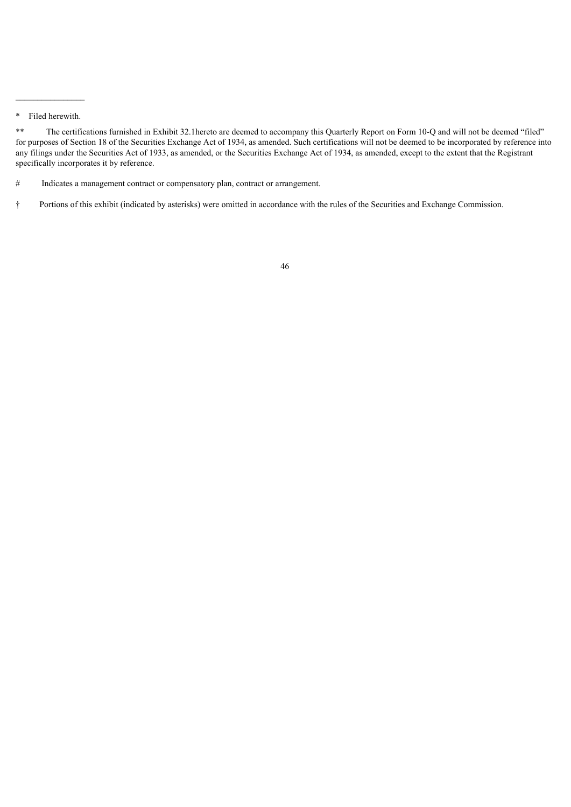$\frac{1}{2}$  , where  $\frac{1}{2}$  , where  $\frac{1}{2}$ 

<sup>\*</sup> Filed herewith.

<sup>\*\*</sup> The certifications furnished in Exhibit 32.1hereto are deemed to accompany this Quarterly Report on Form 10-Q and will not be deemed "filed" for purposes of Section 18 of the Securities Exchange Act of 1934, as amended. Such certifications will not be deemed to be incorporated by reference into any filings under the Securities Act of 1933, as amended, or the Securities Exchange Act of 1934, as amended, except to the extent that the Registrant specifically incorporates it by reference.

<sup>#</sup> Indicates a management contract or compensatory plan, contract or arrangement.

<span id="page-50-0"></span><sup>†</sup> Portions of this exhibit (indicated by asterisks) were omitted in accordance with the rules of the Securities and Exchange Commission.

<sup>46</sup>